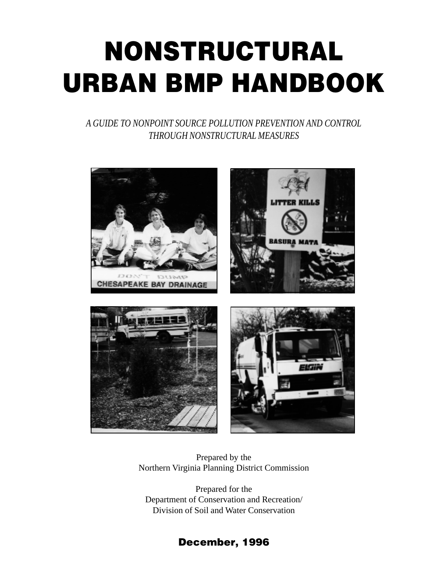*A GUIDE TO NONPOINT SOURCE POLLUTION PREVENTION AND CONTROL THROUGH NONSTRUCTURAL MEASURES*



Prepared by the Northern Virginia Planning District Commission

Prepared for the Department of Conservation and Recreation/ Division of Soil and Water Conservation

### **December, 1996**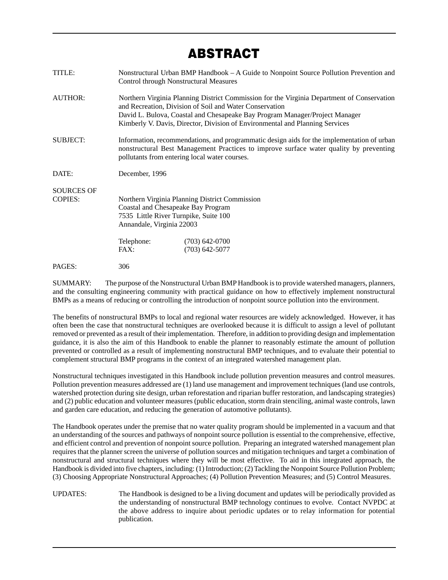## **ABSTRACT**

| TITLE:                              | <b>Control through Nonstructural Measures</b>                                                            | Nonstructural Urban BMP Handbook – A Guide to Nonpoint Source Pollution Prevention and                                                                                                                                                                                                                               |
|-------------------------------------|----------------------------------------------------------------------------------------------------------|----------------------------------------------------------------------------------------------------------------------------------------------------------------------------------------------------------------------------------------------------------------------------------------------------------------------|
| <b>AUTHOR:</b>                      |                                                                                                          | Northern Virginia Planning District Commission for the Virginia Department of Conservation<br>and Recreation, Division of Soil and Water Conservation<br>David L. Bulova, Coastal and Chesapeake Bay Program Manager/Project Manager<br>Kimberly V. Davis, Director, Division of Environmental and Planning Services |
| <b>SUBJECT:</b>                     |                                                                                                          | Information, recommendations, and programmatic design aids for the implementation of urban<br>nonstructural Best Management Practices to improve surface water quality by preventing<br>pollutants from entering local water courses.                                                                                |
| DATE:                               | December, 1996                                                                                           |                                                                                                                                                                                                                                                                                                                      |
| <b>SOURCES OF</b><br><b>COPIES:</b> | Coastal and Chesapeake Bay Program<br>7535 Little River Turnpike, Suite 100<br>Annandale, Virginia 22003 | Northern Virginia Planning District Commission                                                                                                                                                                                                                                                                       |
|                                     | Telephone:<br>FAX:                                                                                       | $(703)$ 642-0700<br>$(703)$ 642-5077                                                                                                                                                                                                                                                                                 |
| PAGES:                              | 306                                                                                                      |                                                                                                                                                                                                                                                                                                                      |

SUMMARY: The purpose of the Nonstructural Urban BMP Handbook is to provide watershed managers, planners, and the consulting engineering community with practical guidance on how to effectively implement nonstructural BMPs as a means of reducing or controlling the introduction of nonpoint source pollution into the environment.

The benefits of nonstructural BMPs to local and regional water resources are widely acknowledged. However, it has often been the case that nonstructural techniques are overlooked because it is difficult to assign a level of pollutant removed or prevented as a result of their implementation. Therefore, in addition to providing design and implementation guidance, it is also the aim of this Handbook to enable the planner to reasonably estimate the amount of pollution prevented or controlled as a result of implementing nonstructural BMP techniques, and to evaluate their potential to complement structural BMP programs in the context of an integrated watershed management plan.

Nonstructural techniques investigated in this Handbook include pollution prevention measures and control measures. Pollution prevention measures addressed are (1) land use management and improvement techniques (land use controls, watershed protection during site design, urban reforestation and riparian buffer restoration, and landscaping strategies) and (2) public education and volunteer measures (public education, storm drain stenciling, animal waste controls, lawn and garden care education, and reducing the generation of automotive pollutants).

The Handbook operates under the premise that no water quality program should be implemented in a vacuum and that an understanding of the sources and pathways of nonpoint source pollution is essential to the comprehensive, effective, and efficient control and prevention of nonpoint source pollution. Preparing an integrated watershed management plan requires that the planner screen the universe of pollution sources and mitigation techniques and target a combination of nonstructural and structural techniques where they will be most effective. To aid in this integrated approach, the Handbook is divided into five chapters, including: (1) Introduction; (2) Tackling the Nonpoint Source Pollution Problem; (3) Choosing Appropriate Nonstructural Approaches; (4) Pollution Prevention Measures; and (5) Control Measures.

UPDATES: The Handbook is designed to be a living document and updates will be periodically provided as the understanding of nonstructural BMP technology continues to evolve. Contact NVPDC at the above address to inquire about periodic updates or to relay information for potential publication.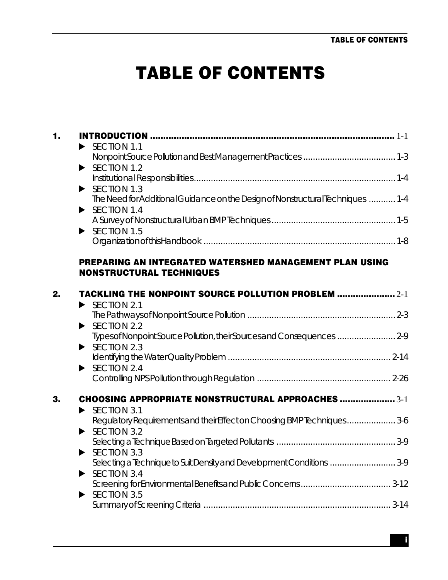## **TABLE OF CONTENTS**

| 1. |                                                                                            |  |
|----|--------------------------------------------------------------------------------------------|--|
|    | $\triangleright$ SECTION 1.1                                                               |  |
|    | SECTION 1.2<br>▶                                                                           |  |
|    |                                                                                            |  |
|    | <b>SECTION 1.3</b><br>▶                                                                    |  |
|    | The Need for Additional Guidance on the Design of Nonstructural Techniques  1-4            |  |
|    | SECTION 1.4<br>▶                                                                           |  |
|    | SECTION 1.5<br>▶                                                                           |  |
|    |                                                                                            |  |
|    |                                                                                            |  |
|    | PREPARING AN INTEGRATED WATERSHED MANAGEMENT PLAN USING<br><b>NONSTRUCTURAL TECHNIQUES</b> |  |
|    |                                                                                            |  |
| 2. |                                                                                            |  |
|    | $\triangleright$ SECTION 2.1                                                               |  |
|    | SECTION 2.2<br>▶                                                                           |  |
|    | Types of Nonpoint Source Pollution, their Sources and Consequences  2-9                    |  |
|    | SECTION 2.3<br>▶                                                                           |  |
|    |                                                                                            |  |
|    | <b>SECTION 2.4</b><br>▶                                                                    |  |
|    |                                                                                            |  |
| 3. | <b>CHOOSING APPROPRIATE NONSTRUCTURAL APPROACHES </b> 3-1                                  |  |
|    | <b>SECTION 3.1</b><br>▶                                                                    |  |
|    | Regulatory Requirements and their Effect on Choosing BMP Techniques3-6                     |  |
|    | <b>SECTION 3.2</b><br>▶                                                                    |  |
|    | <b>SECTION 3.3</b><br>▶                                                                    |  |
|    | Selecting a Technique to Suit Density and Development Conditions 3-9                       |  |
|    | SECTION 3.4<br>▶                                                                           |  |
|    |                                                                                            |  |
|    | SECTION 3.5<br>▶                                                                           |  |
|    |                                                                                            |  |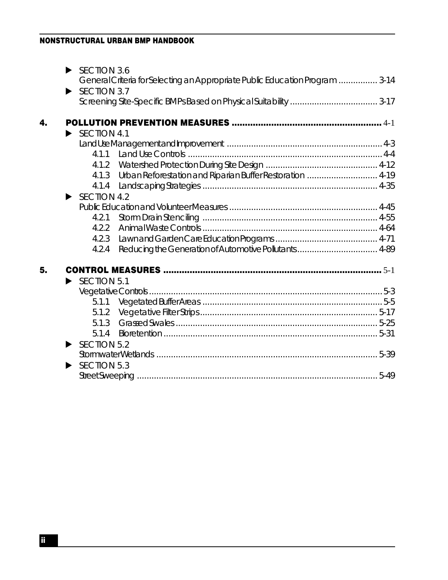| $\blacktriangleright$<br><b>SECTION 3.7</b> |                                                                                                                                                                                                                                                    |
|---------------------------------------------|----------------------------------------------------------------------------------------------------------------------------------------------------------------------------------------------------------------------------------------------------|
|                                             |                                                                                                                                                                                                                                                    |
|                                             |                                                                                                                                                                                                                                                    |
|                                             |                                                                                                                                                                                                                                                    |
|                                             |                                                                                                                                                                                                                                                    |
|                                             |                                                                                                                                                                                                                                                    |
|                                             |                                                                                                                                                                                                                                                    |
|                                             |                                                                                                                                                                                                                                                    |
| 4.1.3                                       |                                                                                                                                                                                                                                                    |
| 4.1.4                                       |                                                                                                                                                                                                                                                    |
| <b>SECTION 4.2</b><br>▶                     |                                                                                                                                                                                                                                                    |
|                                             |                                                                                                                                                                                                                                                    |
| 4.2.1                                       |                                                                                                                                                                                                                                                    |
| 4.2.2                                       |                                                                                                                                                                                                                                                    |
| 4.2.3                                       |                                                                                                                                                                                                                                                    |
| 4.2.4                                       |                                                                                                                                                                                                                                                    |
|                                             |                                                                                                                                                                                                                                                    |
| SECTION 5.1                                 |                                                                                                                                                                                                                                                    |
|                                             |                                                                                                                                                                                                                                                    |
| 5.1.1                                       |                                                                                                                                                                                                                                                    |
| 5.1.2                                       |                                                                                                                                                                                                                                                    |
| 5.1.3                                       |                                                                                                                                                                                                                                                    |
| 5.1.4                                       |                                                                                                                                                                                                                                                    |
| <b>SECTION 5.2</b>                          |                                                                                                                                                                                                                                                    |
|                                             |                                                                                                                                                                                                                                                    |
|                                             |                                                                                                                                                                                                                                                    |
|                                             |                                                                                                                                                                                                                                                    |
|                                             | SECTION 3.6<br>General Criteria for Selecting an Appropriate Public Education Program  3-14<br>SECTION 4.1<br>4.1.1<br>4.1.2<br>Urban Reforestation and Riparian Buffer Restoration  4-19<br>5-39. [5-37] StormwaterWetlands<br><b>SECTION 5.3</b> |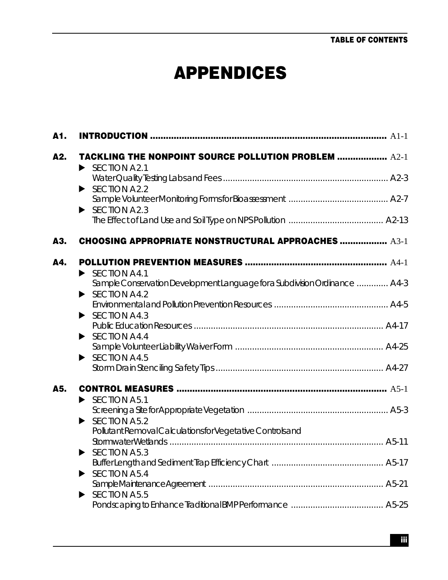## **APPENDICES**

| A1. |                                                                                                   |
|-----|---------------------------------------------------------------------------------------------------|
| A2. | TACKLING THE NONPOINT SOURCE POLLUTION PROBLEM  A2-1<br>SECTION A2.1<br>▶                         |
|     | SECTION A2.2<br>▶                                                                                 |
|     | ▶                                                                                                 |
|     | <b>SECTION A2.3</b>                                                                               |
| A3. | <b>CHOOSING APPROPRIATE NONSTRUCTURAL APPROACHES </b> A3-1                                        |
| A4. | $\triangleright$ SECTION A4.1                                                                     |
|     | Sample Conservation Development Language for a Subdivision Ordinance  A4-3<br><b>SECTION A4.2</b> |
|     | ▶                                                                                                 |
|     | SECTION A4.3<br>▶                                                                                 |
|     | SECTION A4.4<br>▶                                                                                 |
|     | <b>SECTION A4.5</b><br>▶                                                                          |
| A5. |                                                                                                   |
|     | $\triangleright$ SECTION A5.1                                                                     |
|     | <b>SECTION A5.2</b><br>Pollutant Removal Calculations for Vegetative Controls and                 |
|     | <b>SECTION A5.3</b><br>▶                                                                          |
|     | SECTION A5.4<br>▶                                                                                 |
|     | SECTION A5.5<br>▶                                                                                 |
|     |                                                                                                   |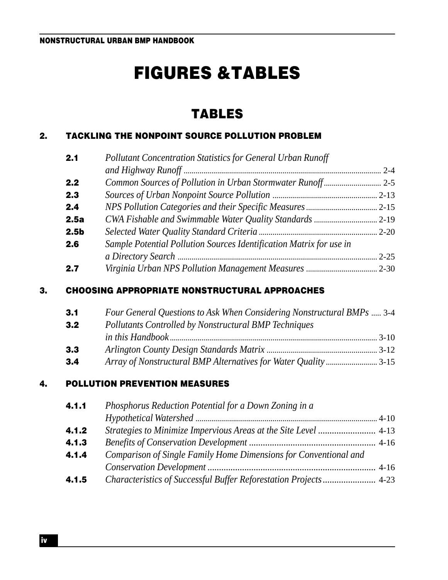## **FIGURES &TABLES**

### **TABLES**

#### **2. TACKLING THE NONPOINT SOURCE POLLUTION PROBLEM**

| 2.1              | <b>Pollutant Concentration Statistics for General Urban Runoff</b>  |          |
|------------------|---------------------------------------------------------------------|----------|
|                  |                                                                     |          |
| 2.2              |                                                                     |          |
| 2.3              |                                                                     |          |
| 2.4              |                                                                     |          |
| 2.5a             |                                                                     |          |
| 2.5 <sub>b</sub> |                                                                     |          |
| 2.6              | Sample Potential Pollution Sources Identification Matrix for use in |          |
|                  |                                                                     | $2 - 25$ |
| 2.7              |                                                                     |          |

#### **3. CHOOSING APPROPRIATE NONSTRUCTURAL APPROACHES**

| 3.1 | Four General Questions to Ask When Considering Nonstructural BMPs  3-4 |  |
|-----|------------------------------------------------------------------------|--|
| 3.2 | Pollutants Controlled by Nonstructural BMP Techniques                  |  |
|     |                                                                        |  |
| 3.3 |                                                                        |  |
| 3.4 |                                                                        |  |

#### **4. POLLUTION PREVENTION MEASURES**

| 4.1.1 | Phosphorus Reduction Potential for a Down Zoning in a            |  |
|-------|------------------------------------------------------------------|--|
|       |                                                                  |  |
| 4.1.2 |                                                                  |  |
| 4.1.3 |                                                                  |  |
| 4.1.4 | Comparison of Single Family Home Dimensions for Conventional and |  |
|       |                                                                  |  |
| 4.1.5 | Characteristics of Successful Buffer Reforestation Projects 4-23 |  |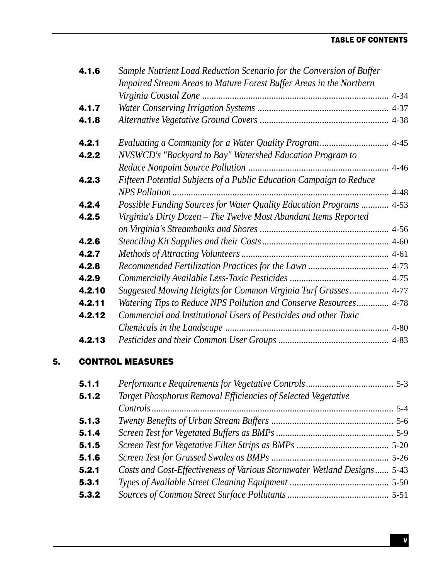#### **TABLE OF CONTENTS**

| 4.1.6  | Sample Nutrient Load Reduction Scenario for the Conversion of Buffer |  |
|--------|----------------------------------------------------------------------|--|
|        | Impaired Stream Areas to Mature Forest Buffer Areas in the Northern  |  |
|        |                                                                      |  |
| 4.1.7  |                                                                      |  |
| 4.1.8  |                                                                      |  |
| 4.2.1  |                                                                      |  |
| 4.2.2  | NVSWCD's "Backyard to Bay" Watershed Education Program to            |  |
|        |                                                                      |  |
| 4.2.3  | Fifteen Potential Subjects of a Public Education Campaign to Reduce  |  |
|        |                                                                      |  |
| 4.2.4  | Possible Funding Sources for Water Quality Education Programs  4-53  |  |
| 4.2.5  | Virginia's Dirty Dozen - The Twelve Most Abundant Items Reported     |  |
|        |                                                                      |  |
| 4.2.6  |                                                                      |  |
| 4.2.7  |                                                                      |  |
| 4.2.8  |                                                                      |  |
| 4.2.9  |                                                                      |  |
| 4.2.10 | Suggested Mowing Heights for Common Virginia Turf Grasses 4-77       |  |
| 4.2.11 | Watering Tips to Reduce NPS Pollution and Conserve Resources 4-78    |  |
| 4.2.12 | Commercial and Institutional Users of Pesticides and other Toxic     |  |
|        |                                                                      |  |
| 4.2.13 |                                                                      |  |
|        |                                                                      |  |

#### **5. CONTROL MEASURES**

| 5.1.1 |                                                                         |  |
|-------|-------------------------------------------------------------------------|--|
| 5.1.2 | Target Phosphorus Removal Efficiencies of Selected Vegetative           |  |
|       |                                                                         |  |
| 5.1.3 |                                                                         |  |
| 5.1.4 |                                                                         |  |
| 5.1.5 |                                                                         |  |
| 5.1.6 |                                                                         |  |
| 5.2.1 | Costs and Cost-Effectiveness of Various Stormwater Wetland Designs 5-43 |  |
| 5.3.1 |                                                                         |  |
| 5.3.2 |                                                                         |  |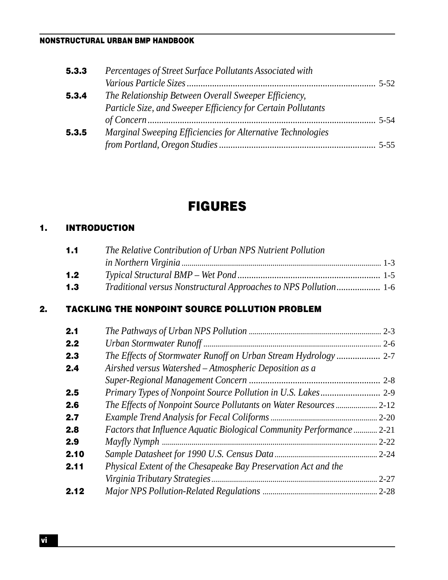| 5.3.3 | Percentages of Street Surface Pollutants Associated with     |  |
|-------|--------------------------------------------------------------|--|
|       |                                                              |  |
| 5.3.4 | The Relationship Between Overall Sweeper Efficiency,         |  |
|       | Particle Size, and Sweeper Efficiency for Certain Pollutants |  |
|       |                                                              |  |
| 5.3.5 | Marginal Sweeping Efficiencies for Alternative Technologies  |  |
|       |                                                              |  |

### **FIGURES**

#### **1. INTRODUCTION**

| The Relative Contribution of Urban NPS Nutrient Pollution<br>1.1 |                                                                  |  |
|------------------------------------------------------------------|------------------------------------------------------------------|--|
|                                                                  |                                                                  |  |
| 1.2                                                              |                                                                  |  |
| 1.3                                                              | Traditional versus Nonstructural Approaches to NPS Pollution 1-6 |  |

#### **2. TACKLING THE NONPOINT SOURCE POLLUTION PROBLEM**

| 2.1  |                                                                       | $2 - 3$  |
|------|-----------------------------------------------------------------------|----------|
| 2.2  |                                                                       | $2 - 6$  |
| 2.3  | The Effects of Stormwater Runoff on Urban Stream Hydrology 2-7        |          |
| 2.4  | Airshed versus Watershed – Atmospheric Deposition as a                |          |
|      |                                                                       | $2 - 8$  |
| 2.5  |                                                                       |          |
| 2.6  | The Effects of Nonpoint Source Pollutants on Water Resources  2-12    |          |
| 2.7  |                                                                       | $2 - 20$ |
| 2.8  | Factors that Influence Aquatic Biological Community Performance  2-21 |          |
| 2.9  |                                                                       | $2 - 22$ |
| 2.10 |                                                                       | $2 - 24$ |
| 2.11 | Physical Extent of the Chesapeake Bay Preservation Act and the        |          |
|      |                                                                       | $2 - 27$ |
| 2.12 |                                                                       | $2 - 28$ |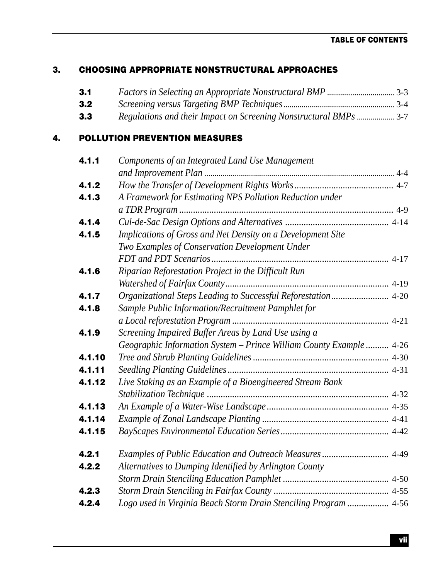#### **TABLE OF CONTENTS**

#### **3. CHOOSING APPROPRIATE NONSTRUCTURAL APPROACHES**

| 3.1 |                                                                   |  |
|-----|-------------------------------------------------------------------|--|
| 3.2 |                                                                   |  |
| 3.3 | Regulations and their Impact on Screening Nonstructural BMPs  3-7 |  |

## **4. POLLUTION PREVENTION MEASURES**

| 4.1.1  | Components of an Integrated Land Use Management                     |
|--------|---------------------------------------------------------------------|
|        |                                                                     |
| 4.1.2  |                                                                     |
| 4.1.3  | A Framework for Estimating NPS Pollution Reduction under            |
|        |                                                                     |
| 4.1.4  |                                                                     |
| 4.1.5  | Implications of Gross and Net Density on a Development Site         |
|        | Two Examples of Conservation Development Under                      |
|        |                                                                     |
| 4.1.6  | Riparian Reforestation Project in the Difficult Run                 |
|        |                                                                     |
| 4.1.7  | Organizational Steps Leading to Successful Reforestation 4-20       |
| 4.1.8  | Sample Public Information/Recruitment Pamphlet for                  |
|        |                                                                     |
| 4.1.9  | Screening Impaired Buffer Areas by Land Use using a                 |
|        | Geographic Information System - Prince William County Example  4-26 |
| 4.1.10 |                                                                     |
| 4.1.11 |                                                                     |
| 4.1.12 | Live Staking as an Example of a Bioengineered Stream Bank           |
|        |                                                                     |
| 4.1.13 |                                                                     |
| 4.1.14 |                                                                     |
| 4.1.15 |                                                                     |
| 4.2.1  | Examples of Public Education and Outreach Measures 4-49             |
| 4.2.2  | Alternatives to Dumping Identified by Arlington County              |
|        |                                                                     |
| 4.2.3  |                                                                     |
| 4.2.4  | Logo used in Virginia Beach Storm Drain Stenciling Program  4-56    |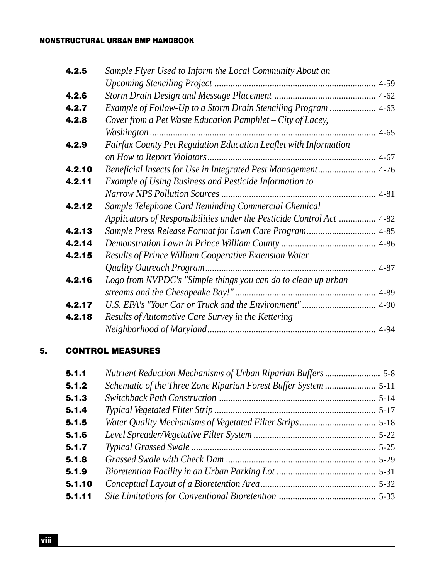| 4.2.5  | Sample Flyer Used to Inform the Local Community About an              |  |
|--------|-----------------------------------------------------------------------|--|
|        |                                                                       |  |
| 4.2.6  |                                                                       |  |
| 4.2.7  |                                                                       |  |
| 4.2.8  | Cover from a Pet Waste Education Pamphlet – City of Lacey,            |  |
|        |                                                                       |  |
| 4.2.9  | Fairfax County Pet Regulation Education Leaflet with Information      |  |
|        |                                                                       |  |
| 4.2.10 | Beneficial Insects for Use in Integrated Pest Management 4-76         |  |
| 4.2.11 | <b>Example of Using Business and Pesticide Information to</b>         |  |
|        |                                                                       |  |
| 4.2.12 | Sample Telephone Card Reminding Commercial Chemical                   |  |
|        | Applicators of Responsibilities under the Pesticide Control Act  4-82 |  |
| 4.2.13 | Sample Press Release Format for Lawn Care Program 4-85                |  |
| 4.2.14 |                                                                       |  |
| 4.2.15 | <b>Results of Prince William Cooperative Extension Water</b>          |  |
|        |                                                                       |  |
| 4.2.16 | Logo from NVPDC's "Simple things you can do to clean up urban         |  |
|        |                                                                       |  |
| 4.2.17 |                                                                       |  |
| 4.2.18 | Results of Automotive Care Survey in the Kettering                    |  |
|        |                                                                       |  |

#### **5. CONTROL MEASURES**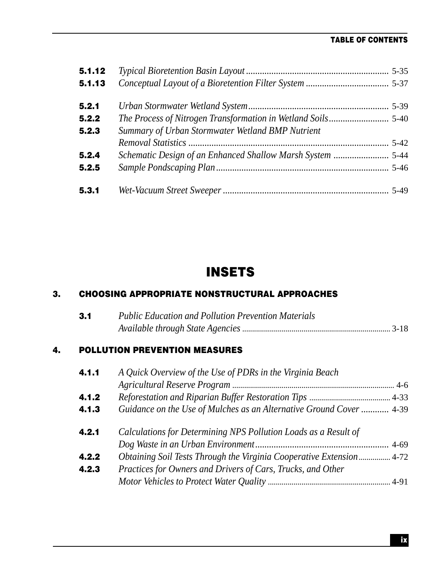#### **TABLE OF CONTENTS**

| 5.1.12 |                                                  |  |
|--------|--------------------------------------------------|--|
| 5.1.13 |                                                  |  |
| 5.2.1  |                                                  |  |
| 5.2.2  |                                                  |  |
| 5.2.3  | Summary of Urban Stormwater Wetland BMP Nutrient |  |
|        |                                                  |  |
| 5.2.4  |                                                  |  |
| 5.2.5  |                                                  |  |
| 5.3.1  |                                                  |  |

## **INSETS**

#### **3. CHOOSING APPROPRIATE NONSTRUCTURAL APPROACHES**

| 3.1 | <b>Public Education and Pollution Prevention Materials</b> |  |
|-----|------------------------------------------------------------|--|
|     |                                                            |  |

#### **4. POLLUTION PREVENTION MEASURES**

| 4.1.1 | A Quick Overview of the Use of PDRs in the Virginia Beach            |
|-------|----------------------------------------------------------------------|
|       |                                                                      |
| 4.1.2 |                                                                      |
| 4.1.3 | Guidance on the Use of Mulches as an Alternative Ground Cover 4-39   |
| 4.2.1 | Calculations for Determining NPS Pollution Loads as a Result of      |
|       |                                                                      |
| 4.2.2 | Obtaining Soil Tests Through the Virginia Cooperative Extension 4-72 |
| 4.2.3 | Practices for Owners and Drivers of Cars, Trucks, and Other          |
|       |                                                                      |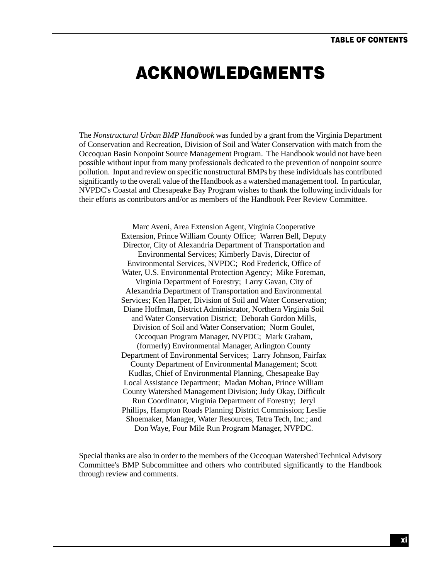#### **TABLE OF CONTENTS**

## **ACKNOWLEDGMENTS**

The *Nonstructural Urban BMP Handbook* was funded by a grant from the Virginia Department of Conservation and Recreation, Division of Soil and Water Conservation with match from the Occoquan Basin Nonpoint Source Management Program. The Handbook would not have been possible without input from many professionals dedicated to the prevention of nonpoint source pollution. Input and review on specific nonstructural BMPs by these individuals has contributed significantly to the overall value of the Handbook as a watershed management tool. In particular, NVPDC's Coastal and Chesapeake Bay Program wishes to thank the following individuals for their efforts as contributors and/or as members of the Handbook Peer Review Committee.

> Marc Aveni, Area Extension Agent, Virginia Cooperative Extension, Prince William County Office; Warren Bell, Deputy Director, City of Alexandria Department of Transportation and Environmental Services; Kimberly Davis, Director of Environmental Services, NVPDC; Rod Frederick, Office of Water, U.S. Environmental Protection Agency; Mike Foreman, Virginia Department of Forestry; Larry Gavan, City of Alexandria Department of Transportation and Environmental Services; Ken Harper, Division of Soil and Water Conservation; Diane Hoffman, District Administrator, Northern Virginia Soil and Water Conservation District; Deborah Gordon Mills, Division of Soil and Water Conservation; Norm Goulet, Occoquan Program Manager, NVPDC; Mark Graham, (formerly) Environmental Manager, Arlington County Department of Environmental Services; Larry Johnson, Fairfax County Department of Environmental Management; Scott Kudlas, Chief of Environmental Planning, Chesapeake Bay Local Assistance Department; Madan Mohan, Prince William County Watershed Management Division; Judy Okay, Difficult Run Coordinator, Virginia Department of Forestry; Jeryl Phillips, Hampton Roads Planning District Commission; Leslie Shoemaker, Manager, Water Resources, Tetra Tech, Inc.; and Don Waye, Four Mile Run Program Manager, NVPDC.

Special thanks are also in order to the members of the Occoquan Watershed Technical Advisory Committee's BMP Subcommittee and others who contributed significantly to the Handbook through review and comments.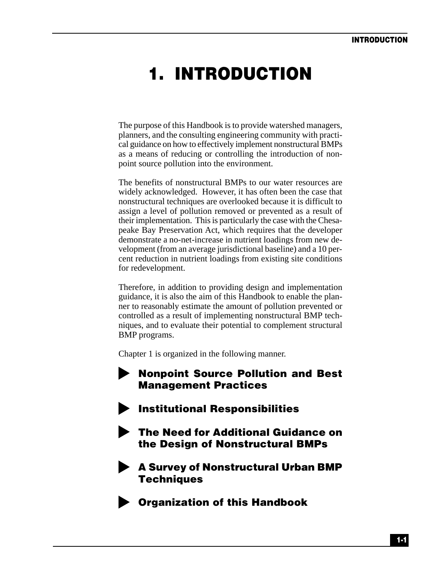## **1. INTRODUCTION**

The purpose of this Handbook is to provide watershed managers, planners, and the consulting engineering community with practical guidance on how to effectively implement nonstructural BMPs as a means of reducing or controlling the introduction of nonpoint source pollution into the environment.

The benefits of nonstructural BMPs to our water resources are widely acknowledged. However, it has often been the case that nonstructural techniques are overlooked because it is difficult to assign a level of pollution removed or prevented as a result of their implementation. This is particularly the case with the Chesapeake Bay Preservation Act, which requires that the developer demonstrate a no-net-increase in nutrient loadings from new development (from an average jurisdictional baseline) and a 10 percent reduction in nutrient loadings from existing site conditions for redevelopment.

Therefore, in addition to providing design and implementation guidance, it is also the aim of this Handbook to enable the planner to reasonably estimate the amount of pollution prevented or controlled as a result of implementing nonstructural BMP techniques, and to evaluate their potential to complement structural BMP programs.

Chapter 1 is organized in the following manner.

- **Nonpoint Source Pollution and Best Management Practices**
- **Institutional Responsibilities**
- **The Need for Additional Guidance on the Design of Nonstructural BMPs**
- **A Survey of Nonstructural Urban BMP Techniques**

**Organization of this Handbook**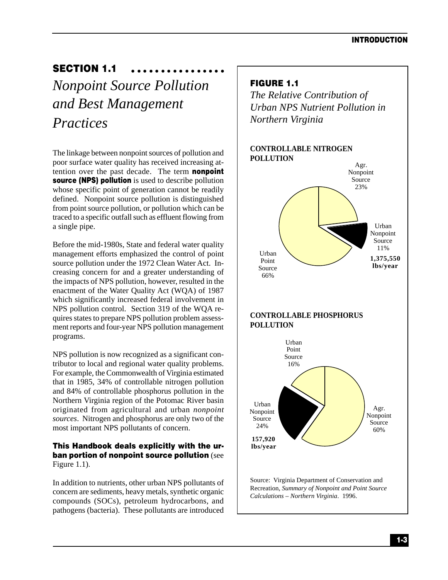### **SECTION 1.1**

*Nonpoint Source Pollution and Best Management Practices*

The linkage between nonpoint sources of pollution and poor surface water quality has received increasing attention over the past decade. The term **nonpoint source (NPS) pollution** is used to describe pollution whose specific point of generation cannot be readily defined. Nonpoint source pollution is distinguished from point source pollution, or pollution which can be traced to a specific outfall such as effluent flowing from a single pipe.

Before the mid-1980s, State and federal water quality management efforts emphasized the control of point source pollution under the 1972 Clean Water Act. Increasing concern for and a greater understanding of the impacts of NPS pollution, however, resulted in the enactment of the Water Quality Act (WQA) of 1987 which significantly increased federal involvement in NPS pollution control. Section 319 of the WQA requires states to prepare NPS pollution problem assessment reports and four-year NPS pollution management programs.

NPS pollution is now recognized as a significant contributor to local and regional water quality problems. For example, the Commonwealth of Virginia estimated that in 1985, 34% of controllable nitrogen pollution and 84% of controllable phosphorus pollution in the Northern Virginia region of the Potomac River basin originated from agricultural and urban *nonpoint sources*. Nitrogen and phosphorus are only two of the most important NPS pollutants of concern.

#### **This Handbook deals explicitly with the urban portion of nonpoint source pollution** (see Figure 1.1).

In addition to nutrients, other urban NPS pollutants of concern are sediments, heavy metals, synthetic organic compounds (SOCs), petroleum hydrocarbons, and pathogens (bacteria). These pollutants are introduced

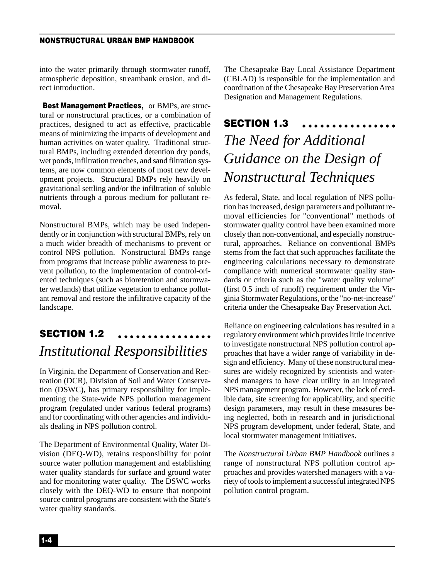into the water primarily through stormwater runoff, atmospheric deposition, streambank erosion, and direct introduction.

Best Management Practices, or BMPs, are structural or nonstructural practices, or a combination of practices, designed to act as effective, practicable means of minimizing the impacts of development and human activities on water quality. Traditional structural BMPs, including extended detention dry ponds, wet ponds, infiltration trenches, and sand filtration systems, are now common elements of most new development projects. Structural BMPs rely heavily on gravitational settling and/or the infiltration of soluble nutrients through a porous medium for pollutant removal.

Nonstructural BMPs, which may be used independently or in conjunction with structural BMPs, rely on a much wider breadth of mechanisms to prevent or control NPS pollution. Nonstructural BMPs range from programs that increase public awareness to prevent pollution, to the implementation of control-oriented techniques (such as bioretention and stormwater wetlands) that utilize vegetation to enhance pollutant removal and restore the infiltrative capacity of the landscape.

### **SECTION 1.2** *Institutional Responsibilities*

In Virginia, the Department of Conservation and Recreation (DCR), Division of Soil and Water Conservation (DSWC), has primary responsibility for implementing the State-wide NPS pollution management program (regulated under various federal programs) and for coordinating with other agencies and individuals dealing in NPS pollution control.

The Department of Environmental Quality, Water Division (DEQ-WD), retains responsibility for point source water pollution management and establishing water quality standards for surface and ground water and for monitoring water quality. The DSWC works closely with the DEQ-WD to ensure that nonpoint source control programs are consistent with the State's water quality standards.

The Chesapeake Bay Local Assistance Department (CBLAD) is responsible for the implementation and coordination of the Chesapeake Bay Preservation Area Designation and Management Regulations.

## **SECTION 1.3** *The Need for Additional Guidance on the Design of Nonstructural Techniques*

As federal, State, and local regulation of NPS pollution has increased, design parameters and pollutant removal efficiencies for "conventional" methods of stormwater quality control have been examined more closely than non-conventional, and especially nonstructural, approaches. Reliance on conventional BMPs stems from the fact that such approaches facilitate the engineering calculations necessary to demonstrate compliance with numerical stormwater quality standards or criteria such as the "water quality volume" (first 0.5 inch of runoff) requirement under the Virginia Stormwater Regulations, or the "no-net-increase" criteria under the Chesapeake Bay Preservation Act.

Reliance on engineering calculations has resulted in a regulatory environment which provides little incentive to investigate nonstructural NPS pollution control approaches that have a wider range of variability in design and efficiency. Many of these nonstructural measures are widely recognized by scientists and watershed managers to have clear utility in an integrated NPS management program. However, the lack of credible data, site screening for applicability, and specific design parameters, may result in these measures being neglected, both in research and in jurisdictional NPS program development, under federal, State, and local stormwater management initiatives.

The *Nonstructural Urban BMP Handbook* outlines a range of nonstructural NPS pollution control approaches and provides watershed managers with a variety of tools to implement a successful integrated NPS pollution control program.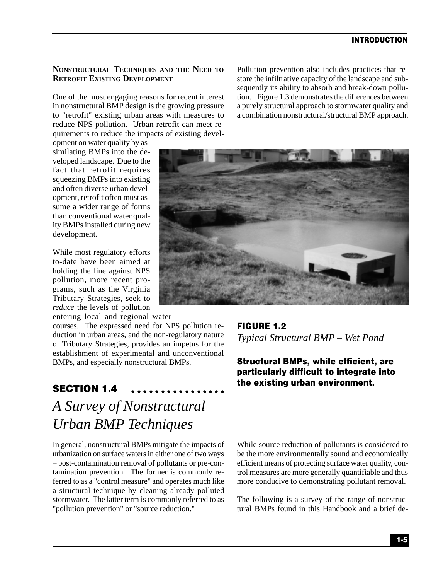#### **INTRODUCTION**

#### **NONSTRUCTURAL TECHNIQUES AND THE NEED TO RETROFIT EXISTING DEVELOPMENT**

One of the most engaging reasons for recent interest in nonstructural BMP design is the growing pressure to "retrofit" existing urban areas with measures to reduce NPS pollution. Urban retrofit can meet requirements to reduce the impacts of existing devel-

opment on water quality by assimilating BMPs into the developed landscape. Due to the fact that retrofit requires squeezing BMPs into existing and often diverse urban development, retrofit often must assume a wider range of forms than conventional water quality BMPs installed during new development.

While most regulatory efforts to-date have been aimed at holding the line against NPS pollution, more recent programs, such as the Virginia Tributary Strategies, seek to *reduce* the levels of pollution entering local and regional water

courses. The expressed need for NPS pollution reduction in urban areas, and the non-regulatory nature of Tributary Strategies, provides an impetus for the establishment of experimental and unconventional BMPs, and especially nonstructural BMPs.

#### **SECTION 1.4**

## *A Survey of Nonstructural Urban BMP Techniques*

In general, nonstructural BMPs mitigate the impacts of urbanization on surface waters in either one of two ways – post-contamination removal of pollutants or pre-contamination prevention. The former is commonly referred to as a "control measure" and operates much like a structural technique by cleaning already polluted stormwater. The latter term is commonly referred to as "pollution prevention" or "source reduction."

Pollution prevention also includes practices that restore the infiltrative capacity of the landscape and subsequently its ability to absorb and break-down pollution. Figure 1.3 demonstrates the differences between a purely structural approach to stormwater quality and a combination nonstructural/structural BMP approach.

**FIGURE 1.2** *Typical Structural BMP – Wet Pond*

**Structural BMPs, while efficient, are particularly difficult to integrate into the existing urban environment.**

While source reduction of pollutants is considered to be the more environmentally sound and economically efficient means of protecting surface water quality, control measures are more generally quantifiable and thus more conducive to demonstrating pollutant removal.

The following is a survey of the range of nonstructural BMPs found in this Handbook and a brief de-

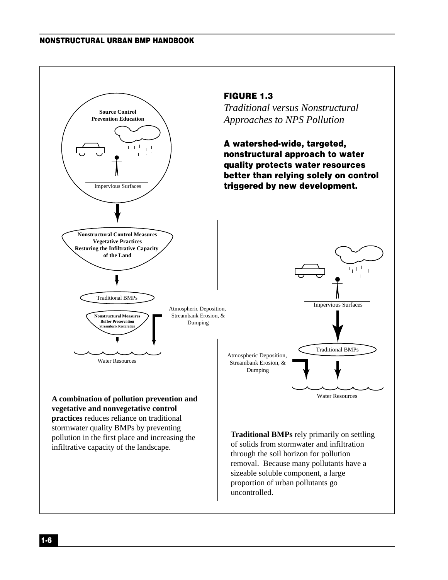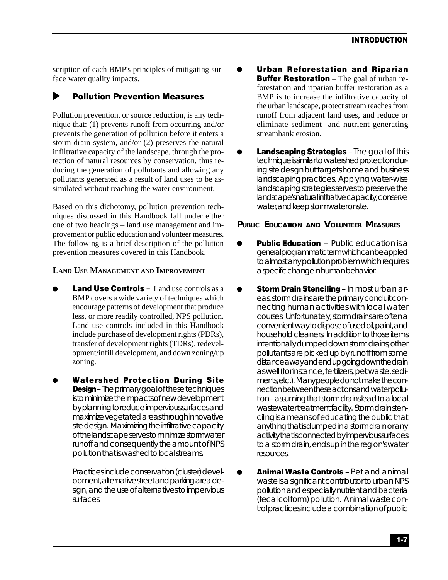scription of each BMP's principles of mitigating surface water quality impacts.

#### **Pollution Prevention Measures**

Pollution prevention, or source reduction, is any technique that: (1) prevents runoff from occurring and/or prevents the generation of pollution before it enters a storm drain system, and/or (2) preserves the natural infiltrative capacity of the landscape, through the protection of natural resources by conservation, thus reducing the generation of pollutants and allowing any pollutants generated as a result of land uses to be assimilated without reaching the water environment.

Based on this dichotomy, pollution prevention techniques discussed in this Handbook fall under either one of two headings – land use management and improvement or public education and volunteer measures. The following is a brief description of the pollution prevention measures covered in this Handbook.

#### **LAND USE MANAGEMENT AND IMPROVEMENT**

- **Land Use Controls** Land use controls as a BMP covers a wide variety of techniques which encourage patterns of development that produce less, or more readily controlled, NPS pollution. Land use controls included in this Handbook include purchase of development rights (PDRs), transfer of development rights (TDRs), redevelopment/infill development, and down zoning/up zoning.
- **Watershed Protection During Site Design** – The primary goal of these techniques is to minimize the impacts of new development by planning to reduce impervious surfaces and maximize vegetated areas through innovative site design. Maximizing the infiltrative capacity of the landscape serves to minimize stormwater runoff and consequently the amount of NPS pollution that is washed to local streams.

Practices include conservation (cluster) development, alternative street and parking area design, and the use of alternatives to impervious surfaces.

- **Urban Reforestation and Riparian Buffer Restoration** – The goal of urban reforestation and riparian buffer restoration as a BMP is to increase the infiltrative capacity of the urban landscape, protect stream reaches from runoff from adjacent land uses, and reduce or eliminate sediment- and nutrient-generating streambank erosion.
- **Landscaping Strategies**  The goal of this technique is similar to watershed protection during site design but targets home and business landscaping practices. Applying water-wise landscaping strategies serves to preserve the landscape's natural infiltrative capacity, conserve water, and keep stormwater onsite.

#### **PUBLIC EDUCATION AND VOLUNTEER MEASURES**

- **Public Education** Public education is a general programmatic term which can be applied to almost any pollution problem which requires a specific change in human behavior.
- **Storm Drain Stenciling**  In most urban areas, storm drains are the primary conduit connecting human activities with local water courses. Unfortunately, storm drains are often a convenient way to dispose of used oil, paint, and household cleaners. In addition to those items intentionally dumped down storm drains, other pollutants are picked up by runoff from some distance away and end up going down the drain as well (for instance, fertilizers, pet waste, sediments, etc.). Many people do not make the connection between these actions and water pollution – assuming that storm drains lead to a local wastewater treatment facility. Storm drain stenciling is a means of educating the public that anything that is dumped in a storm drain or any activity that is connected by impervious surfaces to a storm drain, ends up in the region's water resources.
- **Animal Waste Controls**  Pet and animal  $\bullet$ waste is a significant contributor to urban NPS pollution and especially nutrient and bacteria (fecal coliform) pollution. Animal waste control practices include a combination of public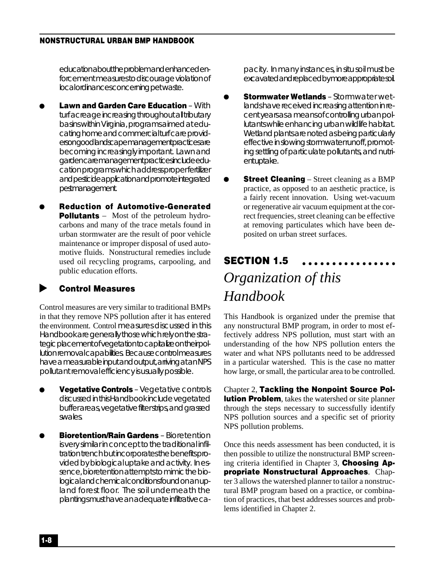education about the problem and enhanced enforcement measures to discourage violation of local ordinances concerning pet waste.

- **Lawn and Garden Care Education** With turf acreage increasing throughout all tributary basins within Virginia, programs aimed at educating home and commercial turf care providers on good landscape management practices are becoming increasingly important. Lawn and garden care management practices include education programs which address proper fertilizer and pesticide application and promote integrated pestmanagement.
- **Reduction of Automotive-Generated Pollutants** – Most of the petroleum hydrocarbons and many of the trace metals found in urban stormwater are the result of poor vehicle maintenance or improper disposal of used automotive fluids. Nonstructural remedies include used oil recycling programs, carpooling, and public education efforts.

#### **Control Measures**

Control measures are very similar to traditional BMPs in that they remove NPS pollution after it has entered the environment. Control measures discussed in this Handbook are generally those which rely on the strategic placement of vegetation to capitalize on their pollution removal capabilities. Because control measures have a measurable input and output, arriving at an NPS pollutant removal efficiency is usually possible.

- **Vegetative Controls**  Vegetative controls discussed in this Handbook include vegetated buffer areas, vegetative filter strips, and grassed swales.
- **Bioretention/Rain Gardens**  Bioretention is very similar in concept to the traditional infiltration trench but incorporates the benefits provided by biological uptake and activity. In essence, bioretention attempts to mimic the biological and chemical conditions found on an upland forest floor. The soil underneath the plantings must have an adequate infiltrative ca-

pacity. In many instances, *in situ* soil must be excavated and replaced by more appropriate soil.

- **Stormwater Wetlands** Stormwater wet- $\bullet$ lands have received increasing attention in recent years as a means of controlling urban pollutants while enhancing urban wildlife habitat. Wetland plants are noted as being particularly effective in slowing stormwater runoff, promoting settling of particulate pollutants, and nutrientuptake.
- **Street Cleaning** Street cleaning as a BMP practice, as opposed to an aesthetic practice, is a fairly recent innovation. Using wet-vacuum or regenerative air vacuum equipment at the correct frequencies, street cleaning can be effective at removing particulates which have been deposited on urban street surfaces.

## **SECTION 1.5** *Organization of this Handbook*

This Handbook is organized under the premise that any nonstructural BMP program, in order to most effectively address NPS pollution, must start with an understanding of the how NPS pollution enters the water and what NPS pollutants need to be addressed in a particular watershed. This is the case no matter how large, or small, the particular area to be controlled.

Chapter 2, **Tackling the Nonpoint Source Pollution Problem**, takes the watershed or site planner through the steps necessary to successfully identify NPS pollution sources and a specific set of priority NPS pollution problems.

Once this needs assessment has been conducted, it is then possible to utilize the nonstructural BMP screening criteria identified in Chapter 3, **Choosing Appropriate Nonstructural Approaches**. Chapter 3 allows the watershed planner to tailor a nonstructural BMP program based on a practice, or combination of practices, that best addresses sources and problems identified in Chapter 2.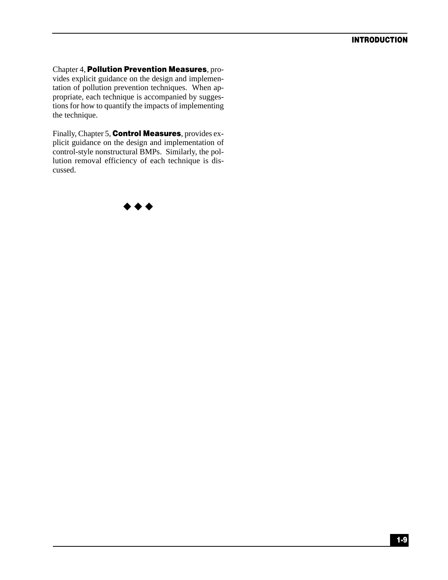Chapter 4, **Pollution Prevention Measures**, provides explicit guidance on the design and implementation of pollution prevention techniques. When appropriate, each technique is accompanied by suggestions for how to quantify the impacts of implementing the technique.

Finally, Chapter 5, **Control Measures**, provides explicit guidance on the design and implementation of control-style nonstructural BMPs. Similarly, the pollution removal efficiency of each technique is discussed.

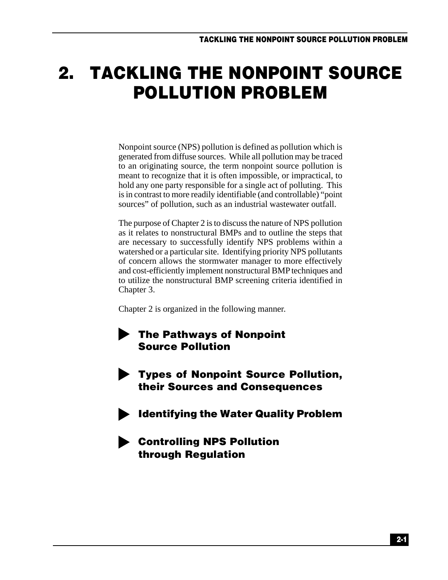## **2. TACKLING THE NONPOINT SOURCE POLLUTION PROBLEM**

Nonpoint source (NPS) pollution is defined as pollution which is generated from diffuse sources. While all pollution may be traced to an originating source, the term nonpoint source pollution is meant to recognize that it is often impossible, or impractical, to hold any one party responsible for a single act of polluting. This is in contrast to more readily identifiable (and controllable) "point sources" of pollution, such as an industrial wastewater outfall.

The purpose of Chapter 2 is to discuss the nature of NPS pollution as it relates to nonstructural BMPs and to outline the steps that are necessary to successfully identify NPS problems within a watershed or a particular site. Identifying priority NPS pollutants of concern allows the stormwater manager to more effectively and cost-efficiently implement nonstructural BMP techniques and to utilize the nonstructural BMP screening criteria identified in Chapter 3.

Chapter 2 is organized in the following manner.

### **The Pathways of Nonpoint Source Pollution**

- **Types of Nonpoint Source Pollution, their Sources and Consequences**
	- **Identifying the Water Quality Problem**
- **Controlling NPS Pollution through Regulation**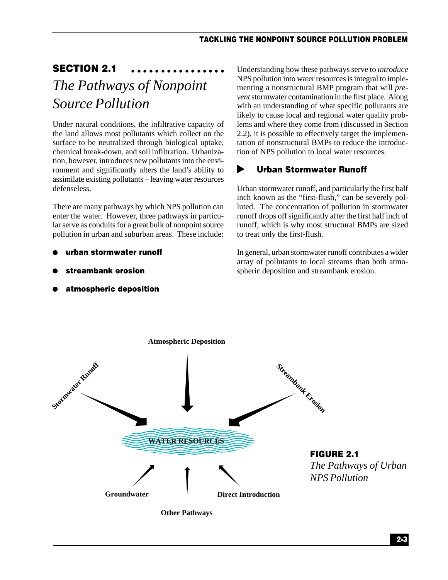### **SECTION 2.1**

## *The Pathways of Nonpoint Source Pollution*

Under natural conditions, the infiltrative capacity of the land allows most pollutants which collect on the surface to be neutralized through biological uptake, chemical break-down, and soil infiltration. Urbanization, however, introduces new pollutants into the environment and significantly alters the land's ability to assimilate existing pollutants – leaving water resources defenseless.

There are many pathways by which NPS pollution can enter the water. However, three pathways in particular serve as conduits for a great bulk of nonpoint source pollution in urban and suburban areas. These include:

- **urban stormwater runoff**
- **streambank erosion**
- **atmospheric deposition**

Understanding how these pathways serve to *introduce* NPS pollution into water resources is integral to implementing a nonstructural BMP program that will *prevent* stormwater contamination in the first place. Along with an understanding of what specific pollutants are likely to cause local and regional water quality problems and where they come from (discussed in Section 2.2), it is possible to effectively target the implementation of nonstructural BMPs to reduce the introduction of NPS pollution to local water resources.

#### **Urban Stormwater Runoff**

Urban stormwater runoff, and particularly the first half inch known as the "first-flush," can be severely polluted. The concentration of pollution in stormwater runoff drops off significantly after the first half inch of runoff, which is why most structural BMPs are sized to treat only the first-flush.

In general, urban stormwater runoff contributes a wider array of pollutants to local streams than both atmospheric deposition and streambank erosion.

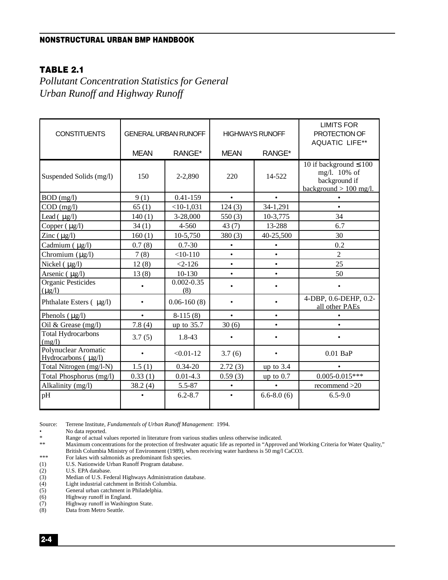#### **TABLE 2.1**

*Pollutant Concentration Statistics for General Urban Runoff and Highway Runoff*

| <b>CONSTITUENTS</b><br><b>GENERAL URBAN RUNOFF</b> |             | <b>HIGHWAYS RUNOFF</b> |             | <b>LIMITS FOR</b><br>PROTECTION OF<br><b>AQUATIC LIFE**</b> |                                                                                          |
|----------------------------------------------------|-------------|------------------------|-------------|-------------------------------------------------------------|------------------------------------------------------------------------------------------|
|                                                    | <b>MEAN</b> | RANGE*                 | <b>MEAN</b> | RANGE*                                                      |                                                                                          |
| Suspended Solids (mg/l)                            | 150         | 2-2,890                | 220         | 14-522                                                      | 10 if background $\leq 100$<br>mg/l. 10% of<br>background if<br>background $> 100$ mg/l. |
| BOD (mg/l)                                         | 9(1)        | $0.41 - 159$           | $\bullet$   | $\bullet$                                                   |                                                                                          |
| $COD$ (mg/l)                                       | 65(1)       | $<10-1,031$            | 124(3)      | 34-1,291                                                    |                                                                                          |
| Lead $(\mu g/l)$                                   | 140(1)      | 3-28,000               | 550 $(3)$   | 10-3,775                                                    | 34                                                                                       |
| Copper $(\mu g/l)$                                 | 34(1)       | $4 - 560$              | 43(7)       | 13-288                                                      | 6.7                                                                                      |
| Zinc $(\mu g/l)$                                   | 160(1)      | 10-5,750               | 380(3)      | 40-25,500                                                   | 30                                                                                       |
| Cadmium $(\mu g/l)$                                | 0.7(8)      | $0.7 - 30$             | $\bullet$   |                                                             | 0.2                                                                                      |
| Chromium $(\mu g/l)$                               | 7(8)        | $<$ 10-110             | $\bullet$   | $\bullet$                                                   | $\overline{2}$                                                                           |
| Nickel $(\mu g/l)$                                 | 12(8)       | $<2-126$               | $\bullet$   | $\bullet$                                                   | 25                                                                                       |
| Arsenic $(\mu g/l)$                                | 13(8)       | 10-130                 | $\bullet$   | $\bullet$                                                   | 50                                                                                       |
| <b>Organic Pesticides</b><br>$(\mu g/l)$           |             | $0.002 - 0.35$<br>(8)  |             |                                                             |                                                                                          |
| Phthalate Esters $(\mu g/l)$                       | $\bullet$   | $0.06 - 160(8)$        | $\bullet$   |                                                             | 4-DBP, 0.6-DEHP, 0.2-<br>all other PAEs                                                  |
| Phenols $(\mu g/l)$                                | $\bullet$   | $8-115(8)$             | $\bullet$   | $\bullet$                                                   |                                                                                          |
| Oil & Grease (mg/l)                                | 7.8(4)      | up to 35.7             | 30(6)       | $\bullet$                                                   |                                                                                          |
| <b>Total Hydrocarbons</b><br>(mg/l)                | 3.7(5)      | 1.8-43                 |             |                                                             |                                                                                          |
| Polynuclear Aromatic<br>Hydrocarbons $(\mu g/l)$   | $\bullet$   | $< 0.01 - 12$          | 3.7(6)      | $\bullet$                                                   | $0.01$ BaP                                                                               |
| Total Nitrogen (mg/l-N)                            | 1.5(1)      | $0.34 - 20$            | 2.72(3)     | up to $3.4$                                                 |                                                                                          |
| Total Phosphorus (mg/l)                            | 0.33(1)     | $0.01 - 4.3$           | 0.59(3)     | $up$ to 0.7                                                 | $0.005 - 0.015***$                                                                       |
| Alkalinity (mg/l)                                  | 38.2(4)     | 5.5-87                 |             |                                                             | recommend $>20$                                                                          |
| pH                                                 |             | $6.2 - 8.7$            | $\bullet$   | $6.6 - 8.0(6)$                                              | $6.5 - 9.0$                                                                              |

Source: Terrene Institute, *Fundamentals of Urban Runoff Management*: 1994.

• No data reported.<br>• **Representative** 

\* Range of actual values reported in literature from various studies unless otherwise indicated.<br>\* Maximum concentrations for the protection of freshwater aquatic life as reported in "Approve

Maximum concentrations for the protection of freshwater aquatic life as reported in "Approved and Working Criteria for Water Quality," British Columbia Ministry of Environment (1989), when receiving water hardness is 50 mg/l CaCO3.

\*\*\* For lakes with salmonids as predominant fish species.<br>
(1) U.S. Nationwide Urban Runoff Program database.

- U.S. Nationwide Urban Runoff Program database.
- (2) U.S. EPA database.
- (3) Median of U.S. Federal Highways Administration database.<br>
(4) Light industrial catchment in British Columbia.

(4) Light industrial catchment in British Columbia.

(5) General urban catchment in Philadelphia.<br>
(6) Highway runoff in England.

Highway runoff in England.

(7) Highway runoff in Washington State.

(8) Data from Metro Seattle.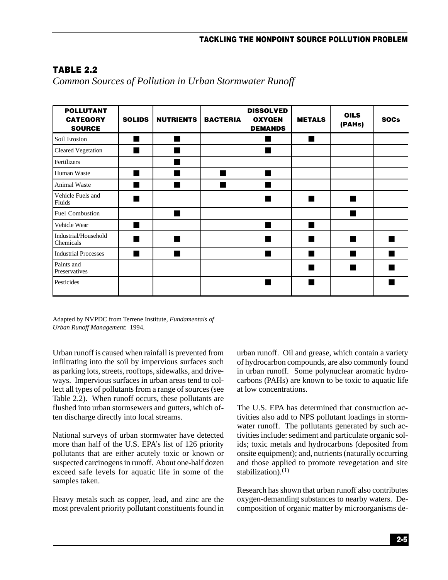| <b>POLLUTANT</b><br><b>CATEGORY</b><br><b>SOURCE</b> | <b>SOLIDS</b> | <b>NUTRIENTS</b> | <b>BACTERIA</b> | <b>DISSOLVED</b><br><b>OXYGEN</b><br><b>DEMANDS</b> | <b>METALS</b>  | <b>OILS</b><br>(PAHs) | <b>SOCs</b> |
|------------------------------------------------------|---------------|------------------|-----------------|-----------------------------------------------------|----------------|-----------------------|-------------|
| Soil Erosion                                         | ٠             |                  |                 | ٠                                                   | $\blacksquare$ |                       |             |
| <b>Cleared Vegetation</b>                            |               |                  |                 | ٠                                                   |                |                       |             |
| Fertilizers                                          |               |                  |                 |                                                     |                |                       |             |
| Human Waste                                          |               |                  | $\blacksquare$  | п                                                   |                |                       |             |
| <b>Animal Waste</b>                                  |               |                  |                 | a ka                                                |                |                       |             |
| Vehicle Fuels and<br>Fluids                          |               |                  |                 | ٠                                                   | $\blacksquare$ |                       |             |
| Fuel Combustion                                      |               | ٠                |                 |                                                     |                |                       |             |
| Vehicle Wear                                         |               |                  |                 | a an                                                | ш              |                       |             |
| Industrial/Household<br>Chemicals                    |               |                  |                 | ٠                                                   | ٠              |                       |             |
| <b>Industrial Processes</b>                          |               |                  |                 | $\blacksquare$                                      | ■              |                       | ٠           |
| Paints and<br>Preservatives                          |               |                  |                 |                                                     | ■              |                       |             |
| Pesticides                                           |               |                  |                 | $\mathbf{r}$                                        | ■              |                       |             |

#### **TABLE 2.2**

*Common Sources of Pollution in Urban Stormwater Runoff*

Adapted by NVPDC from Terrene Institute, *Fundamentals of Urban Runoff Management*: 1994.

Urban runoff is caused when rainfall is prevented from infiltrating into the soil by impervious surfaces such as parking lots, streets, rooftops, sidewalks, and driveways. Impervious surfaces in urban areas tend to collect all types of pollutants from a range of sources (see Table 2.2). When runoff occurs, these pollutants are flushed into urban stormsewers and gutters, which often discharge directly into local streams.

National surveys of urban stormwater have detected more than half of the U.S. EPA's list of 126 priority pollutants that are either acutely toxic or known or suspected carcinogens in runoff. About one-half dozen exceed safe levels for aquatic life in some of the samples taken.

Heavy metals such as copper, lead, and zinc are the most prevalent priority pollutant constituents found in

urban runoff. Oil and grease, which contain a variety of hydrocarbon compounds, are also commonly found in urban runoff. Some polynuclear aromatic hydrocarbons (PAHs) are known to be toxic to aquatic life at low concentrations.

The U.S. EPA has determined that construction activities also add to NPS pollutant loadings in stormwater runoff. The pollutants generated by such activities include: sediment and particulate organic solids; toxic metals and hydrocarbons (deposited from onsite equipment); and, nutrients (naturally occurring and those applied to promote revegetation and site stabilization). $(1)$ 

Research has shown that urban runoff also contributes oxygen-demanding substances to nearby waters. Decomposition of organic matter by microorganisms de-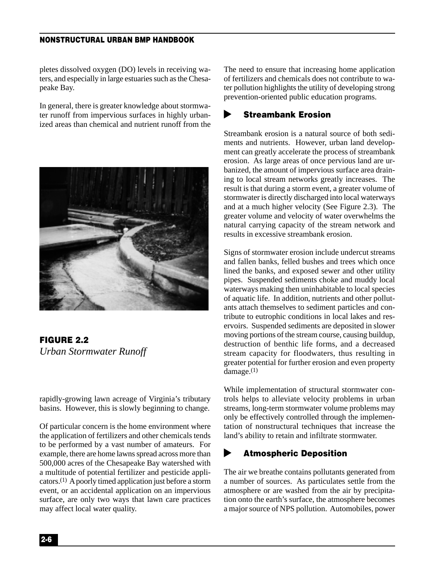pletes dissolved oxygen (DO) levels in receiving waters, and especially in large estuaries such as the Chesapeake Bay.

In general, there is greater knowledge about stormwater runoff from impervious surfaces in highly urbanized areas than chemical and nutrient runoff from the



**FIGURE 2.2** *Urban Stormwater Runoff*

rapidly-growing lawn acreage of Virginia's tributary basins. However, this is slowly beginning to change.

Of particular concern is the home environment where the application of fertilizers and other chemicals tends to be performed by a vast number of amateurs. For example, there are home lawns spread across more than 500,000 acres of the Chesapeake Bay watershed with a multitude of potential fertilizer and pesticide applicators.(1) A poorly timed application just before a storm event, or an accidental application on an impervious surface, are only two ways that lawn care practices may affect local water quality.

The need to ensure that increasing home application of fertilizers and chemicals does not contribute to water pollution highlights the utility of developing strong prevention-oriented public education programs.

#### **Streambank Erosion**

Streambank erosion is a natural source of both sediments and nutrients. However, urban land development can greatly accelerate the process of streambank erosion. As large areas of once pervious land are urbanized, the amount of impervious surface area draining to local stream networks greatly increases. The result is that during a storm event, a greater volume of stormwater is directly discharged into local waterways and at a much higher velocity (See Figure 2.3). The greater volume and velocity of water overwhelms the natural carrying capacity of the stream network and results in excessive streambank erosion.

Signs of stormwater erosion include undercut streams and fallen banks, felled bushes and trees which once lined the banks, and exposed sewer and other utility pipes. Suspended sediments choke and muddy local waterways making then uninhabitable to local species of aquatic life. In addition, nutrients and other pollutants attach themselves to sediment particles and contribute to eutrophic conditions in local lakes and reservoirs. Suspended sediments are deposited in slower moving portions of the stream course, causing buildup, destruction of benthic life forms, and a decreased stream capacity for floodwaters, thus resulting in greater potential for further erosion and even property damage.(1)

While implementation of structural stormwater controls helps to alleviate velocity problems in urban streams, long-term stormwater volume problems may only be effectively controlled through the implementation of nonstructural techniques that increase the land's ability to retain and infiltrate stormwater.

#### **Atmospheric Deposition**

The air we breathe contains pollutants generated from a number of sources. As particulates settle from the atmosphere or are washed from the air by precipitation onto the earth's surface, the atmosphere becomes a major source of NPS pollution. Automobiles, power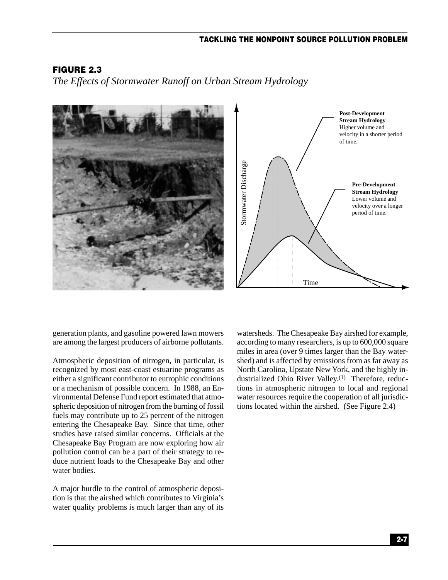#### **FIGURE 2.3**

*The Effects of Stormwater Runoff on Urban Stream Hydrology*





generation plants, and gasoline powered lawn mowers are among the largest producers of airborne pollutants.

Atmospheric deposition of nitrogen, in particular, is recognized by most east-coast estuarine programs as either a significant contributor to eutrophic conditions or a mechanism of possible concern. In 1988, an Environmental Defense Fund report estimated that atmospheric deposition of nitrogen from the burning of fossil fuels may contribute up to 25 percent of the nitrogen entering the Chesapeake Bay. Since that time, other studies have raised similar concerns. Officials at the Chesapeake Bay Program are now exploring how air pollution control can be a part of their strategy to reduce nutrient loads to the Chesapeake Bay and other water bodies.

A major hurdle to the control of atmospheric deposition is that the airshed which contributes to Virginia's water quality problems is much larger than any of its watersheds. The Chesapeake Bay airshed for example, according to many researchers, is up to 600,000 square miles in area (over 9 times larger than the Bay watershed) and is affected by emissions from as far away as North Carolina, Upstate New York, and the highly industrialized Ohio River Valley.<sup>(1)</sup> Therefore, reductions in atmospheric nitrogen to local and regional water resources require the cooperation of all jurisdictions located within the airshed. (See Figure 2.4)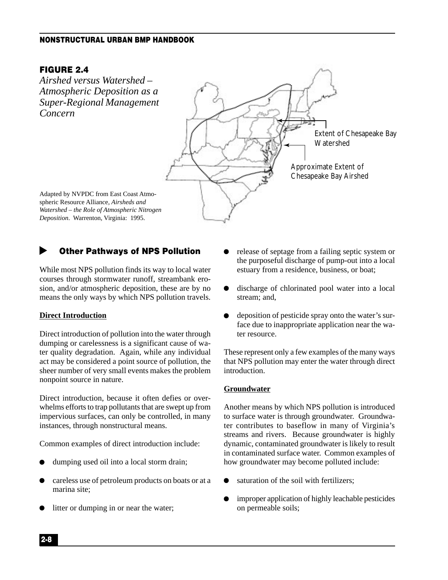#### **FIGURE 2.4**

*Airshed versus Watershed – Atmospheric Deposition as a Super-Regional Management Concern*



Adapted by NVPDC from East Coast Atmospheric Resource Alliance, *Airsheds and Watershed – the Role of Atmospheric Nitrogen Deposition*. Warrenton, Virginia: 1995.

#### **Other Pathways of NPS Pollution**

While most NPS pollution finds its way to local water courses through stormwater runoff, streambank erosion, and/or atmospheric deposition, these are by no means the only ways by which NPS pollution travels.

#### **Direct Introduction**

Direct introduction of pollution into the water through dumping or carelessness is a significant cause of water quality degradation. Again, while any individual act may be considered a point source of pollution, the sheer number of very small events makes the problem nonpoint source in nature.

Direct introduction, because it often defies or overwhelms efforts to trap pollutants that are swept up from impervious surfaces, can only be controlled, in many instances, through nonstructural means.

Common examples of direct introduction include:

- dumping used oil into a local storm drain;
- careless use of petroleum products on boats or at a marina site;
- litter or dumping in or near the water;
- release of septage from a failing septic system or the purposeful discharge of pump-out into a local estuary from a residence, business, or boat;
- $\bullet$ discharge of chlorinated pool water into a local stream; and,
- deposition of pesticide spray onto the water's sur- $\bullet$ face due to inappropriate application near the water resource.

These represent only a few examples of the many ways that NPS pollution may enter the water through direct introduction.

#### **Groundwater**

Another means by which NPS pollution is introduced to surface water is through groundwater. Groundwater contributes to baseflow in many of Virginia's streams and rivers. Because groundwater is highly dynamic, contaminated groundwater is likely to result in contaminated surface water. Common examples of how groundwater may become polluted include:

- saturation of the soil with fertilizers;
- improper application of highly leachable pesticides on permeable soils;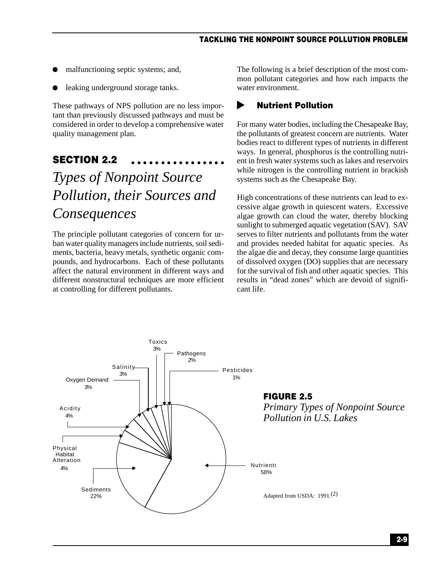- malfunctioning septic systems; and,
- leaking underground storage tanks.

These pathways of NPS pollution are no less important than previously discussed pathways and must be considered in order to develop a comprehensive water quality management plan.

### **SECTION 2.2**

## *Types of Nonpoint Source Pollution, their Sources and Consequences*

The principle pollutant categories of concern for urban water quality managers include nutrients, soil sediments, bacteria, heavy metals, synthetic organic compounds, and hydrocarbons. Each of these pollutants affect the natural environment in different ways and different nonstructural techniques are more efficient at controlling for different pollutants.

The following is a brief description of the most common pollutant categories and how each impacts the water environment.

#### **Nutrient Pollution**

For many water bodies, including the Chesapeake Bay, the pollutants of greatest concern are nutrients. Water bodies react to different types of nutrients in different ways. In general, phosphorus is the controlling nutrient in fresh water systems such as lakes and reservoirs while nitrogen is the controlling nutrient in brackish systems such as the Chesapeake Bay.

High concentrations of these nutrients can lead to excessive algae growth in quiescent waters. Excessive algae growth can cloud the water, thereby blocking sunlight to submerged aquatic vegetation (SAV). SAV serves to filter nutrients and pollutants from the water and provides needed habitat for aquatic species. As the algae die and decay, they consume large quantities of dissolved oxygen (DO) supplies that are necessary for the survival of fish and other aquatic species. This results in "dead zones" which are devoid of significant life.

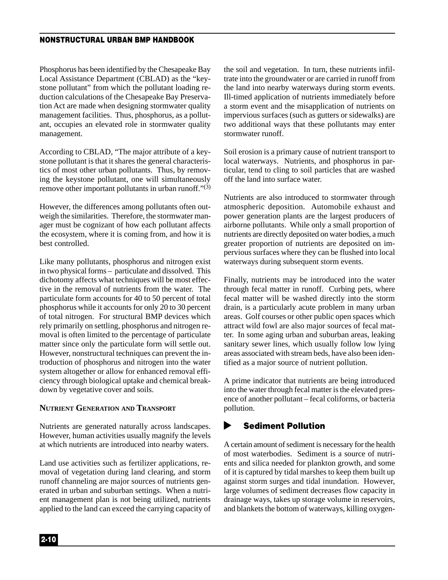Phosphorus has been identified by the Chesapeake Bay Local Assistance Department (CBLAD) as the "keystone pollutant" from which the pollutant loading reduction calculations of the Chesapeake Bay Preservation Act are made when designing stormwater quality management facilities. Thus, phosphorus, as a pollutant, occupies an elevated role in stormwater quality management.

According to CBLAD, "The major attribute of a keystone pollutant is that it shares the general characteristics of most other urban pollutants. Thus, by removing the keystone pollutant, one will simultaneously remove other important pollutants in urban runoff."(3)

However, the differences among pollutants often outweigh the similarities. Therefore, the stormwater manager must be cognizant of how each pollutant affects the ecosystem, where it is coming from, and how it is best controlled.

Like many pollutants, phosphorus and nitrogen exist in two physical forms – particulate and dissolved. This dichotomy affects what techniques will be most effective in the removal of nutrients from the water. The particulate form accounts for 40 to 50 percent of total phosphorus while it accounts for only 20 to 30 percent of total nitrogen. For structural BMP devices which rely primarily on settling, phosphorus and nitrogen removal is often limited to the percentage of particulate matter since only the particulate form will settle out. However, nonstructural techniques can prevent the introduction of phosphorus and nitrogen into the water system altogether or allow for enhanced removal efficiency through biological uptake and chemical breakdown by vegetative cover and soils.

#### **NUTRIENT GENERATION AND TRANSPORT**

Nutrients are generated naturally across landscapes. However, human activities usually magnify the levels at which nutrients are introduced into nearby waters.

Land use activities such as fertilizer applications, removal of vegetation during land clearing, and storm runoff channeling are major sources of nutrients generated in urban and suburban settings. When a nutrient management plan is not being utilized, nutrients applied to the land can exceed the carrying capacity of the soil and vegetation. In turn, these nutrients infiltrate into the groundwater or are carried in runoff from the land into nearby waterways during storm events. Ill-timed application of nutrients immediately before a storm event and the misapplication of nutrients on impervious surfaces (such as gutters or sidewalks) are two additional ways that these pollutants may enter stormwater runoff.

Soil erosion is a primary cause of nutrient transport to local waterways. Nutrients, and phosphorus in particular, tend to cling to soil particles that are washed off the land into surface water.

Nutrients are also introduced to stormwater through atmospheric deposition. Automobile exhaust and power generation plants are the largest producers of airborne pollutants. While only a small proportion of nutrients are directly deposited on water bodies, a much greater proportion of nutrients are deposited on impervious surfaces where they can be flushed into local waterways during subsequent storm events.

Finally, nutrients may be introduced into the water through fecal matter in runoff. Curbing pets, where fecal matter will be washed directly into the storm drain, is a particularly acute problem in many urban areas. Golf courses or other public open spaces which attract wild fowl are also major sources of fecal matter. In some aging urban and suburban areas, leaking sanitary sewer lines, which usually follow low lying areas associated with stream beds, have also been identified as a major source of nutrient pollution.

A prime indicator that nutrients are being introduced into the water through fecal matter is the elevated presence of another pollutant – fecal coliforms, or bacteria pollution.

#### **Sediment Pollution**

A certain amount of sediment is necessary for the health of most waterbodies. Sediment is a source of nutrients and silica needed for plankton growth, and some of it is captured by tidal marshes to keep them built up against storm surges and tidal inundation. However, large volumes of sediment decreases flow capacity in drainage ways, takes up storage volume in reservoirs, and blankets the bottom of waterways, killing oxygen-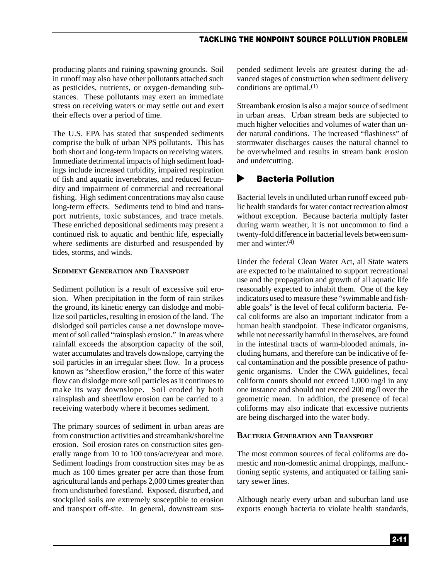#### **TACKLING THE NONPOINT SOURCE POLLUTION PROBLEM**

producing plants and ruining spawning grounds. Soil in runoff may also have other pollutants attached such as pesticides, nutrients, or oxygen-demanding substances. These pollutants may exert an immediate stress on receiving waters or may settle out and exert their effects over a period of time.

The U.S. EPA has stated that suspended sediments comprise the bulk of urban NPS pollutants. This has both short and long-term impacts on receiving waters. Immediate detrimental impacts of high sediment loadings include increased turbidity, impaired respiration of fish and aquatic invertebrates, and reduced fecundity and impairment of commercial and recreational fishing. High sediment concentrations may also cause long-term effects. Sediments tend to bind and transport nutrients, toxic substances, and trace metals. These enriched depositional sediments may present a continued risk to aquatic and benthic life, especially where sediments are disturbed and resuspended by tides, storms, and winds.

#### **SEDIMENT GENERATION AND TRANSPORT**

Sediment pollution is a result of excessive soil erosion. When precipitation in the form of rain strikes the ground, its kinetic energy can dislodge and mobilize soil particles, resulting in erosion of the land. The dislodged soil particles cause a net downslope movement of soil called "rainsplash erosion." In areas where rainfall exceeds the absorption capacity of the soil, water accumulates and travels downslope, carrying the soil particles in an irregular sheet flow. In a process known as "sheetflow erosion," the force of this water flow can dislodge more soil particles as it continues to make its way downslope. Soil eroded by both rainsplash and sheetflow erosion can be carried to a receiving waterbody where it becomes sediment.

The primary sources of sediment in urban areas are from construction activities and streambank/shoreline erosion. Soil erosion rates on construction sites generally range from 10 to 100 tons/acre/year and more. Sediment loadings from construction sites may be as much as 100 times greater per acre than those from agricultural lands and perhaps 2,000 times greater than from undisturbed forestland. Exposed, disturbed, and stockpiled soils are extremely susceptible to erosion and transport off-site. In general, downstream suspended sediment levels are greatest during the advanced stages of construction when sediment delivery conditions are optimal.(1)

Streambank erosion is also a major source of sediment in urban areas. Urban stream beds are subjected to much higher velocities and volumes of water than under natural conditions. The increased "flashiness" of stormwater discharges causes the natural channel to be overwhelmed and results in stream bank erosion and undercutting.

#### **Bacteria Pollution**

Bacterial levels in undiluted urban runoff exceed public health standards for water contact recreation almost without exception. Because bacteria multiply faster during warm weather, it is not uncommon to find a twenty-fold difference in bacterial levels between summer and winter.<sup>(4)</sup>

Under the federal Clean Water Act, all State waters are expected to be maintained to support recreational use and the propagation and growth of all aquatic life reasonably expected to inhabit them. One of the key indicators used to measure these "swimmable and fishable goals" is the level of fecal coliform bacteria. Fecal coliforms are also an important indicator from a human health standpoint. These indicator organisms, while not necessarily harmful in themselves, are found in the intestinal tracts of warm-blooded animals, including humans, and therefore can be indicative of fecal contamination and the possible presence of pathogenic organisms. Under the CWA guidelines, fecal coliform counts should not exceed 1,000 mg/l in any one instance and should not exceed 200 mg/l over the geometric mean. In addition, the presence of fecal coliforms may also indicate that excessive nutrients are being discharged into the water body.

#### **BACTERIA GENERATION AND TRANSPORT**

The most common sources of fecal coliforms are domestic and non-domestic animal droppings, malfunctioning septic systems, and antiquated or failing sanitary sewer lines.

Although nearly every urban and suburban land use exports enough bacteria to violate health standards,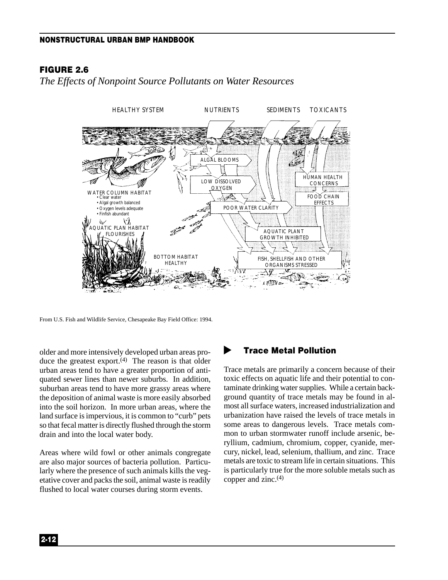#### **FIGURE 2.6**

*The Effects of Nonpoint Source Pollutants on Water Resources*



From U.S. Fish and Wildlife Service, Chesapeake Bay Field Office: 1994.

older and more intensively developed urban areas produce the greatest export. $(4)$  The reason is that older urban areas tend to have a greater proportion of antiquated sewer lines than newer suburbs. In addition, suburban areas tend to have more grassy areas where the deposition of animal waste is more easily absorbed into the soil horizon. In more urban areas, where the land surface is impervious, it is common to "curb" pets so that fecal matter is directly flushed through the storm drain and into the local water body.

Areas where wild fowl or other animals congregate are also major sources of bacteria pollution. Particularly where the presence of such animals kills the vegetative cover and packs the soil, animal waste is readily flushed to local water courses during storm events.

#### **Trace Metal Pollution**

Trace metals are primarily a concern because of their toxic effects on aquatic life and their potential to contaminate drinking water supplies. While a certain background quantity of trace metals may be found in almost all surface waters, increased industrialization and urbanization have raised the levels of trace metals in some areas to dangerous levels. Trace metals common to urban stormwater runoff include arsenic, beryllium, cadmium, chromium, copper, cyanide, mercury, nickel, lead, selenium, thallium, and zinc. Trace metals are toxic to stream life in certain situations. This is particularly true for the more soluble metals such as copper and zinc. $(4)$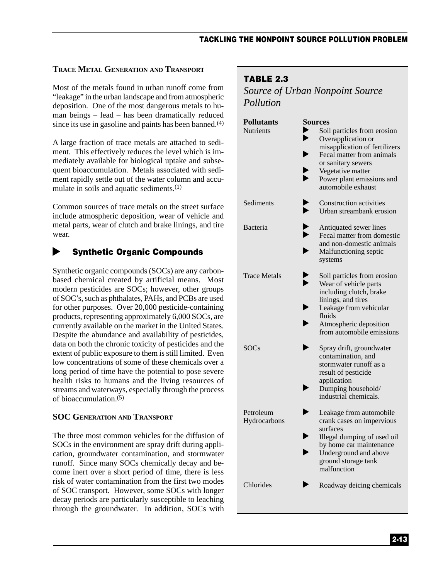#### **TRACE METAL GENERATION AND TRANSPORT**

Most of the metals found in urban runoff come from "leakage" in the urban landscape and from atmospheric deposition. One of the most dangerous metals to human beings – lead – has been dramatically reduced since its use in gasoline and paints has been banned.<sup>(4)</sup>

A large fraction of trace metals are attached to sediment. This effectively reduces the level which is immediately available for biological uptake and subsequent bioaccumulation. Metals associated with sediment rapidly settle out of the water column and accumulate in soils and aquatic sediments.<sup>(1)</sup>

Common sources of trace metals on the street surface include atmospheric deposition, wear of vehicle and metal parts, wear of clutch and brake linings, and tire wear.

#### **Synthetic Organic Compounds**

Synthetic organic compounds (SOCs) are any carbonbased chemical created by artificial means. Most modern pesticides are SOCs; however, other groups of SOC's, such as phthalates, PAHs, and PCBs are used for other purposes. Over 20,000 pesticide-containing products, representing approximately 6,000 SOCs, are currently available on the market in the United States. Despite the abundance and availability of pesticides, data on both the chronic toxicity of pesticides and the extent of public exposure to them is still limited. Even low concentrations of some of these chemicals over a long period of time have the potential to pose severe health risks to humans and the living resources of streams and waterways, especially through the process of bioaccumulation.(5)

#### **SOC GENERATION AND TRANSPORT**

The three most common vehicles for the diffusion of SOCs in the environment are spray drift during application, groundwater contamination, and stormwater runoff. Since many SOCs chemically decay and become inert over a short period of time, there is less risk of water contamination from the first two modes of SOC transport. However, some SOCs with longer decay periods are particularly susceptible to leaching through the groundwater. In addition, SOCs with

#### **TABLE 2.3**

*Source of Urban Nonpoint Source Pollution*

| <b>Pollutants</b><br><b>Nutrients</b> | <b>Sources</b>        | Soil particles from erosion<br>Overapplication or<br>misapplication of fertilizers<br>Fecal matter from animals<br>or sanitary sewers<br>Vegetative matter<br>Power plant emissions and<br>automobile exhaust |
|---------------------------------------|-----------------------|---------------------------------------------------------------------------------------------------------------------------------------------------------------------------------------------------------------|
| Sediments                             | $\blacktriangleright$ | <b>Construction activities</b><br>Urban streambank erosion                                                                                                                                                    |
| Bacteria                              | $\blacktriangleright$ | Antiquated sewer lines<br>Fecal matter from domestic<br>and non-domestic animals<br>Malfunctioning septic<br>systems                                                                                          |
| <b>Trace Metals</b>                   |                       | Soil particles from erosion<br>Wear of vehicle parts<br>including clutch, brake<br>linings, and tires<br>Leakage from vehicular<br>fluids<br>Atmospheric deposition<br>from automobile emissions              |
| SOCs                                  |                       | Spray drift, groundwater<br>contamination, and<br>stormwater runoff as a<br>result of pesticide<br>application<br>Dumping household/<br>industrial chemicals.                                                 |
| Petroleum<br>Hydrocarbons             |                       | Leakage from automobile<br>crank cases on impervious<br>surfaces<br>Illegal dumping of used oil<br>by home car maintenance<br>Underground and above<br>ground storage tank<br>malfunction                     |
| Chlorides                             |                       | Roadway deicing chemicals                                                                                                                                                                                     |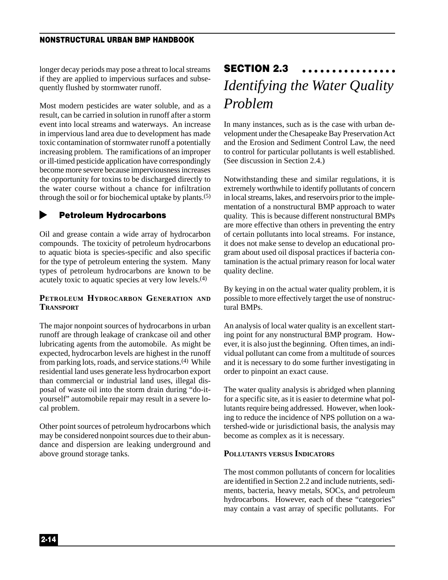longer decay periods may pose a threat to local streams if they are applied to impervious surfaces and subsequently flushed by stormwater runoff.

Most modern pesticides are water soluble, and as a result, can be carried in solution in runoff after a storm event into local streams and waterways. An increase in impervious land area due to development has made toxic contamination of stormwater runoff a potentially increasing problem. The ramifications of an improper or ill-timed pesticide application have correspondingly become more severe because imperviousness increases the opportunity for toxins to be discharged directly to the water course without a chance for infiltration through the soil or for biochemical uptake by plants.(5)

#### **Petroleum Hydrocarbons**

Oil and grease contain a wide array of hydrocarbon compounds. The toxicity of petroleum hydrocarbons to aquatic biota is species-specific and also specific for the type of petroleum entering the system. Many types of petroleum hydrocarbons are known to be acutely toxic to aquatic species at very low levels.(4)

#### **PETROLEUM HYDROCARBON GENERATION AND TRANSPORT**

The major nonpoint sources of hydrocarbons in urban runoff are through leakage of crankcase oil and other lubricating agents from the automobile. As might be expected, hydrocarbon levels are highest in the runoff from parking lots, roads, and service stations.(4) While residential land uses generate less hydrocarbon export than commercial or industrial land uses, illegal disposal of waste oil into the storm drain during "do-ityourself" automobile repair may result in a severe local problem.

Other point sources of petroleum hydrocarbons which may be considered nonpoint sources due to their abundance and dispersion are leaking underground and above ground storage tanks.

# **SECTION 2.3** *Identifying the Water Quality Problem*

In many instances, such as is the case with urban development under the Chesapeake Bay Preservation Act and the Erosion and Sediment Control Law, the need to control for particular pollutants is well established. (See discussion in Section 2.4.)

Notwithstanding these and similar regulations, it is extremely worthwhile to identify pollutants of concern in local streams, lakes, and reservoirs prior to the implementation of a nonstructural BMP approach to water quality. This is because different nonstructural BMPs are more effective than others in preventing the entry of certain pollutants into local streams. For instance, it does not make sense to develop an educational program about used oil disposal practices if bacteria contamination is the actual primary reason for local water quality decline.

By keying in on the actual water quality problem, it is possible to more effectively target the use of nonstructural BMPs.

An analysis of local water quality is an excellent starting point for any nonstructural BMP program. However, it is also just the beginning. Often times, an individual pollutant can come from a multitude of sources and it is necessary to do some further investigating in order to pinpoint an exact cause.

The water quality analysis is abridged when planning for a specific site, as it is easier to determine what pollutants require being addressed. However, when looking to reduce the incidence of NPS pollution on a watershed-wide or jurisdictional basis, the analysis may become as complex as it is necessary.

#### **POLLUTANTS VERSUS INDICATORS**

The most common pollutants of concern for localities are identified in Section 2.2 and include nutrients, sediments, bacteria, heavy metals, SOCs, and petroleum hydrocarbons. However, each of these "categories" may contain a vast array of specific pollutants. For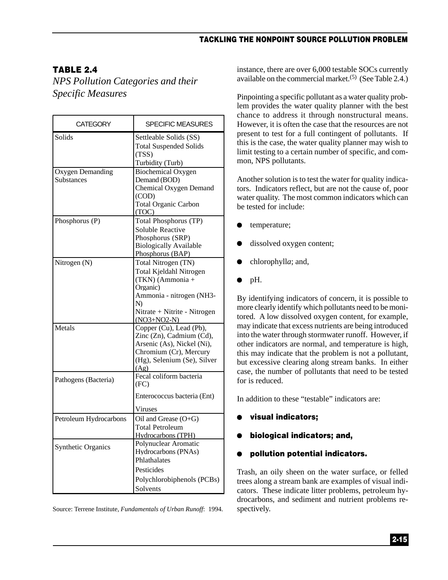## **TABLE 2.4**

*NPS Pollution Categories and their Specific Measures*

| <b>CATEGORY</b>                | <b>SPECIFIC MEASURES</b>                                                                                                                                          |
|--------------------------------|-------------------------------------------------------------------------------------------------------------------------------------------------------------------|
| Solids                         | Settleable Solids (SS)<br><b>Total Suspended Solids</b><br>(TSS)                                                                                                  |
|                                | Turbidity (Turb)                                                                                                                                                  |
| Oxygen Demanding<br>Substances | <b>Biochemical Oxygen</b><br>Demand (BOD)<br>Chemical Oxygen Demand<br>(COD)<br><b>Total Organic Carbon</b>                                                       |
|                                | (TOC)                                                                                                                                                             |
| Phosphorus (P)                 | Total Phosphorus (TP)<br><b>Soluble Reactive</b><br>Phosphorus (SRP)<br><b>Biologically Available</b><br>Phosphorus (BAP)                                         |
| Nitrogen (N)                   | Total Nitrogen (TN)<br>Total Kjeldahl Nitrogen<br>(TKN) (Ammonia +<br>Organic)<br>Ammonia - nitrogen (NH3-<br>N)<br>Nitrate + Nitrite - Nitrogen<br>$(NO3+NO2-N)$ |
| Metals                         | Copper (Cu), Lead (Pb),<br>Zinc (Zn), Cadmium (Cd),<br>Arsenic (As), Nickel (Ni),<br>Chromium (Cr), Mercury<br>(Hg), Selenium (Se), Silver<br>(Ag)                |
| Pathogens (Bacteria)           | Fecal coliform bacteria<br>(FC)<br>Enterococcus bacteria (Ent)<br>Viruses                                                                                         |
| Petroleum Hydrocarbons         | Oil and Grease $(O+G)$<br><b>Total Petroleum</b><br>Hydrocarbons (TPH)                                                                                            |
| <b>Synthetic Organics</b>      | Polynuclear Aromatic<br>Hydrocarbons (PNAs)<br>Phlathalates<br>Pesticides<br>Polychlorobiphenols (PCBs)<br>Solvents                                               |

Source: Terrene Institute, *Fundamentals of Urban Runoff*: 1994.

instance, there are over 6,000 testable SOCs currently available on the commercial market.(5) (See Table 2.4.)

Pinpointing a specific pollutant as a water quality problem provides the water quality planner with the best chance to address it through nonstructural means. However, it is often the case that the resources are not present to test for a full contingent of pollutants. If this is the case, the water quality planner may wish to limit testing to a certain number of specific, and common, NPS pollutants.

Another solution is to test the water for quality indicators. Indicators reflect, but are not the cause of, poor water quality. The most common indicators which can be tested for include:

- temperature;
- dissolved oxygen content;
- chlorophyll*a*; and,
- pH.

By identifying indicators of concern, it is possible to more clearly identify which pollutants need to be monitored. A low dissolved oxygen content, for example, may indicate that excess nutrients are being introduced into the water through stormwater runoff. However, if other indicators are normal, and temperature is high, this may indicate that the problem is not a pollutant, but excessive clearing along stream banks. In either case, the number of pollutants that need to be tested for is reduced.

In addition to these "testable" indicators are:

- **visual indicators;**
- **biological indicators; and,**
- **pollution potential indicators.**

Trash, an oily sheen on the water surface, or felled trees along a stream bank are examples of visual indicators. These indicate litter problems, petroleum hydrocarbons, and sediment and nutrient problems respectively.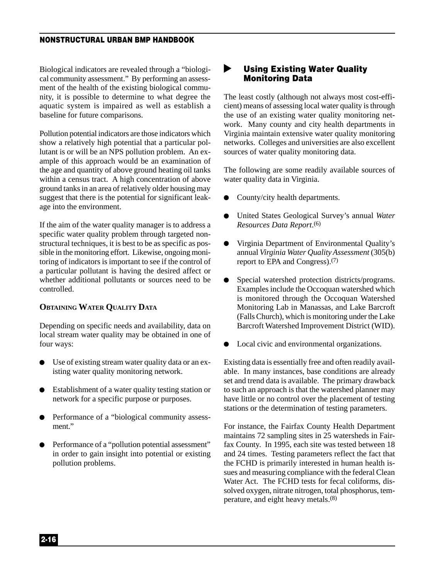Biological indicators are revealed through a "biological community assessment." By performing an assessment of the health of the existing biological community, it is possible to determine to what degree the aquatic system is impaired as well as establish a baseline for future comparisons.

Pollution potential indicators are those indicators which show a relatively high potential that a particular pollutant is or will be an NPS pollution problem. An example of this approach would be an examination of the age and quantity of above ground heating oil tanks within a census tract. A high concentration of above ground tanks in an area of relatively older housing may suggest that there is the potential for significant leakage into the environment.

If the aim of the water quality manager is to address a specific water quality problem through targeted nonstructural techniques, it is best to be as specific as possible in the monitoring effort. Likewise, ongoing monitoring of indicators is important to see if the control of a particular pollutant is having the desired affect or whether additional pollutants or sources need to be controlled.

#### **OBTAINING WATER QUALITY DATA**

Depending on specific needs and availability, data on local stream water quality may be obtained in one of four ways:

- Use of existing stream water quality data or an existing water quality monitoring network.
- Establishment of a water quality testing station or network for a specific purpose or purposes.
- Performance of a "biological community assessment."
- Performance of a "pollution potential assessment" in order to gain insight into potential or existing pollution problems.

#### $\blacktriangleright$ **Using Existing Water Quality Monitoring Data**

The least costly (although not always most cost-efficient) means of assessing local water quality is through the use of an existing water quality monitoring network. Many county and city health departments in Virginia maintain extensive water quality monitoring networks. Colleges and universities are also excellent sources of water quality monitoring data.

The following are some readily available sources of water quality data in Virginia.

- County/city health departments.
- $\bullet$ United States Geological Survey's annual *Water Resources Data Report*.(6)
- Virginia Department of Environmental Quality's  $\bullet$ annual *Virginia Water Quality Assessment* (305(b) report to EPA and Congress).(7)
- Special watershed protection districts/programs. Examples include the Occoquan watershed which is monitored through the Occoquan Watershed Monitoring Lab in Manassas, and Lake Barcroft (Falls Church), which is monitoring under the Lake Barcroft Watershed Improvement District (WID).
- Local civic and environmental organizations.  $\bullet$

Existing data is essentially free and often readily available. In many instances, base conditions are already set and trend data is available. The primary drawback to such an approach is that the watershed planner may have little or no control over the placement of testing stations or the determination of testing parameters.

For instance, the Fairfax County Health Department maintains 72 sampling sites in 25 watersheds in Fairfax County. In 1995, each site was tested between 18 and 24 times. Testing parameters reflect the fact that the FCHD is primarily interested in human health issues and measuring compliance with the federal Clean Water Act. The FCHD tests for fecal coliforms, dissolved oxygen, nitrate nitrogen, total phosphorus, temperature, and eight heavy metals.(8)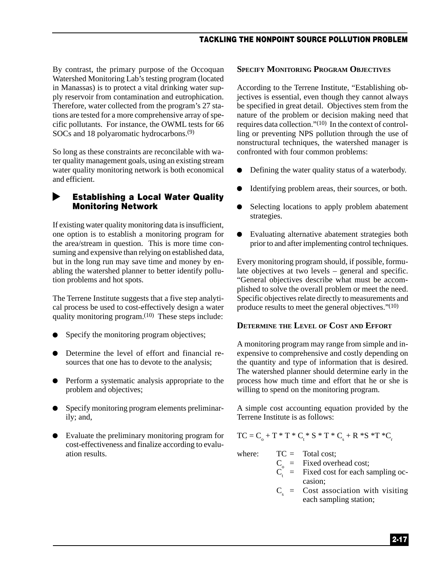By contrast, the primary purpose of the Occoquan Watershed Monitoring Lab's testing program (located in Manassas) is to protect a vital drinking water supply reservoir from contamination and eutrophication. Therefore, water collected from the program's 27 stations are tested for a more comprehensive array of specific pollutants. For instance, the OWML tests for 66 SOCs and 18 polyaromatic hydrocarbons.(9)

So long as these constraints are reconcilable with water quality management goals, using an existing stream water quality monitoring network is both economical and efficient.

## **Establishing a Local Water Quality Monitoring Network**

If existing water quality monitoring data is insufficient, one option is to establish a monitoring program for the area/stream in question. This is more time consuming and expensive than relying on established data, but in the long run may save time and money by enabling the watershed planner to better identify pollution problems and hot spots.

The Terrene Institute suggests that a five step analytical process be used to cost-effectively design a water quality monitoring program.<sup>(10)</sup> These steps include:

- Specify the monitoring program objectives;
- Determine the level of effort and financial resources that one has to devote to the analysis;
- Perform a systematic analysis appropriate to the problem and objectives;
- Specify monitoring program elements preliminarily; and,
- Evaluate the preliminary monitoring program for cost-effectiveness and finalize according to evaluation results.

#### **SPECIFY MONITORING PROGRAM OBJECTIVES**

According to the Terrene Institute, "Establishing objectives is essential, even though they cannot always be specified in great detail. Objectives stem from the nature of the problem or decision making need that requires data collection."(10) In the context of controlling or preventing NPS pollution through the use of nonstructural techniques, the watershed manager is confronted with four common problems:

- Defining the water quality status of a waterbody.
- Identifying problem areas, their sources, or both.
- Selecting locations to apply problem abatement strategies.
- Evaluating alternative abatement strategies both  $\bullet$ prior to and after implementing control techniques.

Every monitoring program should, if possible, formulate objectives at two levels – general and specific. "General objectives describe what must be accomplished to solve the overall problem or meet the need. Specific objectives relate directly to measurements and produce results to meet the general objectives."(10)

#### **DETERMINE THE LEVEL OF COST AND EFFORT**

A monitoring program may range from simple and inexpensive to comprehensive and costly depending on the quantity and type of information that is desired. The watershed planner should determine early in the process how much time and effort that he or she is willing to spend on the monitoring program.

A simple cost accounting equation provided by the Terrene Institute is as follows:

## $TC = C_{0} + T * T * C_{t} * S * T * C_{s} + R * S * T * C_{r}$

| where: | $TC = \text{Total cost};$          |  |  |
|--------|------------------------------------|--|--|
|        | $C_{\circ}$ = Fixed overhead cost; |  |  |

- $C_t$  = Fixed cost for each sampling occasion;
- $C_s$  = Cost association with visiting each sampling station;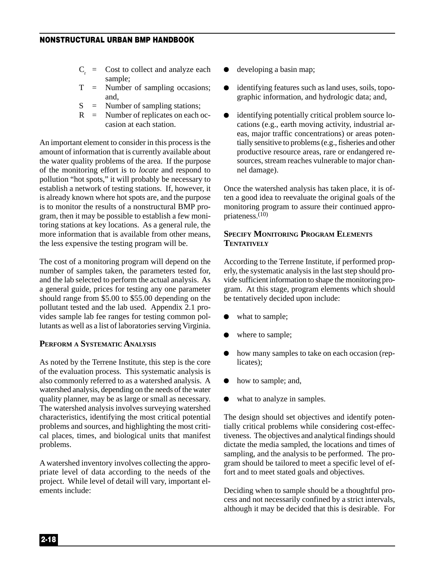- $C<sub>r</sub> = \text{Cost to collect and analyze each}$ sample;
- T = Number of sampling occasions; and,
- $S =$  Number of sampling stations;<br> $R =$  Number of replicates on each
- Number of replicates on each occasion at each station.

An important element to consider in this process is the amount of information that is currently available about the water quality problems of the area. If the purpose of the monitoring effort is to *locate* and respond to pollution "hot spots," it will probably be necessary to establish a network of testing stations. If, however, it is already known where hot spots are, and the purpose is to monitor the results of a nonstructural BMP program, then it may be possible to establish a few monitoring stations at key locations. As a general rule, the more information that is available from other means, the less expensive the testing program will be.

The cost of a monitoring program will depend on the number of samples taken, the parameters tested for, and the lab selected to perform the actual analysis. As a general guide, prices for testing any one parameter should range from \$5.00 to \$55.00 depending on the pollutant tested and the lab used. Appendix 2.1 provides sample lab fee ranges for testing common pollutants as well as a list of laboratories serving Virginia.

## **PERFORM A SYSTEMATIC ANALYSIS**

As noted by the Terrene Institute, this step is the core of the evaluation process. This systematic analysis is also commonly referred to as a watershed analysis. A watershed analysis, depending on the needs of the water quality planner, may be as large or small as necessary. The watershed analysis involves surveying watershed characteristics, identifying the most critical potential problems and sources, and highlighting the most critical places, times, and biological units that manifest problems.

A watershed inventory involves collecting the appropriate level of data according to the needs of the project. While level of detail will vary, important elements include:

- developing a basin map;  $\bullet$
- identifying features such as land uses, soils, topographic information, and hydrologic data; and,
- $\bullet$ identifying potentially critical problem source locations (e.g., earth moving activity, industrial areas, major traffic concentrations) or areas potentially sensitive to problems (e.g., fisheries and other productive resource areas, rare or endangered resources, stream reaches vulnerable to major channel damage).

Once the watershed analysis has taken place, it is often a good idea to reevaluate the original goals of the monitoring program to assure their continued appropriateness.(10)

### **SPECIFY MONITORING PROGRAM ELEMENTS TENTATIVELY**

According to the Terrene Institute, if performed properly, the systematic analysis in the last step should provide sufficient information to shape the monitoring program. At this stage, program elements which should be tentatively decided upon include:

- what to sample;
- where to sample;
- $\bullet$ how many samples to take on each occasion (replicates);
- how to sample; and,
- what to analyze in samples.

The design should set objectives and identify potentially critical problems while considering cost-effectiveness. The objectives and analytical findings should dictate the media sampled, the locations and times of sampling, and the analysis to be performed. The program should be tailored to meet a specific level of effort and to meet stated goals and objectives.

Deciding when to sample should be a thoughtful process and not necessarily confined by a strict intervals, although it may be decided that this is desirable. For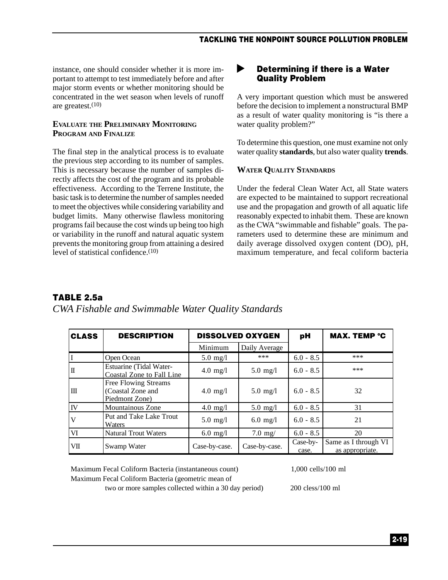instance, one should consider whether it is more important to attempt to test immediately before and after major storm events or whether monitoring should be concentrated in the wet season when levels of runoff are greatest. $(10)$ 

#### **EVALUATE THE PRELIMINARY MONITORING PROGRAM AND FINALIZE**

The final step in the analytical process is to evaluate the previous step according to its number of samples. This is necessary because the number of samples directly affects the cost of the program and its probable effectiveness. According to the Terrene Institute, the basic task is to determine the number of samples needed to meet the objectives while considering variability and budget limits. Many otherwise flawless monitoring programs fail because the cost winds up being too high or variability in the runoff and natural aquatic system prevents the monitoring group from attaining a desired level of statistical confidence. $(10)$ 

#### $\blacktriangleright$ **Determining if there is a Water Quality Problem**

A very important question which must be answered before the decision to implement a nonstructural BMP as a result of water quality monitoring is "is there a water quality problem?"

To determine this question, one must examine not only water quality **standards**, but also water quality **trends**.

#### **WATER QUALITY STANDARDS**

Under the federal Clean Water Act, all State waters are expected to be maintained to support recreational use and the propagation and growth of all aquatic life reasonably expected to inhabit them. These are known as the CWA "swimmable and fishable" goals. The parameters used to determine these are minimum and daily average dissolved oxygen content (DO), pH, maximum temperature, and fecal coliform bacteria

## **TABLE 2.5a**

| <b>CLASS</b> | <b>DESCRIPTION</b>                                          |                    | <b>DISSOLVED OXYGEN</b> | pH                  | <b>MAX. TEMP °C</b>                     |  |  |
|--------------|-------------------------------------------------------------|--------------------|-------------------------|---------------------|-----------------------------------------|--|--|
|              |                                                             | Minimum            | Daily Average           |                     |                                         |  |  |
|              | Open Ocean                                                  | $5.0$ mg/l         | ***                     | $6.0 - 8.5$         | ***                                     |  |  |
| II           | <b>Estuarine (Tidal Water-</b><br>Coastal Zone to Fall Line | $4.0 \text{ mg}/l$ | $5.0 \text{ mg}/l$      | $6.0 - 8.5$         | ***                                     |  |  |
| ΙM           | Free Flowing Streams<br>(Coastal Zone and<br>Piedmont Zone) | $4.0 \text{ mg}/1$ | $5.0 \text{ mg}/l$      | $6.0 - 8.5$         | 32                                      |  |  |
| IV           | Mountainous Zone                                            | $4.0 \text{ mg}/l$ | $5.0$ mg/l              | $6.0 - 8.5$         | 31                                      |  |  |
| V            | Put and Take Lake Trout<br>Waters                           | $5.0$ mg/l         | $6.0$ mg/l              | $6.0 - 8.5$         | 21                                      |  |  |
| VI           | <b>Natural Trout Waters</b>                                 | $6.0$ mg/l         | $7.0 \text{ mg}$        | $6.0 - 8.5$         | 20                                      |  |  |
| VII          | Swamp Water                                                 | Case-by-case.      | Case-by-case.           | $Case-by-$<br>case. | Same as I through VI<br>as appropriate. |  |  |

## *CWA Fishable and Swimmable Water Quality Standards*

Maximum Fecal Coliform Bacteria (instantaneous count) 1,000 cells/100 ml Maximum Fecal Coliform Bacteria (geometric mean of two or more samples collected within a 30 day period) 200 cless/100 ml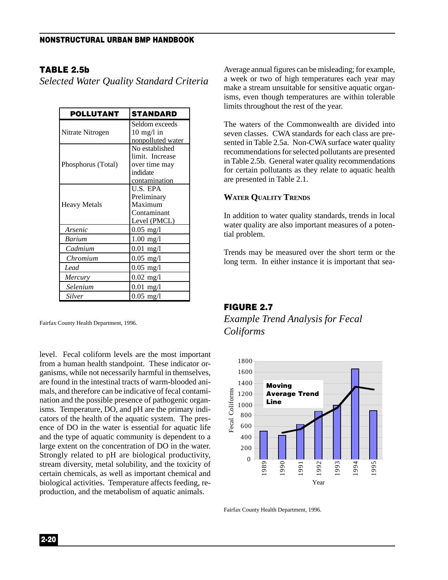#### **TABLE 2.5b**

*Selected Water Quality Standard Criteria*

| <b>POLLUTANT</b>    | STANDARD             |  |  |  |
|---------------------|----------------------|--|--|--|
|                     | Seldom exceeds       |  |  |  |
| Nitrate Nitrogen    | $10 \text{ mg/l}$ in |  |  |  |
|                     | nonpolluted water    |  |  |  |
|                     | No established       |  |  |  |
|                     | limit. Increase      |  |  |  |
| Phosphorus (Total)  | over time may        |  |  |  |
|                     | indidate             |  |  |  |
|                     | contamination        |  |  |  |
|                     | U.S. EPA             |  |  |  |
|                     | Preliminary          |  |  |  |
| <b>Heavy Metals</b> | Maximum              |  |  |  |
|                     | Contaminant          |  |  |  |
|                     | Level (PMCL)         |  |  |  |
| Arsenic             | $0.05$ mg/l          |  |  |  |
| Barium              | $1.00 \text{ mg}/l$  |  |  |  |
| Cadmium             | $0.01$ mg/l          |  |  |  |
| Chromium            | $0.05$ mg/l          |  |  |  |
| Lead                | $0.05$ mg/l          |  |  |  |
| Mercury             | $0.02$ mg/l          |  |  |  |
| Selenium            | $0.01$ mg/l          |  |  |  |
| <b>Silver</b>       | $0.05$ mg/l          |  |  |  |

Fairfax County Health Department, 1996.

level. Fecal coliform levels are the most important from a human health standpoint. These indicator organisms, while not necessarily harmful in themselves, are found in the intestinal tracts of warm-blooded animals, and therefore can be indicative of fecal contamination and the possible presence of pathogenic organisms. Temperature, DO, and pH are the primary indicators of the health of the aquatic system. The presence of DO in the water is essential for aquatic life and the type of aquatic community is dependent to a large extent on the concentration of DO in the water. Strongly related to pH are biological productivity, stream diversity, metal solubility, and the toxicity of certain chemicals, as well as important chemical and biological activities. Temperature affects feeding, reproduction, and the metabolism of aquatic animals.

Average annual figures can be misleading; for example, a week or two of high temperatures each year may make a stream unsuitable for sensitive aquatic organisms, even though temperatures are within tolerable limits throughout the rest of the year.

The waters of the Commonwealth are divided into seven classes. CWA standards for each class are presented in Table 2.5a. Non-CWA surface water quality recommendations for selected pollutants are presented in Table 2.5b. General water quality recommendations for certain pollutants as they relate to aquatic health are presented in Table 2.1.

#### **WATER QUALITY TRENDS**

In addition to water quality standards, trends in local water quality are also important measures of a potential problem.

Trends may be measured over the short term or the long term. In either instance it is important that sea-

## **FIGURE 2.7**

*Example Trend Analysis for Fecal Coliforms*



Fairfax County Health Department, 1996.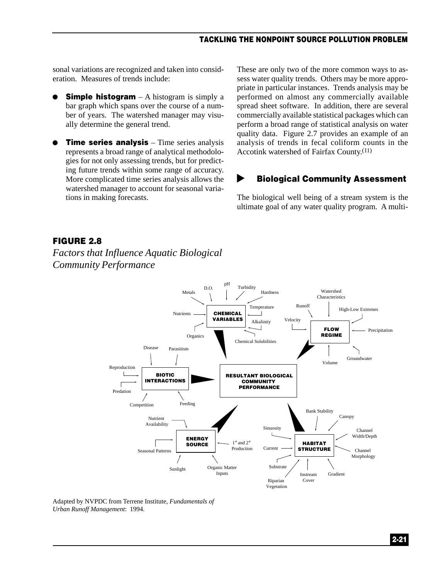sonal variations are recognized and taken into consideration. Measures of trends include:

- **Simple histogram** A histogram is simply a bar graph which spans over the course of a number of years. The watershed manager may visually determine the general trend.
- **Time series analysis** Time series analysis represents a broad range of analytical methodologies for not only assessing trends, but for predicting future trends within some range of accuracy. More complicated time series analysis allows the watershed manager to account for seasonal variations in making forecasts.

These are only two of the more common ways to assess water quality trends. Others may be more appropriate in particular instances. Trends analysis may be performed on almost any commercially available spread sheet software. In addition, there are several commercially available statistical packages which can perform a broad range of statistical analysis on water quality data. Figure 2.7 provides an example of an analysis of trends in fecal coliform counts in the Accotink watershed of Fairfax County.(11)

#### ▶ **Biological Community Assessment**

The biological well being of a stream system is the ultimate goal of any water quality program. A multi-

## **FIGURE 2.8**

*Factors that Influence Aquatic Biological Community Performance*



Adapted by NVPDC from Terrene Institute, *Fundamentals of Urban Runoff Management*: 1994.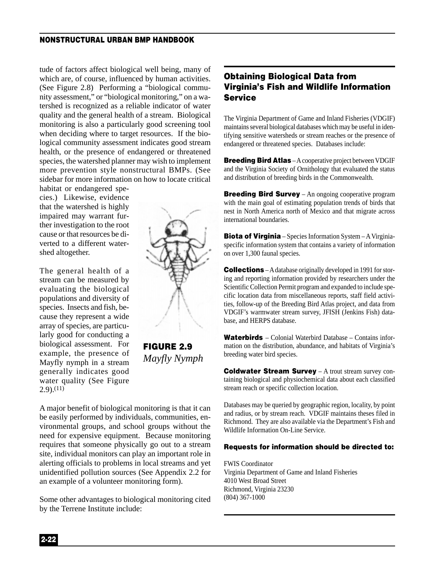tude of factors affect biological well being, many of which are, of course, influenced by human activities. (See Figure 2.8) Performing a "biological community assessment," or "biological monitoring," on a watershed is recognized as a reliable indicator of water quality and the general health of a stream. Biological monitoring is also a particularly good screening tool when deciding where to target resources. If the biological community assessment indicates good stream health, or the presence of endangered or threatened species, the watershed planner may wish to implement more prevention style nonstructural BMPs. (See sidebar for more information on how to locate critical

habitat or endangered species.) Likewise, evidence that the watershed is highly impaired may warrant further investigation to the root cause or that resources be diverted to a different watershed altogether.

The general health of a stream can be measured by evaluating the biological populations and diversity of species. Insects and fish, because they represent a wide array of species, are particularly good for conducting a biological assessment. For example, the presence of Mayfly nymph in a stream generally indicates good water quality (See Figure  $(2.9)$ .<sup>(11)</sup>



**FIGURE 2.9** *Mayfly Nymph*

A major benefit of biological monitoring is that it can be easily performed by individuals, communities, environmental groups, and school groups without the need for expensive equipment. Because monitoring requires that someone physically go out to a stream site, individual monitors can play an important role in alerting officials to problems in local streams and yet unidentified pollution sources (See Appendix 2.2 for an example of a volunteer monitoring form).

Some other advantages to biological monitoring cited by the Terrene Institute include:

## **Obtaining Biological Data from Virginia's Fish and Wildlife Information Service**

The Virginia Department of Game and Inland Fisheries (VDGIF) maintains several biological databases which may be useful in identifying sensitive watersheds or stream reaches or the presence of endangered or threatened species. Databases include:

**Breeding Bird Atlas** – A cooperative project between VDGIF and the Virginia Society of Ornithology that evaluated the status and distribution of breeding birds in the Commonwealth.

**Breeding Bird Survey** – An ongoing cooperative program with the main goal of estimating population trends of birds that nest in North America north of Mexico and that migrate across international boundaries.

**Biota of Virginia** – Species Information System – A Virginiaspecific information system that contains a variety of information on over 1,300 faunal species.

**Collections** – A database originally developed in 1991 for storing and reporting information provided by researchers under the Scientific Collection Permit program and expanded to include specific location data from miscellaneous reports, staff field activities, follow-up of the Breeding Bird Atlas project, and data from VDGIF's warmwater stream survey, JFISH (Jenkins Fish) database, and HERPS database.

**Waterbirds** – Colonial Waterbird Database – Contains information on the distribution, abundance, and habitats of Virginia's breeding water bird species.

**Coldwater Stream Survey** – A trout stream survey containing biological and physiochemical data about each classified stream reach or specific collection location.

Databases may be queried by geographic region, locality, by point and radius, or by stream reach. VDGIF maintains theses filed in Richmond. They are also available via the Department's Fish and Wildlife Information On-Line Service.

#### **Requests for information should be directed to:**

FWIS Coordinator Virginia Department of Game and Inland Fisheries 4010 West Broad Street Richmond, Virginia 23230 (804) 367-1000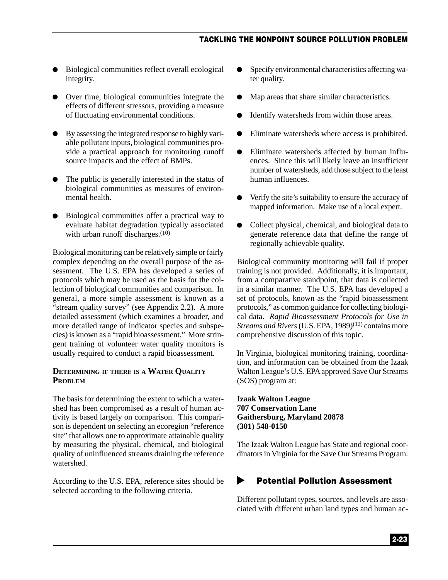- Biological communities reflect overall ecological integrity.
- Over time, biological communities integrate the effects of different stressors, providing a measure of fluctuating environmental conditions.
- By assessing the integrated response to highly variable pollutant inputs, biological communities provide a practical approach for monitoring runoff source impacts and the effect of BMPs.
- The public is generally interested in the status of biological communities as measures of environmental health.
- Biological communities offer a practical way to evaluate habitat degradation typically associated with urban runoff discharges.<sup>(10)</sup>

Biological monitoring can be relatively simple or fairly complex depending on the overall purpose of the assessment. The U.S. EPA has developed a series of protocols which may be used as the basis for the collection of biological communities and comparison. In general, a more simple assessment is known as a "stream quality survey" (see Appendix 2.2). A more detailed assessment (which examines a broader, and more detailed range of indicator species and subspecies) is known as a "rapid bioassessment." More stringent training of volunteer water quality monitors is usually required to conduct a rapid bioassessment.

#### **DETERMINING IF THERE IS A WATER QUALITY PROBLEM**

The basis for determining the extent to which a watershed has been compromised as a result of human activity is based largely on comparison. This comparison is dependent on selecting an ecoregion "reference site" that allows one to approximate attainable quality by measuring the physical, chemical, and biological quality of uninfluenced streams draining the reference watershed.

According to the U.S. EPA, reference sites should be selected according to the following criteria.

- Specify environmental characteristics affecting water quality.
- Map areas that share similar characteristics.
- Identify watersheds from within those areas.
- Eliminate watersheds where access is prohibited.
- Eliminate watersheds affected by human influences. Since this will likely leave an insufficient number of watersheds, add those subject to the least human influences.
- Verify the site's suitability to ensure the accuracy of mapped information. Make use of a local expert.
- Collect physical, chemical, and biological data to generate reference data that define the range of regionally achievable quality.

Biological community monitoring will fail if proper training is not provided. Additionally, it is important, from a comparative standpoint, that data is collected in a similar manner. The U.S. EPA has developed a set of protocols, known as the "rapid bioassessment protocols," as common guidance for collecting biological data. *Rapid Bioassessment Protocols for Use in Streams and Rivers* (U.S. EPA, 1989)<sup>(12)</sup> contains more comprehensive discussion of this topic.

In Virginia, biological monitoring training, coordination, and information can be obtained from the Izaak Walton League's U.S. EPA approved Save Our Streams (SOS) program at:

**Izaak Walton League 707 Conservation Lane Gaithersburg, Maryland 20878 (301) 548-0150**

The Izaak Walton League has State and regional coordinators in Virginia for the Save Our Streams Program.

## **Potential Pollution Assessment**

Different pollutant types, sources, and levels are associated with different urban land types and human ac-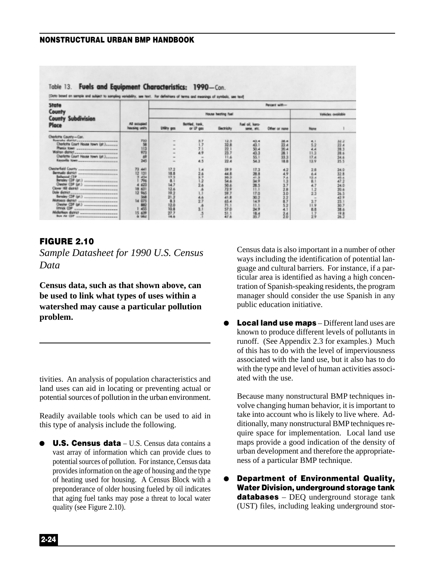| State                                              |                                      | Percent with      |                                   |                   |                                |                      |              |               |  |
|----------------------------------------------------|--------------------------------------|-------------------|-----------------------------------|-------------------|--------------------------------|----------------------|--------------|---------------|--|
| County<br><b>County Subdivision</b>                |                                      |                   | Vehicles ovaliable                |                   |                                |                      |              |               |  |
| Place                                              | All accusing<br><b>Peacemp units</b> | <b>Unity cost</b> | <b>Berthed Innis</b><br>or UP can | <b>Bectricity</b> | Fuel oil, lapro-<br>sens, etc. | <b>Other or none</b> | None:        |               |  |
|                                                    |                                      |                   |                                   |                   |                                |                      |              |               |  |
| Cheriotte Court House town (pt.)                   | 200                                  | <b>ISS</b>        |                                   | 12.9              | 403.40                         | 38.4                 | 41.1         | 32.7          |  |
|                                                    | $\frac{58}{113}$                     | in 1              | 1.7<br>7.1                        | 32.8              | 43.1                           | 22.4                 | 5.2          | 59 A          |  |
| Wednes district                                    | 672                                  | m.                | 通復                                | 設1                | 50.4<br>43.3                   | 添え                   | 4A           | 28.3          |  |
| Charlotte Court House town (pt.)                   | 69                                   | <b>DECK</b><br>m. |                                   | 23.7<br>11.6      | 线.                             | 28.1<br>33.3         | 11.2<br>13 A | 38.6          |  |
|                                                    | 349                                  | in 1              | $\sim$<br>4.5                     | 22.4              | \$4.3                          | 18.81                | 13.9         | 34.6<br>35.5  |  |
|                                                    |                                      |                   |                                   |                   |                                |                      |              |               |  |
|                                                    | 73 441                               | 17.2              | Lat.                              | 建立                | 17.3                           | 4.7                  | 空盘           | 34.0          |  |
| Bermudo district                                   | 12.<br>331                           | 18.8              | 影響                                | 44.81             | 28.8                           | 49                   | 表演           | 32.8          |  |
| Bellevied CDP<br>and the company of the company of | 1991<br>$-450.6$                     | 37.5              | 花手                                | St 2              | 81.3                           | 7.4                  | 12.4         | $-0.03 - 0.1$ |  |
| Bensley CDF (pt.)<br>Olester CDF (pt.)             | 796                                  | 提升                | 1.2                               | 불                 | 温度                             | 13                   | B.I          | 47.2          |  |
|                                                    | 423                                  | 14.7              | 製品                                |                   | 28.5                           | 3.7                  | 4.7          | 34.0          |  |
|                                                    | 18 831                               | 12.6              |                                   | 22.9              | 11.1                           | ŽB                   | 1.2          | 20.6          |  |
| Daily district<br>------------------------         | 12 965                               | 19.2              |                                   |                   | itg                            | 3.0                  | 2.3          | 36.5          |  |
|                                                    | 368                                  | 21.2              | 在表                                | 48.8              | 30.2                           | $^{13}$              | <b>COL</b>   | 42.9          |  |
| Motosco district announcements and a               | 14 GPS                               | $\frac{83}{126}$  |                                   | 65.4              | 14.9                           | 推理                   | 3.7          | 33.1          |  |
|                                                    | 882                                  |                   |                                   | 71.1              | BL I                           | 5.2                  | 1.9          | 30.7          |  |
| lines OF<br>-----------------------                | 1 455                                | $\frac{10}{27}$   |                                   | 建身                | 24.7                           | 4.1                  | 表示           | 38.6          |  |
|                                                    | 15 489                               |                   |                                   | 51.1              | III a                          | 复道                   | 1.7          | 19.8          |  |
| line Air CDF processes assessments to the          | <b>各 事業者</b>                         | 140 B             |                                   | 42.6              | 23.7                           | 2.0                  | 空型           | 28.2          |  |

#### **FIGURE 2.10**

*Sample Datasheet for 1990 U.S. Census Data*

**Census data, such as that shown above, can be used to link what types of uses within a watershed may cause a particular pollution problem.**

tivities. An analysis of population characteristics and land uses can aid in locating or preventing actual or potential sources of pollution in the urban environment.

Readily available tools which can be used to aid in this type of analysis include the following.

**U.S. Census data** – U.S. Census data contains a vast array of information which can provide clues to potential sources of pollution. For instance, Census data provides information on the age of housing and the type of heating used for housing. A Census Block with a preponderance of older housing fueled by oil indicates that aging fuel tanks may pose a threat to local water quality (see Figure 2.10).

Census data is also important in a number of other ways including the identification of potential language and cultural barriers. For instance, if a particular area is identified as having a high concentration of Spanish-speaking residents, the program manager should consider the use Spanish in any public education initiative.

 $\bullet$ **Local land use maps** – Different land uses are known to produce different levels of pollutants in runoff. (See Appendix 2.3 for examples.) Much of this has to do with the level of imperviousness associated with the land use, but it also has to do with the type and level of human activities associated with the use.

Because many nonstructural BMP techniques involve changing human behavior, it is important to take into account who is likely to live where. Additionally, many nonstructural BMP techniques require space for implementation. Local land use maps provide a good indication of the density of urban development and therefore the appropriateness of a particular BMP technique.

**Department of Environmental Quality, Water Division, underground storage tank databases** – DEQ underground storage tank (UST) files, including leaking underground stor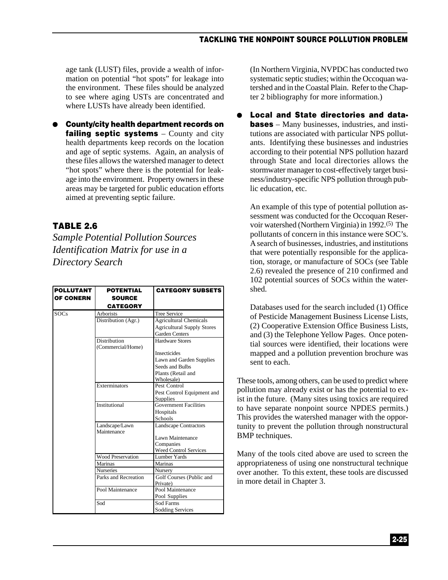age tank (LUST) files, provide a wealth of information on potential "hot spots" for leakage into the environment. These files should be analyzed to see where aging USTs are concentrated and where LUSTs have already been identified.

**County/city health department records on failing septic systems** – County and city health departments keep records on the location and age of septic systems. Again, an analysis of these files allows the watershed manager to detect "hot spots" where there is the potential for leakage into the environment. Property owners in these areas may be targeted for public education efforts aimed at preventing septic failure.

## **TABLE 2.6**

*Sample Potential Pollution Sources Identification Matrix for use in a Directory Search*

| POLLUTANT        | <b>POTENTIAL</b>         | <b>CATEGORY SUBSETS</b>           |  |  |  |
|------------------|--------------------------|-----------------------------------|--|--|--|
| <b>OF CONERN</b> | <b>SOURCE</b>            |                                   |  |  |  |
|                  | <b>CATEGORY</b>          |                                   |  |  |  |
| SOCs             | <b>Arborists</b>         | <b>Tree Service</b>               |  |  |  |
|                  | Distribution (Agr.)      | <b>Agricultural Chemicals</b>     |  |  |  |
|                  |                          | <b>Agricultural Supply Stores</b> |  |  |  |
|                  |                          | <b>Garden Centers</b>             |  |  |  |
|                  | <b>Distribution</b>      | <b>Hardware Stores</b>            |  |  |  |
|                  | (Commercial/Home)        |                                   |  |  |  |
|                  |                          | <b>Insecticides</b>               |  |  |  |
|                  |                          | Lawn and Garden Supplies          |  |  |  |
|                  |                          | Seeds and Bulbs                   |  |  |  |
|                  |                          | Plants (Retail and                |  |  |  |
|                  |                          | Wholesale)                        |  |  |  |
|                  | Exterminators            | Pest Control                      |  |  |  |
|                  |                          | Pest Control Equipment and        |  |  |  |
|                  |                          | Supplies                          |  |  |  |
|                  | Institutional            | <b>Government Facilities</b>      |  |  |  |
|                  |                          | Hospitals                         |  |  |  |
|                  |                          | Schools                           |  |  |  |
|                  | Landscape/Lawn           | <b>Landscape Contractors</b>      |  |  |  |
|                  | Maintenance              |                                   |  |  |  |
|                  |                          | Lawn Maintenance                  |  |  |  |
|                  |                          | Companies                         |  |  |  |
|                  |                          | <b>Weed Control Services</b>      |  |  |  |
|                  | <b>Wood Preservation</b> | Lumber Yards                      |  |  |  |
|                  | Marinas                  | Marinas                           |  |  |  |
|                  | <b>Nurseries</b>         | Nursery                           |  |  |  |
|                  | Parks and Recreation     | Golf Courses (Public and          |  |  |  |
|                  |                          | Private)                          |  |  |  |
|                  | Pool Maintenance         | Pool Maintenance                  |  |  |  |
|                  |                          | Pool Supplies                     |  |  |  |
|                  | Sod                      | Sod Farms                         |  |  |  |
|                  |                          | <b>Sodding Services</b>           |  |  |  |

(In Northern Virginia, NVPDC has conducted two systematic septic studies; within the Occoquan watershed and in the Coastal Plain. Refer to the Chapter 2 bibliography for more information.)

**Local and State directories and data-** $\bullet$ **bases** – Many businesses, industries, and institutions are associated with particular NPS pollutants. Identifying these businesses and industries according to their potential NPS pollution hazard through State and local directories allows the stormwater manager to cost-effectively target business/industry-specific NPS pollution through public education, etc.

An example of this type of potential pollution assessment was conducted for the Occoquan Reservoir watershed (Northern Virginia) in 1992.(5) The pollutants of concern in this instance were SOC's. A search of businesses, industries, and institutions that were potentially responsible for the application, storage, or manufacture of SOCs (see Table 2.6) revealed the presence of 210 confirmed and 102 potential sources of SOCs within the watershed.

Databases used for the search included (1) Office of Pesticide Management Business License Lists, (2) Cooperative Extension Office Business Lists, and (3) the Telephone Yellow Pages. Once potential sources were identified, their locations were mapped and a pollution prevention brochure was sent to each.

These tools, among others, can be used to predict where pollution may already exist or has the potential to exist in the future. (Many sites using toxics are required to have separate nonpoint source NPDES permits.) This provides the watershed manager with the opportunity to prevent the pollution through nonstructural BMP techniques.

Many of the tools cited above are used to screen the appropriateness of using one nonstructural technique over another. To this extent, these tools are discussed in more detail in Chapter 3.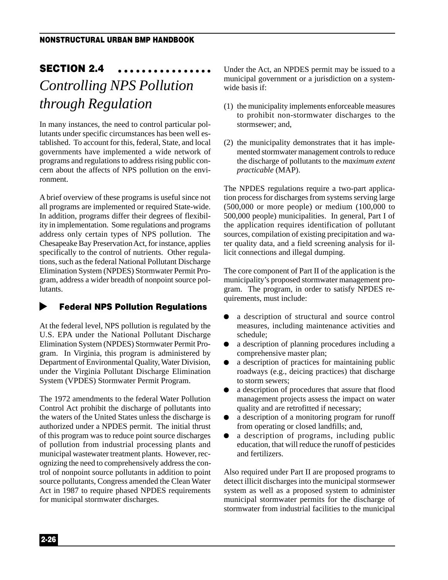## **SECTION 2.4**

*Controlling NPS Pollution through Regulation*

In many instances, the need to control particular pollutants under specific circumstances has been well established. To account for this, federal, State, and local governments have implemented a wide network of programs and regulations to address rising public concern about the affects of NPS pollution on the environment.

A brief overview of these programs is useful since not all programs are implemented or required State-wide. In addition, programs differ their degrees of flexibility in implementation. Some regulations and programs address only certain types of NPS pollution. The Chesapeake Bay Preservation Act, for instance, applies specifically to the control of nutrients. Other regulations, such as the federal National Pollutant Discharge Elimination System (NPDES) Stormwater Permit Program, address a wider breadth of nonpoint source pollutants.

## **Federal NPS Pollution Regulations**

At the federal level, NPS pollution is regulated by the U.S. EPA under the National Pollutant Discharge Elimination System (NPDES) Stormwater Permit Program. In Virginia, this program is administered by Department of Environmental Quality, Water Division, under the Virginia Pollutant Discharge Elimination System (VPDES) Stormwater Permit Program.

The 1972 amendments to the federal Water Pollution Control Act prohibit the discharge of pollutants into the waters of the United States unless the discharge is authorized under a NPDES permit. The initial thrust of this program was to reduce point source discharges of pollution from industrial processing plants and municipal wastewater treatment plants. However, recognizing the need to comprehensively address the control of nonpoint source pollutants in addition to point source pollutants, Congress amended the Clean Water Act in 1987 to require phased NPDES requirements for municipal stormwater discharges.

Under the Act, an NPDES permit may be issued to a municipal government or a jurisdiction on a systemwide basis if:

- (1) the municipality implements enforceable measures to prohibit non-stormwater discharges to the stormsewer; and,
- (2) the municipality demonstrates that it has implemented stormwater management controls to reduce the discharge of pollutants to the *maximum extent practicable* (MAP).

The NPDES regulations require a two-part application process for discharges from systems serving large (500,000 or more people) or medium (100,000 to 500,000 people) municipalities. In general, Part I of the application requires identification of pollutant sources, compilation of existing precipitation and water quality data, and a field screening analysis for illicit connections and illegal dumping.

The core component of Part II of the application is the municipality's proposed stormwater management program. The program, in order to satisfy NPDES requirements, must include:

- a description of structural and source control  $\bullet$ measures, including maintenance activities and schedule;
- a description of planning procedures including a  $\bullet$ comprehensive master plan;
- a description of practices for maintaining public roadways (e.g., deicing practices) that discharge to storm sewers;
- a description of procedures that assure that flood  $\bullet$ management projects assess the impact on water quality and are retrofitted if necessary;
- a description of a monitoring program for runoff from operating or closed landfills; and,
- a description of programs, including public  $\bullet$ education, that will reduce the runoff of pesticides and fertilizers.

Also required under Part II are proposed programs to detect illicit discharges into the municipal stormsewer system as well as a proposed system to administer municipal stormwater permits for the discharge of stormwater from industrial facilities to the municipal

**2-26**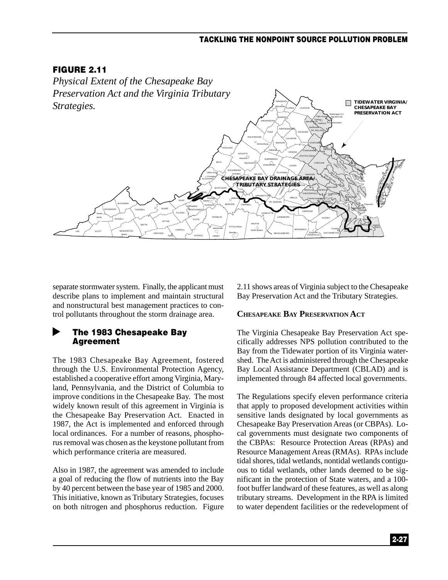## **FIGURE 2.11**



separate stormwater system. Finally, the applicant must describe plans to implement and maintain structural and nonstructural best management practices to control pollutants throughout the storm drainage area.

## **The 1983 Chesapeake Bay Agreement**

The 1983 Chesapeake Bay Agreement, fostered through the U.S. Environmental Protection Agency, established a cooperative effort among Virginia, Maryland, Pennsylvania, and the District of Columbia to improve conditions in the Chesapeake Bay. The most widely known result of this agreement in Virginia is the Chesapeake Bay Preservation Act. Enacted in 1987, the Act is implemented and enforced through local ordinances. For a number of reasons, phosphorus removal was chosen as the keystone pollutant from which performance criteria are measured.

Also in 1987, the agreement was amended to include a goal of reducing the flow of nutrients into the Bay by 40 percent between the base year of 1985 and 2000. This initiative, known as Tributary Strategies, focuses on both nitrogen and phosphorus reduction. Figure

2.11 shows areas of Virginia subject to the Chesapeake Bay Preservation Act and the Tributary Strategies.

#### **CHESAPEAKE BAY PRESERVATION ACT**

The Virginia Chesapeake Bay Preservation Act specifically addresses NPS pollution contributed to the Bay from the Tidewater portion of its Virginia watershed. The Act is administered through the Chesapeake Bay Local Assistance Department (CBLAD) and is implemented through 84 affected local governments.

The Regulations specify eleven performance criteria that apply to proposed development activities within sensitive lands designated by local governments as Chesapeake Bay Preservation Areas (or CBPAs). Local governments must designate two components of the CBPAs: Resource Protection Areas (RPAs) and Resource Management Areas (RMAs). RPAs include tidal shores, tidal wetlands, nontidal wetlands contiguous to tidal wetlands, other lands deemed to be significant in the protection of State waters, and a 100 foot buffer landward of these features, as well as along tributary streams. Development in the RPA is limited to water dependent facilities or the redevelopment of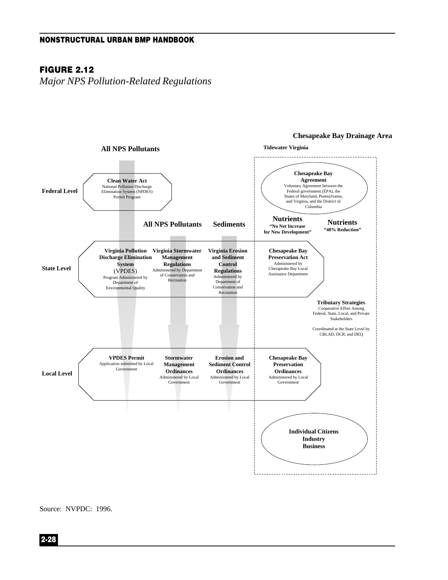## **FIGURE 2.12**

*Major NPS Pollution-Related Regulations*





**2-28**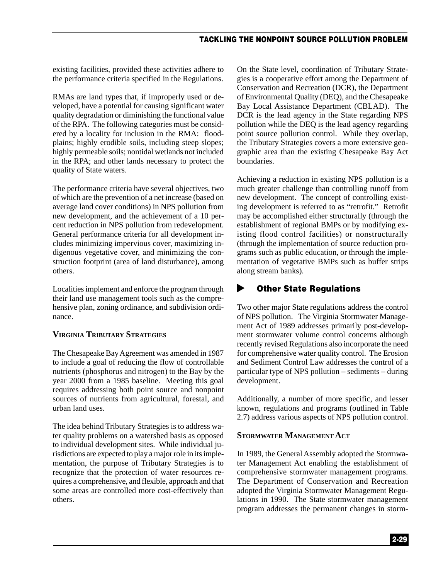existing facilities, provided these activities adhere to the performance criteria specified in the Regulations.

RMAs are land types that, if improperly used or developed, have a potential for causing significant water quality degradation or diminishing the functional value of the RPA. The following categories must be considered by a locality for inclusion in the RMA: floodplains; highly erodible soils, including steep slopes; highly permeable soils; nontidal wetlands not included in the RPA; and other lands necessary to protect the quality of State waters.

The performance criteria have several objectives, two of which are the prevention of a net increase (based on average land cover conditions) in NPS pollution from new development, and the achievement of a 10 percent reduction in NPS pollution from redevelopment. General performance criteria for all development includes minimizing impervious cover, maximizing indigenous vegetative cover, and minimizing the construction footprint (area of land disturbance), among others.

Localities implement and enforce the program through their land use management tools such as the comprehensive plan, zoning ordinance, and subdivision ordinance.

#### **VIRGINIA TRIBUTARY STRATEGIES**

The Chesapeake Bay Agreement was amended in 1987 to include a goal of reducing the flow of controllable nutrients (phosphorus and nitrogen) to the Bay by the year 2000 from a 1985 baseline. Meeting this goal requires addressing both point source and nonpoint sources of nutrients from agricultural, forestal, and urban land uses.

The idea behind Tributary Strategies is to address water quality problems on a watershed basis as opposed to individual development sites. While individual jurisdictions are expected to play a major role in its implementation, the purpose of Tributary Strategies is to recognize that the protection of water resources requires a comprehensive, and flexible, approach and that some areas are controlled more cost-effectively than others.

On the State level, coordination of Tributary Strategies is a cooperative effort among the Department of Conservation and Recreation (DCR), the Department of Environmental Quality (DEQ), and the Chesapeake Bay Local Assistance Department (CBLAD). The DCR is the lead agency in the State regarding NPS pollution while the DEQ is the lead agency regarding point source pollution control. While they overlap, the Tributary Strategies covers a more extensive geographic area than the existing Chesapeake Bay Act boundaries.

Achieving a reduction in existing NPS pollution is a much greater challenge than controlling runoff from new development. The concept of controlling existing development is referred to as "retrofit." Retrofit may be accomplished either structurally (through the establishment of regional BMPs or by modifying existing flood control facilities) or nonstructurally (through the implementation of source reduction programs such as public education, or through the implementation of vegetative BMPs such as buffer strips along stream banks).

## **Other State Regulations**

Two other major State regulations address the control of NPS pollution. The Virginia Stormwater Management Act of 1989 addresses primarily post-development stormwater volume control concerns although recently revised Regulations also incorporate the need for comprehensive water quality control. The Erosion and Sediment Control Law addresses the control of a particular type of NPS pollution – sediments – during development.

Additionally, a number of more specific, and lesser known, regulations and programs (outlined in Table 2.7) address various aspects of NPS pollution control.

## **STORMWATER MANAGEMENT ACT**

In 1989, the General Assembly adopted the Stormwater Management Act enabling the establishment of comprehensive stormwater management programs. The Department of Conservation and Recreation adopted the Virginia Stormwater Management Regulations in 1990. The State stormwater management program addresses the permanent changes in storm-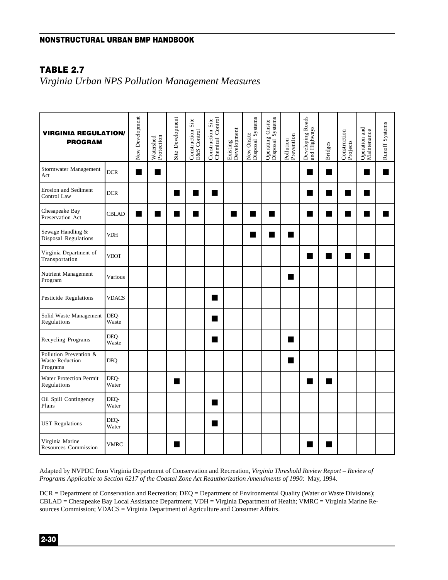## **TABLE 2.7**

*Virginia Urban NPS Pollution Management Measures*

| <b>VIRGINIA REGULATION/</b><br><b>PROGRAM</b>                |               | New Development | Watershed<br>Protection | Site Development | Construction Site<br>E&S Control | Construction Site<br>Chemical Control | Existing<br>Development | New Onsite<br>Disposal Systems | Operating Onsite<br>Disposal Systems | Pollution<br>Prevention | Developing Roads<br>and Highways | Bridges | Construction<br>Projects | Operation and<br>Maintenance | Runoff Systems |
|--------------------------------------------------------------|---------------|-----------------|-------------------------|------------------|----------------------------------|---------------------------------------|-------------------------|--------------------------------|--------------------------------------|-------------------------|----------------------------------|---------|--------------------------|------------------------------|----------------|
| Stormwater Management<br>Act                                 | $DCR$         | ш               | ■                       |                  |                                  |                                       |                         |                                |                                      |                         | ■                                | a s     |                          | ■                            | $\blacksquare$ |
| Erosion and Sediment<br>Control Law                          | <b>DCR</b>    |                 |                         | ■                | ■                                | ■                                     |                         |                                |                                      |                         | ■                                | ▅       | ▅                        |                              |                |
| Chesapeake Bay<br>Preservation Act                           | <b>CBLAD</b>  | ■               | ■                       |                  | ٠                                |                                       | ■                       | ▅                              |                                      |                         |                                  |         |                          |                              |                |
| Sewage Handling &<br>Disposal Regulations                    | <b>VDH</b>    |                 |                         |                  |                                  |                                       |                         |                                |                                      | ▅                       |                                  |         |                          |                              |                |
| Virginia Department of<br>Transportation                     | <b>VDOT</b>   |                 |                         |                  |                                  |                                       |                         |                                |                                      |                         |                                  |         |                          |                              |                |
| Nutrient Management<br>Program                               | Various       |                 |                         |                  |                                  |                                       |                         |                                |                                      | ■                       |                                  |         |                          |                              |                |
| Pesticide Regulations                                        | <b>VDACS</b>  |                 |                         |                  |                                  | ■                                     |                         |                                |                                      |                         |                                  |         |                          |                              |                |
| Solid Waste Management<br>Regulations                        | DEQ-<br>Waste |                 |                         |                  |                                  |                                       |                         |                                |                                      |                         |                                  |         |                          |                              |                |
| Recycling Programs                                           | DEO-<br>Waste |                 |                         |                  |                                  | ш                                     |                         |                                |                                      |                         |                                  |         |                          |                              |                |
| Pollution Prevention &<br><b>Waste Reduction</b><br>Programs | <b>DEQ</b>    |                 |                         |                  |                                  |                                       |                         |                                |                                      | ■                       |                                  |         |                          |                              |                |
| <b>Water Protection Permit</b><br>Regulations                | DEQ-<br>Water |                 |                         | ш                |                                  |                                       |                         |                                |                                      |                         |                                  |         |                          |                              |                |
| Oil Spill Contingency<br>Plans                               | DEQ-<br>Water |                 |                         |                  |                                  |                                       |                         |                                |                                      |                         |                                  |         |                          |                              |                |
| <b>UST</b> Regulations                                       | DEQ-<br>Water |                 |                         |                  |                                  | ■                                     |                         |                                |                                      |                         |                                  |         |                          |                              |                |
| Virginia Marine<br>Resources Commission                      | <b>VMRC</b>   |                 |                         |                  |                                  |                                       |                         |                                |                                      |                         |                                  |         |                          |                              |                |

Adapted by NVPDC from Virginia Department of Conservation and Recreation, *Virginia Threshold Review Report – Review of Programs Applicable to Section 6217 of the Coastal Zone Act Reauthorization Amendments of 1990*: May, 1994.

DCR = Department of Conservation and Recreation; DEQ = Department of Environmental Quality (Water or Waste Divisions); CBLAD = Chesapeake Bay Local Assistance Department; VDH = Virginia Department of Health; VMRC = Virginia Marine Resources Commission; VDACS = Virginia Department of Agriculture and Consumer Affairs.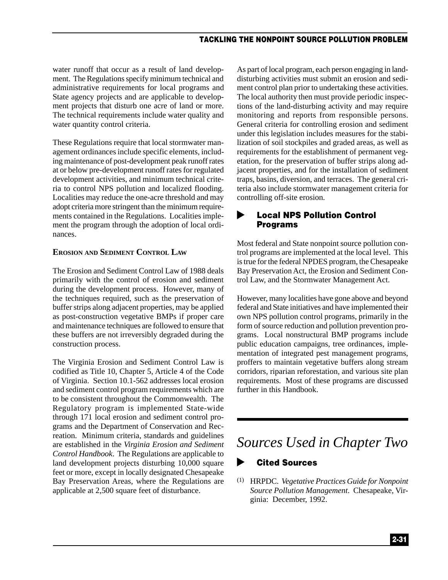water runoff that occur as a result of land development. The Regulations specify minimum technical and administrative requirements for local programs and State agency projects and are applicable to development projects that disturb one acre of land or more. The technical requirements include water quality and water quantity control criteria.

These Regulations require that local stormwater management ordinances include specific elements, including maintenance of post-development peak runoff rates at or below pre-development runoff rates for regulated development activities, and minimum technical criteria to control NPS pollution and localized flooding. Localities may reduce the one-acre threshold and may adopt criteria more stringent than the minimum requirements contained in the Regulations. Localities implement the program through the adoption of local ordinances.

#### **EROSION AND SEDIMENT CONTROL LAW**

The Erosion and Sediment Control Law of 1988 deals primarily with the control of erosion and sediment during the development process. However, many of the techniques required, such as the preservation of buffer strips along adjacent properties, may be applied as post-construction vegetative BMPs if proper care and maintenance techniques are followed to ensure that these buffers are not irreversibly degraded during the construction process.

The Virginia Erosion and Sediment Control Law is codified as Title 10, Chapter 5, Article 4 of the Code of Virginia. Section 10.1-562 addresses local erosion and sediment control program requirements which are to be consistent throughout the Commonwealth. The Regulatory program is implemented State-wide through 171 local erosion and sediment control programs and the Department of Conservation and Recreation. Minimum criteria, standards and guidelines are established in the *Virginia Erosion and Sediment Control Handbook*. The Regulations are applicable to land development projects disturbing 10,000 square feet or more, except in locally designated Chesapeake Bay Preservation Areas, where the Regulations are applicable at 2,500 square feet of disturbance.

As part of local program, each person engaging in landdisturbing activities must submit an erosion and sediment control plan prior to undertaking these activities. The local authority then must provide periodic inspections of the land-disturbing activity and may require monitoring and reports from responsible persons. General criteria for controlling erosion and sediment under this legislation includes measures for the stabilization of soil stockpiles and graded areas, as well as requirements for the establishment of permanent vegetation, for the preservation of buffer strips along adjacent properties, and for the installation of sediment traps, basins, diversion, and terraces. The general criteria also include stormwater management criteria for controlling off-site erosion.

## **Local NPS Pollution Control Programs**

Most federal and State nonpoint source pollution control programs are implemented at the local level. This is true for the federal NPDES program, the Chesapeake Bay Preservation Act, the Erosion and Sediment Control Law, and the Stormwater Management Act.

However, many localities have gone above and beyond federal and State initiatives and have implemented their own NPS pollution control programs, primarily in the form of source reduction and pollution prevention programs. Local nonstructural BMP programs include public education campaigns, tree ordinances, implementation of integrated pest management programs, proffers to maintain vegetative buffers along stream corridors, riparian reforestation, and various site plan requirements. Most of these programs are discussed further in this Handbook.

## *Sources Used in Chapter Two*

## **Cited Sources**

(1) HRPDC. *Vegetative Practices Guide for Nonpoint Source Pollution Management*. Chesapeake, Virginia: December, 1992.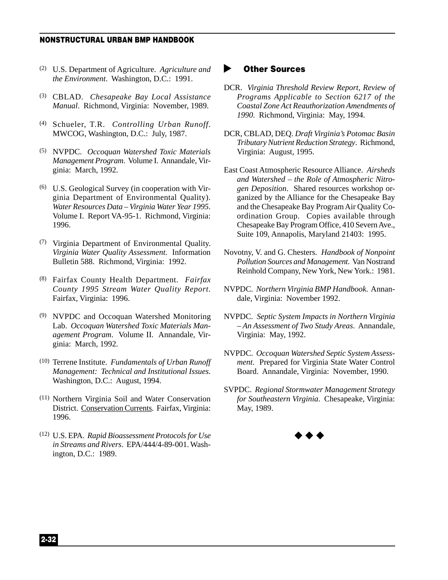- (2) U.S. Department of Agriculture. *Agriculture and the Environment*. Washington, D.C.: 1991.
- (3) CBLAD. *Chesapeake Bay Local Assistance Manual*. Richmond, Virginia: November, 1989.
- (4) Schueler, T.R. *Controlling Urban Runoff*. MWCOG, Washington, D.C.: July, 1987.
- (5) NVPDC. *Occoquan Watershed Toxic Materials Management Program*. Volume I. Annandale, Virginia: March, 1992.
- (6) U.S. Geological Survey (in cooperation with Virginia Department of Environmental Quality). *Water Resources Data – Virginia Water Year 1995*. Volume I. Report VA-95-1. Richmond, Virginia: 1996.
- (7) Virginia Department of Environmental Quality. *Virginia Water Quality Assessment*. Information Bulletin 588. Richmond, Virginia: 1992.
- (8) Fairfax County Health Department. *Fairfax County 1995 Stream Water Quality Report*. Fairfax, Virginia: 1996.
- (9) NVPDC and Occoquan Watershed Monitoring Lab. *Occoquan Watershed Toxic Materials Management Program*. Volume II. Annandale, Virginia: March, 1992.
- (10) Terrene Institute. *Fundamentals of Urban Runoff Management: Technical and Institutional Issues*. Washington, D.C.: August, 1994.
- (11) Northern Virginia Soil and Water Conservation District. Conservation Currents. Fairfax, Virginia: 1996.
- (12) U.S. EPA. *Rapid Bioassessment Protocols for Use in Streams and Rivers*. EPA/444/4-89-001. Washington, D.C.: 1989.



#### **Other Sources**

- DCR. *Virginia Threshold Review Report, Review of Programs Applicable to Section 6217 of the Coastal Zone Act Reauthorization Amendments of 1990*. Richmond, Virginia: May, 1994.
- DCR, CBLAD, DEQ. *Draft Virginia's Potomac Basin Tributary Nutrient Reduction Strategy*. Richmond, Virginia: August, 1995.
- East Coast Atmospheric Resource Alliance. *Airsheds and Watershed – the Role of Atmospheric Nitrogen Deposition*. Shared resources workshop organized by the Alliance for the Chesapeake Bay and the Chesapeake Bay Program Air Quality Coordination Group. Copies available through Chesapeake Bay Program Office, 410 Severn Ave., Suite 109, Annapolis, Maryland 21403: 1995.
- Novotny, V. and G. Chesters. *Handbook of Nonpoint Pollution Sources and Management*. Van Nostrand Reinhold Company, New York, New York.: 1981.
- NVPDC. *Northern Virginia BMP Handbook*. Annandale, Virginia: November 1992.
- NVPDC. *Septic System Impacts in Northern Virginia – An Assessment of Two Study Areas*. Annandale, Virginia: May, 1992.
- NVPDC. *Occoquan Watershed Septic System Assessment*. Prepared for Virginia State Water Control Board. Annandale, Virginia: November, 1990.
- SVPDC. *Regional Stormwater Management Strategy for Southeastern Virginia*. Chesapeake, Virginia: May, 1989.

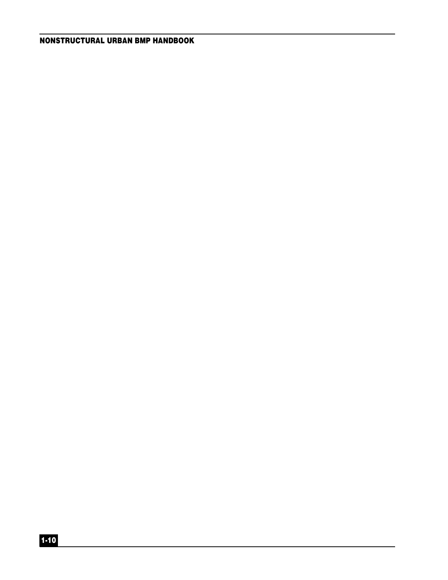## **1-10**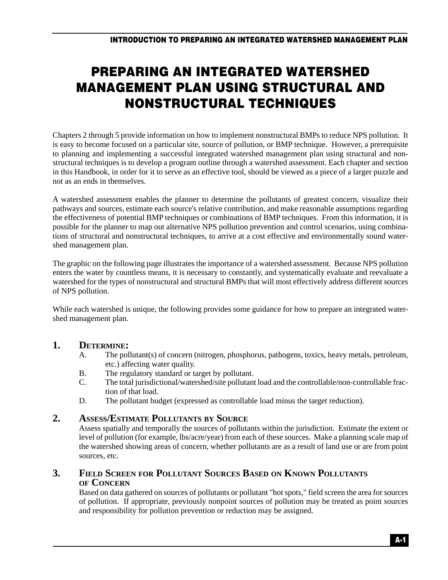# **PREPARING AN INTEGRATED WATERSHED MANAGEMENT PLAN USING STRUCTURAL AND NONSTRUCTURAL TECHNIQUES**

Chapters 2 through 5 provide information on how to implement nonstructural BMPs to reduce NPS pollution. It is easy to become focused on a particular site, source of pollution, or BMP technique. However, a prerequisite to planning and implementing a successful integrated watershed management plan using structural and nonstructural techniques is to develop a program outline through a watershed assessment. Each chapter and section in this Handbook, in order for it to serve as an effective tool, should be viewed as a piece of a larger puzzle and not as an ends in themselves.

A watershed assessment enables the planner to determine the pollutants of greatest concern, visualize their pathways and sources, estimate each source's relative contribution, and make reasonable assumptions regarding the effectiveness of potential BMP techniques or combinations of BMP techniques. From this information, it is possible for the planner to map out alternative NPS pollution prevention and control scenarios, using combinations of structural and nonstructural techniques, to arrive at a cost effective and environmentally sound watershed management plan.

The graphic on the following page illustrates the importance of a watershed assessment. Because NPS pollution enters the water by countless means, it is necessary to constantly, and systematically evaluate and reevaluate a watershed for the types of nonstructural and structural BMPs that will most effectively address different sources of NPS pollution.

While each watershed is unique, the following provides some guidance for how to prepare an integrated watershed management plan.

## **1. DETERMINE:**

- A. The pollutant(s) of concern (nitrogen, phosphorus, pathogens, toxics, heavy metals, petroleum, etc.) affecting water quality.
- B. The regulatory standard or target by pollutant.
- C. The total jurisdictional/watershed/site pollutant load and the controllable/non-controllable fraction of that load.
- D. The pollutant budget (expressed as controllable load minus the target reduction).

## **2. ASSESS/ESTIMATE POLLUTANTS BY SOURCE**

Assess spatially and temporally the sources of pollutants within the jurisdiction. Estimate the extent or level of pollution (for example, lbs/acre/year) from each of these sources. Make a planning scale map of the watershed showing areas of concern, whether pollutants are as a result of land use or are from point sources, etc.

## **3. FIELD SCREEN FOR POLLUTANT SOURCES BASED ON KNOWN POLLUTANTS OF CONCERN**

Based on data gathered on sources of pollutants or pollutant "hot spots," field screen the area for sources of pollution. If appropriate, previously nonpoint sources of pollution may be treated as point sources and responsibility for pollution prevention or reduction may be assigned.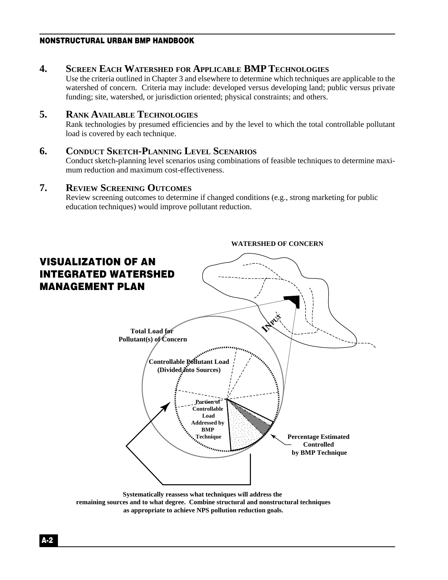## **4. SCREEN EACH WATERSHED FOR APPLICABLE BMP TECHNOLOGIES**

Use the criteria outlined in Chapter 3 and elsewhere to determine which techniques are applicable to the watershed of concern. Criteria may include: developed versus developing land; public versus private funding; site, watershed, or jurisdiction oriented; physical constraints; and others.

## **5. RANK AVAILABLE TECHNOLOGIES**

Rank technologies by presumed efficiencies and by the level to which the total controllable pollutant load is covered by each technique.

#### **6. CONDUCT SKETCH-PLANNING LEVEL SCENARIOS**

Conduct sketch-planning level scenarios using combinations of feasible techniques to determine maximum reduction and maximum cost-effectiveness.

#### **7. REVIEW SCREENING OUTCOMES**

Review screening outcomes to determine if changed conditions (e.g., strong marketing for public education techniques) would improve pollutant reduction.



**Systematically reassess what techniques will address the remaining sources and to what degree. Combine structural and nonstructural techniques as appropriate to achieve NPS pollution reduction goals.**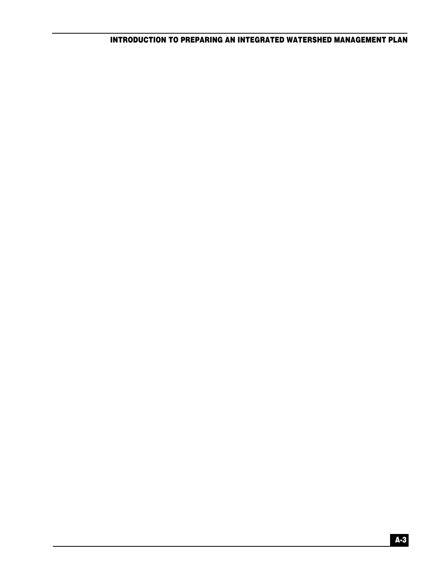## **INTRODUCTION TO PREPARING AN INTEGRATED WATERSHED MANAGEMENT PLAN**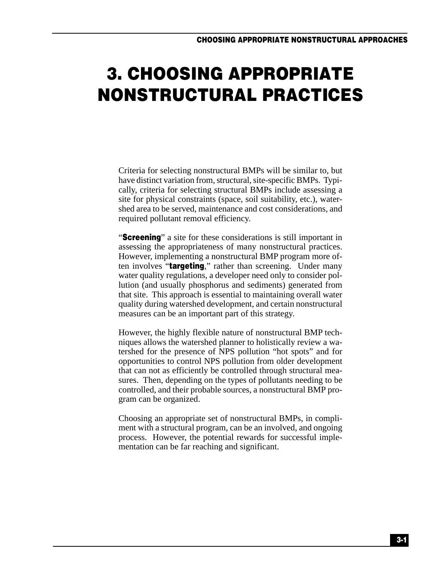# **3. CHOOSING APPROPRIATE NONSTRUCTURAL PRACTICES**

Criteria for selecting nonstructural BMPs will be similar to, but have distinct variation from, structural, site-specific BMPs. Typically, criteria for selecting structural BMPs include assessing a site for physical constraints (space, soil suitability, etc.), watershed area to be served, maintenance and cost considerations, and required pollutant removal efficiency.

"**Screening**" a site for these considerations is still important in assessing the appropriateness of many nonstructural practices. However, implementing a nonstructural BMP program more often involves "**targeting**," rather than screening. Under many water quality regulations, a developer need only to consider pollution (and usually phosphorus and sediments) generated from that site. This approach is essential to maintaining overall water quality during watershed development, and certain nonstructural measures can be an important part of this strategy.

However, the highly flexible nature of nonstructural BMP techniques allows the watershed planner to holistically review a watershed for the presence of NPS pollution "hot spots" and for opportunities to control NPS pollution from older development that can not as efficiently be controlled through structural measures. Then, depending on the types of pollutants needing to be controlled, and their probable sources, a nonstructural BMP program can be organized.

Choosing an appropriate set of nonstructural BMPs, in compliment with a structural program, can be an involved, and ongoing process. However, the potential rewards for successful implementation can be far reaching and significant.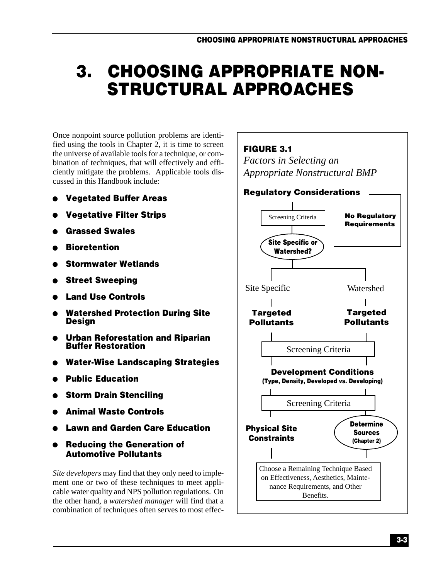# **3. CHOOSING APPROPRIATE NON-STRUCTURAL APPROACHES**

Once nonpoint source pollution problems are identified using the tools in Chapter 2, it is time to screen the universe of available tools for a technique, or combination of techniques, that will effectively and efficiently mitigate the problems. Applicable tools discussed in this Handbook include:

- **Vegetated Buffer Areas**
- **Vegetative Filter Strips**
- **Grassed Swales**
- **Bioretention**
- **Stormwater Wetlands**
- **Street Sweeping**
- **Land Use Controls**
- **Watershed Protection During Site Design**
- **Urban Reforestation and Riparian Buffer Restoration**
- **Water-Wise Landscaping Strategies**
- **Public Education**
- **Storm Drain Stenciling**
- **Animal Waste Controls**
- **Lawn and Garden Care Education**
- **Reducing the Generation of Automotive Pollutants**

*Site developers* may find that they only need to implement one or two of these techniques to meet applicable water quality and NPS pollution regulations. On the other hand, a *watershed manager* will find that a combination of techniques often serves to most effec-

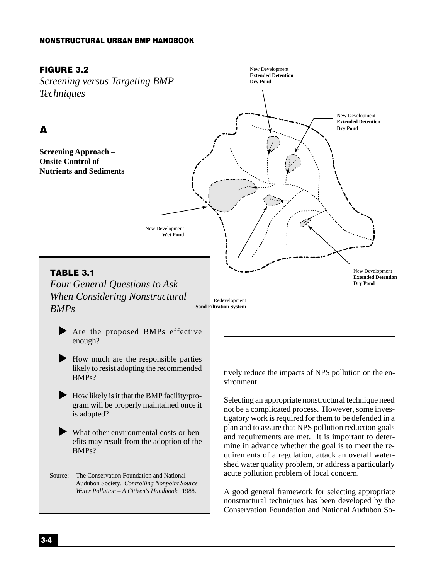## tively reduce the impacts of NPS pollution on the environment. Are the proposed BMPs effective enough? How much are the responsible parties likely to resist adopting the recommended BMPs? How likely is it that the BMP facility/pro-**TABLE 3.1** *Four General Questions to Ask When Considering Nonstructural BMPs* **FIGURE 3.2** *Screening versus Targeting BMP Techniques* **A Screening Approach – Onsite Control of Nutrients and Sediments** New Development **Extended Detention Dry Pond** New Development **Extended Detention Dry Pond** Redevelopment **Sand Filtration System** New Development **Extended Detention Dry Pond** New Development **Wet Pond**

gram will be properly maintained once it is adopted?

What other environmental costs or benefits may result from the adoption of the BMPs?

Source: The Conservation Foundation and National Audubon Society. *Controlling Nonpoint Source Water Pollution – A Citizen's Handbook*: 1988.

Selecting an appropriate nonstructural technique need not be a complicated process. However, some investigatory work is required for them to be defended in a plan and to assure that NPS pollution reduction goals and requirements are met. It is important to determine in advance whether the goal is to meet the requirements of a regulation, attack an overall watershed water quality problem, or address a particularly acute pollution problem of local concern.

A good general framework for selecting appropriate nonstructural techniques has been developed by the Conservation Foundation and National Audubon So-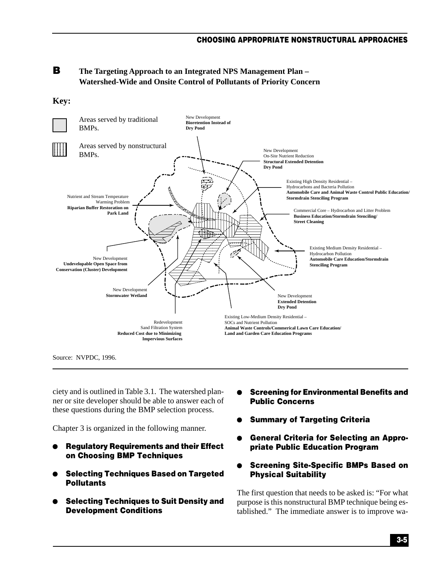#### **CHOOSING APPROPRIATE NONSTRUCTURAL APPROACHES**

**B The Targeting Approach to an Integrated NPS Management Plan – Watershed-Wide and Onsite Control of Pollutants of Priority Concern**

**Key:**



Source: NVPDC, 1996.

ciety and is outlined in Table 3.1. The watershed planner or site developer should be able to answer each of these questions during the BMP selection process.

Chapter 3 is organized in the following manner.

- **Regulatory Requirements and their Effect on Choosing BMP Techniques**
- **Selecting Techniques Based on Targeted Pollutants**
- **Selecting Techniques to Suit Density and Development Conditions**
- **Screening for Environmental Benefits and Public Concerns**
- **Summary of Targeting Criteria**
- **General Criteria for Selecting an Appropriate Public Education Program**
- **Screening Site-Specific BMPs Based on Physical Suitability**

The first question that needs to be asked is: "For what purpose is this nonstructural BMP technique being established." The immediate answer is to improve wa-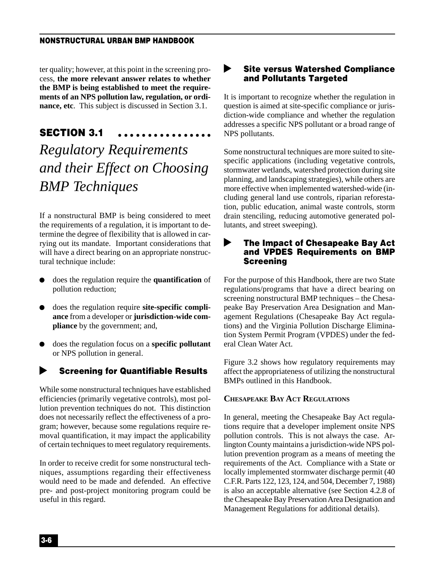ter quality; however, at this point in the screening process, **the more relevant answer relates to whether the BMP is being established to meet the requirements of an NPS pollution law, regulation, or ordinance, etc**. This subject is discussed in Section 3.1.

## **SECTION 3.1**

*Regulatory Requirements and their Effect on Choosing BMP Techniques*

If a nonstructural BMP is being considered to meet the requirements of a regulation, it is important to determine the degree of flexibility that is allowed in carrying out its mandate. Important considerations that will have a direct bearing on an appropriate nonstructural technique include:

- does the regulation require the **quantification** of pollution reduction;
- does the regulation require **site-specific compliance** from a developer or **jurisdiction-wide compliance** by the government; and,
- does the regulation focus on a **specific pollutant** or NPS pollution in general.

#### **Screening for Quantifiable Results**

While some nonstructural techniques have established efficiencies (primarily vegetative controls), most pollution prevention techniques do not. This distinction does not necessarily reflect the effectiveness of a program; however, because some regulations require removal quantification, it may impact the applicability of certain techniques to meet regulatory requirements.

In order to receive credit for some nonstructural techniques, assumptions regarding their effectiveness would need to be made and defended. An effective pre- and post-project monitoring program could be useful in this regard.

#### $\blacktriangleright$ **Site versus Watershed Compliance and Pollutants Targeted**

It is important to recognize whether the regulation in question is aimed at site-specific compliance or jurisdiction-wide compliance and whether the regulation addresses a specific NPS pollutant or a broad range of NPS pollutants.

Some nonstructural techniques are more suited to sitespecific applications (including vegetative controls, stormwater wetlands, watershed protection during site planning, and landscaping strategies), while others are more effective when implemented watershed-wide (including general land use controls, riparian reforestation, public education, animal waste controls, storm drain stenciling, reducing automotive generated pollutants, and street sweeping).

#### ▶ **The Impact of Chesapeake Bay Act and VPDES Requirements on BMP Screening**

For the purpose of this Handbook, there are two State regulations/programs that have a direct bearing on screening nonstructural BMP techniques – the Chesapeake Bay Preservation Area Designation and Management Regulations (Chesapeake Bay Act regulations) and the Virginia Pollution Discharge Elimination System Permit Program (VPDES) under the federal Clean Water Act.

Figure 3.2 shows how regulatory requirements may affect the appropriateness of utilizing the nonstructural BMPs outlined in this Handbook.

#### **CHESAPEAKE BAY ACT REGULATIONS**

In general, meeting the Chesapeake Bay Act regulations require that a developer implement onsite NPS pollution controls. This is not always the case. Arlington County maintains a jurisdiction-wide NPS pollution prevention program as a means of meeting the requirements of the Act. Compliance with a State or locally implemented stormwater discharge permit (40 C.F.R. Parts 122, 123, 124, and 504, December 7, 1988) is also an acceptable alternative (see Section 4.2.8 of the Chesapeake Bay Preservation Area Designation and Management Regulations for additional details).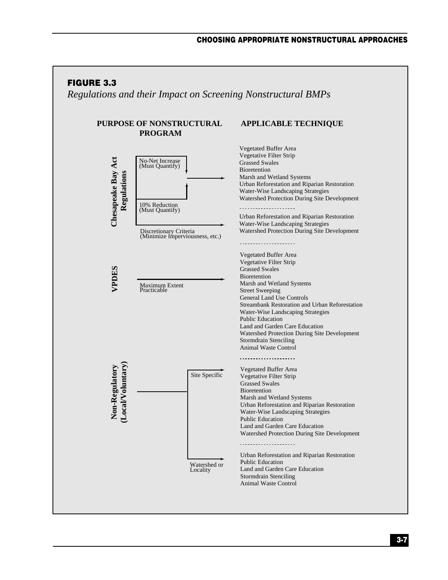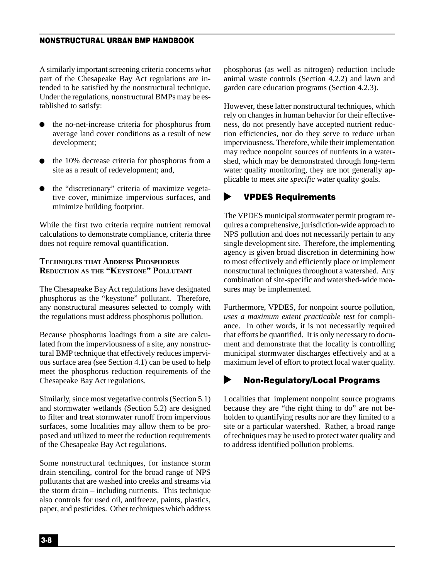A similarly important screening criteria concerns *what* part of the Chesapeake Bay Act regulations are intended to be satisfied by the nonstructural technique. Under the regulations, nonstructural BMPs may be established to satisfy:

- the no-net-increase criteria for phosphorus from average land cover conditions as a result of new development;
- the 10% decrease criteria for phosphorus from a site as a result of redevelopment; and,
- the "discretionary" criteria of maximize vegetative cover, minimize impervious surfaces, and minimize building footprint.

While the first two criteria require nutrient removal calculations to demonstrate compliance, criteria three does not require removal quantification.

#### **TECHNIQUES THAT ADDRESS PHOSPHORUS REDUCTION AS THE "KEYSTONE" POLLUTANT**

The Chesapeake Bay Act regulations have designated phosphorus as the "keystone" pollutant. Therefore, any nonstructural measures selected to comply with the regulations must address phosphorus pollution.

Because phosphorus loadings from a site are calculated from the imperviousness of a site, any nonstructural BMP technique that effectively reduces impervious surface area (see Section 4.1) can be used to help meet the phosphorus reduction requirements of the Chesapeake Bay Act regulations.

Similarly, since most vegetative controls (Section 5.1) and stormwater wetlands (Section 5.2) are designed to filter and treat stormwater runoff from impervious surfaces, some localities may allow them to be proposed and utilized to meet the reduction requirements of the Chesapeake Bay Act regulations.

Some nonstructural techniques, for instance storm drain stenciling, control for the broad range of NPS pollutants that are washed into creeks and streams via the storm drain – including nutrients. This technique also controls for used oil, antifreeze, paints, plastics, paper, and pesticides. Other techniques which address phosphorus (as well as nitrogen) reduction include animal waste controls (Section 4.2.2) and lawn and garden care education programs (Section 4.2.3).

However, these latter nonstructural techniques, which rely on changes in human behavior for their effectiveness, do not presently have accepted nutrient reduction efficiencies, nor do they serve to reduce urban imperviousness. Therefore, while their implementation may reduce nonpoint sources of nutrients in a watershed, which may be demonstrated through long-term water quality monitoring, they are not generally applicable to meet *site specific* water quality goals.

## **VPDES Requirements**

The VPDES municipal stormwater permit program requires a comprehensive, jurisdiction-wide approach to NPS pollution and does not necessarily pertain to any single development site. Therefore, the implementing agency is given broad discretion in determining how to most effectively and efficiently place or implement nonstructural techniques throughout a watershed. Any combination of site-specific and watershed-wide measures may be implemented.

Furthermore, VPDES, for nonpoint source pollution, *uses a maximum extent practicable test* for compliance. In other words, it is not necessarily required that efforts be quantified. It is only necessary to document and demonstrate that the locality is controlling municipal stormwater discharges effectively and at a maximum level of effort to protect local water quality.

### **Non-Regulatory/Local Programs**

Localities that implement nonpoint source programs because they are "the right thing to do" are not beholden to quantifying results nor are they limited to a site or a particular watershed. Rather, a broad range of techniques may be used to protect water quality and to address identified pollution problems.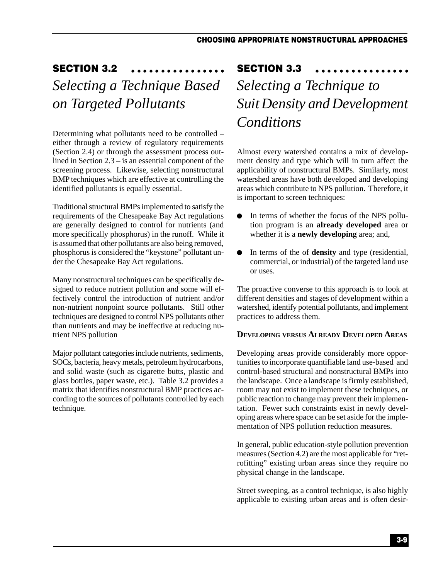# **SECTION 3.2** *Selecting a Technique Based on Targeted Pollutants*

Determining what pollutants need to be controlled – either through a review of regulatory requirements (Section 2.4) or through the assessment process outlined in Section 2.3 – is an essential component of the screening process. Likewise, selecting nonstructural BMP techniques which are effective at controlling the identified pollutants is equally essential.

Traditional structural BMPs implemented to satisfy the requirements of the Chesapeake Bay Act regulations are generally designed to control for nutrients (and more specifically phosphorus) in the runoff. While it is assumed that other pollutants are also being removed, phosphorus is considered the "keystone" pollutant under the Chesapeake Bay Act regulations.

Many nonstructural techniques can be specifically designed to reduce nutrient pollution and some will effectively control the introduction of nutrient and/or non-nutrient nonpoint source pollutants. Still other techniques are designed to control NPS pollutants other than nutrients and may be ineffective at reducing nutrient NPS pollution

Major pollutant categories include nutrients, sediments, SOCs, bacteria, heavy metals, petroleum hydrocarbons, and solid waste (such as cigarette butts, plastic and glass bottles, paper waste, etc.). Table 3.2 provides a matrix that identifies nonstructural BMP practices according to the sources of pollutants controlled by each technique.

# **SECTION 3.3** *Selecting a Technique to Suit Density and Development Conditions*

Almost every watershed contains a mix of development density and type which will in turn affect the applicability of nonstructural BMPs. Similarly, most watershed areas have both developed and developing areas which contribute to NPS pollution. Therefore, it is important to screen techniques:

- In terms of whether the focus of the NPS pollution program is an **already developed** area or whether it is a **newly developing** area; and,
- In terms of the of **density** and type (residential, commercial, or industrial) of the targeted land use or uses.

The proactive converse to this approach is to look at different densities and stages of development within a watershed, identify potential pollutants, and implement practices to address them.

## **DEVELOPING VERSUS ALREADY DEVELOPED AREAS**

Developing areas provide considerably more opportunities to incorporate quantifiable land use-based and control-based structural and nonstructural BMPs into the landscape. Once a landscape is firmly established, room may not exist to implement these techniques, or public reaction to change may prevent their implementation. Fewer such constraints exist in newly developing areas where space can be set aside for the implementation of NPS pollution reduction measures.

In general, public education-style pollution prevention measures (Section 4.2) are the most applicable for "retrofitting" existing urban areas since they require no physical change in the landscape.

Street sweeping, as a control technique, is also highly applicable to existing urban areas and is often desir-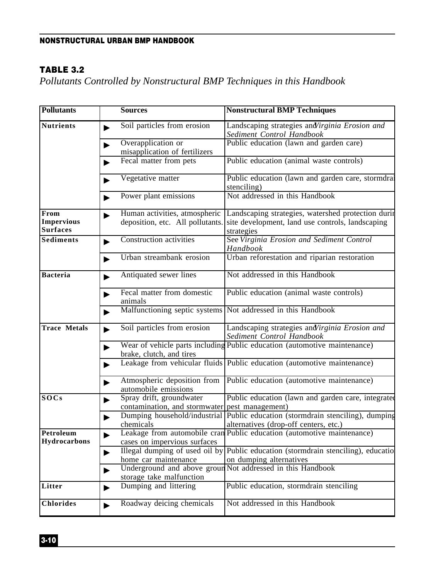## **TABLE 3.2**

*Pollutants Controlled by Nonstructural BMP Techniques in this Handbook*

| <b>Pollutants</b>                     | <b>Sources</b>                                                                            | <b>Nonstructural BMP Techniques</b>                                                                                                                                           |
|---------------------------------------|-------------------------------------------------------------------------------------------|-------------------------------------------------------------------------------------------------------------------------------------------------------------------------------|
| <b>Nutrients</b>                      | Soil particles from erosion                                                               | Landscaping strategies and/irginia Erosion and<br>Sediment Control Handbook                                                                                                   |
|                                       | Overapplication or<br>misapplication of fertilizers                                       | Public education (lawn and garden care)                                                                                                                                       |
|                                       | Fecal matter from pets                                                                    | Public education (animal waste controls)                                                                                                                                      |
|                                       | Vegetative matter                                                                         | Public education (lawn and garden care, stormdra<br>stenciling)                                                                                                               |
|                                       | Power plant emissions                                                                     | Not addressed in this Handbook                                                                                                                                                |
| From<br>Impervious<br><b>Surfaces</b> | Human activities, atmospheric<br>deposition, etc. All pollutants.                         | Landscaping strategies, watershed protection durin<br>site development, land use controls, landscaping<br>strategies                                                          |
| <b>Sediments</b>                      | Construction activities                                                                   | See Virginia Erosion and Sediment Control<br>Handbook                                                                                                                         |
|                                       | Urban streambank erosion                                                                  | Urban reforestation and riparian restoration                                                                                                                                  |
| <b>Bacteria</b>                       | Antiquated sewer lines                                                                    | Not addressed in this Handbook                                                                                                                                                |
|                                       | Fecal matter from domestic<br>animals                                                     | Public education (animal waste controls)                                                                                                                                      |
|                                       |                                                                                           | Malfunctioning septic systems Not addressed in this Handbook                                                                                                                  |
| <b>Trace Metals</b>                   | Soil particles from erosion                                                               | Landscaping strategies and/irginia Erosion and<br>Sediment Control Handbook                                                                                                   |
|                                       | brake, clutch, and tires                                                                  | Wear of vehicle parts including Public education (automotive maintenance)                                                                                                     |
|                                       |                                                                                           | Leakage from vehicular fluids Public education (automotive maintenance)                                                                                                       |
|                                       | Atmospheric deposition from<br>automobile emissions                                       | Public education (automotive maintenance)                                                                                                                                     |
| <b>SOCs</b>                           | Spray drift, groundwater<br>contamination, and stormwater   pest management)<br>chemicals | Public education (lawn and garden care, integrated<br>Dumping household/industrial Public education (stormdrain stenciling), dumping<br>alternatives (drop-off centers, etc.) |
| Petroleum<br>Hydrocarbons             | cases on impervious surfaces                                                              | Leakage from automobile cran Public education (automotive maintenance)<br>Illegal dumping of used oil by Public education (stormdrain stenciling), educatio                   |
|                                       | home car maintenance<br>Underground and above groui<br>storage take malfunction           | on dumping alternatives<br>Not addressed in this Handbook                                                                                                                     |
| Litter                                | Dumping and littering                                                                     | Public education, stormdrain stenciling                                                                                                                                       |
| <b>Chlorides</b>                      | Roadway deicing chemicals<br>▶                                                            | Not addressed in this Handbook                                                                                                                                                |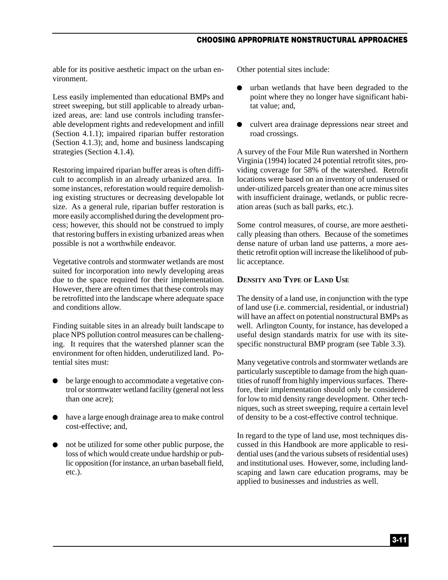#### **CHOOSING APPROPRIATE NONSTRUCTURAL APPROACHES**

able for its positive aesthetic impact on the urban environment.

Less easily implemented than educational BMPs and street sweeping, but still applicable to already urbanized areas, are: land use controls including transferable development rights and redevelopment and infill (Section 4.1.1); impaired riparian buffer restoration (Section 4.1.3); and, home and business landscaping strategies (Section 4.1.4).

Restoring impaired riparian buffer areas is often difficult to accomplish in an already urbanized area. In some instances, reforestation would require demolishing existing structures or decreasing developable lot size. As a general rule, riparian buffer restoration is more easily accomplished during the development process; however, this should not be construed to imply that restoring buffers in existing urbanized areas when possible is not a worthwhile endeavor.

Vegetative controls and stormwater wetlands are most suited for incorporation into newly developing areas due to the space required for their implementation. However, there are often times that these controls may be retrofitted into the landscape where adequate space and conditions allow.

Finding suitable sites in an already built landscape to place NPS pollution control measures can be challenging. It requires that the watershed planner scan the environment for often hidden, underutilized land. Potential sites must:

- be large enough to accommodate a vegetative control or stormwater wetland facility (general not less than one acre);
- have a large enough drainage area to make control cost-effective; and,
- not be utilized for some other public purpose, the loss of which would create undue hardship or public opposition (for instance, an urban baseball field, etc.).

Other potential sites include:

- urban wetlands that have been degraded to the point where they no longer have significant habitat value; and,
- culvert area drainage depressions near street and road crossings.

A survey of the Four Mile Run watershed in Northern Virginia (1994) located 24 potential retrofit sites, providing coverage for 58% of the watershed. Retrofit locations were based on an inventory of underused or under-utilized parcels greater than one acre minus sites with insufficient drainage, wetlands, or public recreation areas (such as ball parks, etc.).

Some control measures, of course, are more aesthetically pleasing than others. Because of the sometimes dense nature of urban land use patterns, a more aesthetic retrofit option will increase the likelihood of public acceptance.

#### **DENSITY AND TYPE OF LAND USE**

The density of a land use, in conjunction with the type of land use (i.e. commercial, residential, or industrial) will have an affect on potential nonstructural BMPs as well. Arlington County, for instance, has developed a useful design standards matrix for use with its sitespecific nonstructural BMP program (see Table 3.3).

Many vegetative controls and stormwater wetlands are particularly susceptible to damage from the high quantities of runoff from highly impervious surfaces. Therefore, their implementation should only be considered for low to mid density range development. Other techniques, such as street sweeping, require a certain level of density to be a cost-effective control technique.

In regard to the type of land use, most techniques discussed in this Handbook are more applicable to residential uses (and the various subsets of residential uses) and institutional uses. However, some, including landscaping and lawn care education programs, may be applied to businesses and industries as well.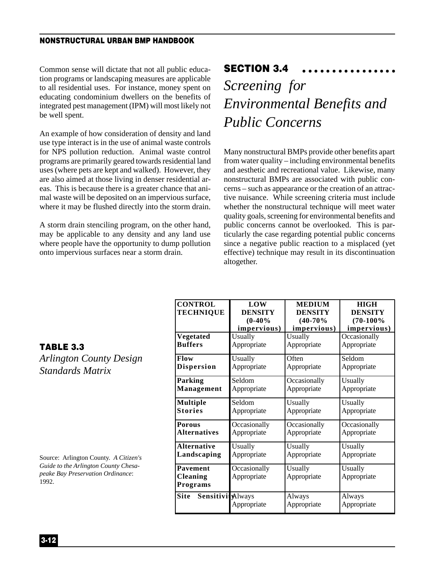Common sense will dictate that not all public education programs or landscaping measures are applicable to all residential uses. For instance, money spent on educating condominium dwellers on the benefits of integrated pest management (IPM) will most likely not be well spent.

An example of how consideration of density and land use type interact is in the use of animal waste controls for NPS pollution reduction. Animal waste control programs are primarily geared towards residential land uses (where pets are kept and walked). However, they are also aimed at those living in denser residential areas. This is because there is a greater chance that animal waste will be deposited on an impervious surface, where it may be flushed directly into the storm drain.

A storm drain stenciling program, on the other hand, may be applicable to any density and any land use where people have the opportunity to dump pollution onto impervious surfaces near a storm drain.

## **SECTION 3.4**

# *Screening for Environmental Benefits and Public Concerns*

Many nonstructural BMPs provide other benefits apart from water quality – including environmental benefits and aesthetic and recreational value. Likewise, many nonstructural BMPs are associated with public concerns – such as appearance or the creation of an attractive nuisance. While screening criteria must include whether the nonstructural technique will meet water quality goals, screening for environmental benefits and public concerns cannot be overlooked. This is particularly the case regarding potential public concerns since a negative public reaction to a misplaced (yet effective) technique may result in its discontinuation altogether.

## **TABLE 3.3**

*Arlington County Design Standards Matrix*

Source: Arlington County. *A Citizen's Guide to the Arlington County Chesapeake Bay Preservation Ordinance*: 1992.

| <b>CONTROL</b><br><b>TECHNIQUE</b>      | LOW<br><b>DENSITY</b><br>$(0-40%$ | <b>MEDIUM</b><br><b>DENSITY</b><br>$(40-70%$ | <b>HIGH</b><br><b>DENSITY</b><br>$(70-100\%$ |  |  |
|-----------------------------------------|-----------------------------------|----------------------------------------------|----------------------------------------------|--|--|
|                                         | <u>impervious)</u>                | <u>impervious)</u>                           | <i>impervious)</i>                           |  |  |
| Vegetated                               | Usually                           | Usually                                      | Occasionally                                 |  |  |
| <b>Buffers</b>                          | Appropriate                       | Appropriate                                  | Appropriate                                  |  |  |
| Flow                                    | Usually                           | Often                                        | Seldom                                       |  |  |
| <b>Dispersion</b>                       | Appropriate                       | Appropriate                                  | Appropriate                                  |  |  |
| Parking                                 | Seldom                            | Occasionally                                 | Usually                                      |  |  |
| Management                              | Appropriate                       | Appropriate                                  | Appropriate                                  |  |  |
| <b>Multiple</b>                         | Seldom                            | Usually                                      | Usually                                      |  |  |
| <b>Stories</b>                          | Appropriate                       | Appropriate                                  | Appropriate                                  |  |  |
| <b>Porous</b>                           | Occasionally                      | Occasionally                                 | Occasionally                                 |  |  |
| <b>Alternatives</b>                     | Appropriate                       | Appropriate                                  | Appropriate                                  |  |  |
| <b>Alternative</b>                      | Usually                           | Usually                                      | Usually                                      |  |  |
| Landscaping                             | Appropriate                       | Appropriate                                  | Appropriate                                  |  |  |
| <b>Pavement</b><br>Cleaning<br>Programs | Occasionally<br>Appropriate       | Usually<br>Appropriate                       | Usually<br>Appropriate                       |  |  |
| Sensitivi Always                        | Appropriate                       | Always                                       | Always                                       |  |  |
| Site                                    |                                   | Appropriate                                  | Appropriate                                  |  |  |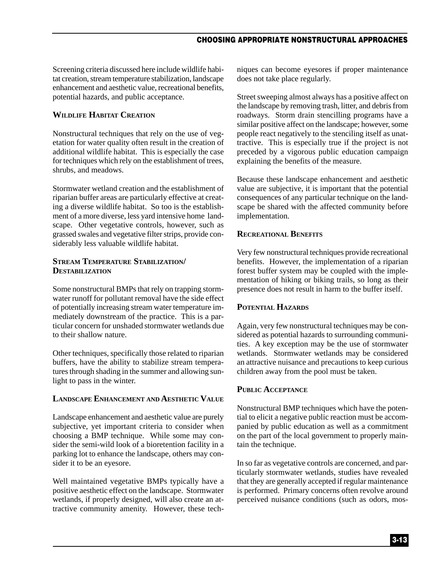#### **CHOOSING APPROPRIATE NONSTRUCTURAL APPROACHES**

Screening criteria discussed here include wildlife habitat creation, stream temperature stabilization, landscape enhancement and aesthetic value, recreational benefits, potential hazards, and public acceptance.

## **WILDLIFE HABITAT CREATION**

Nonstructural techniques that rely on the use of vegetation for water quality often result in the creation of additional wildlife habitat. This is especially the case for techniques which rely on the establishment of trees, shrubs, and meadows.

Stormwater wetland creation and the establishment of riparian buffer areas are particularly effective at creating a diverse wildlife habitat. So too is the establishment of a more diverse, less yard intensive home landscape. Other vegetative controls, however, such as grassed swales and vegetative filter strips, provide considerably less valuable wildlife habitat.

#### **STREAM TEMPERATURE STABILIZATION/ DESTABILIZATION**

Some nonstructural BMPs that rely on trapping stormwater runoff for pollutant removal have the side effect of potentially increasing stream water temperature immediately downstream of the practice. This is a particular concern for unshaded stormwater wetlands due to their shallow nature.

Other techniques, specifically those related to riparian buffers, have the ability to stabilize stream temperatures through shading in the summer and allowing sunlight to pass in the winter.

## **LANDSCAPE ENHANCEMENT AND AESTHETIC VALUE**

Landscape enhancement and aesthetic value are purely subjective, yet important criteria to consider when choosing a BMP technique. While some may consider the semi-wild look of a bioretention facility in a parking lot to enhance the landscape, others may consider it to be an eyesore.

Well maintained vegetative BMPs typically have a positive aesthetic effect on the landscape. Stormwater wetlands, if properly designed, will also create an attractive community amenity. However, these techniques can become eyesores if proper maintenance does not take place regularly.

Street sweeping almost always has a positive affect on the landscape by removing trash, litter, and debris from roadways. Storm drain stencilling programs have a similar positive affect on the landscape; however, some people react negatively to the stenciling itself as unattractive. This is especially true if the project is not preceded by a vigorous public education campaign explaining the benefits of the measure.

Because these landscape enhancement and aesthetic value are subjective, it is important that the potential consequences of any particular technique on the landscape be shared with the affected community before implementation.

#### **RECREATIONAL BENEFITS**

Very few nonstructural techniques provide recreational benefits. However, the implementation of a riparian forest buffer system may be coupled with the implementation of hiking or biking trails, so long as their presence does not result in harm to the buffer itself.

## **POTENTIAL HAZARDS**

Again, very few nonstructural techniques may be considered as potential hazards to surrounding communities. A key exception may be the use of stormwater wetlands. Stormwater wetlands may be considered an attractive nuisance and precautions to keep curious children away from the pool must be taken.

#### **PUBLIC ACCEPTANCE**

Nonstructural BMP techniques which have the potential to elicit a negative public reaction must be accompanied by public education as well as a commitment on the part of the local government to properly maintain the technique.

In so far as vegetative controls are concerned, and particularly stormwater wetlands, studies have revealed that they are generally accepted if regular maintenance is performed. Primary concerns often revolve around perceived nuisance conditions (such as odors, mos-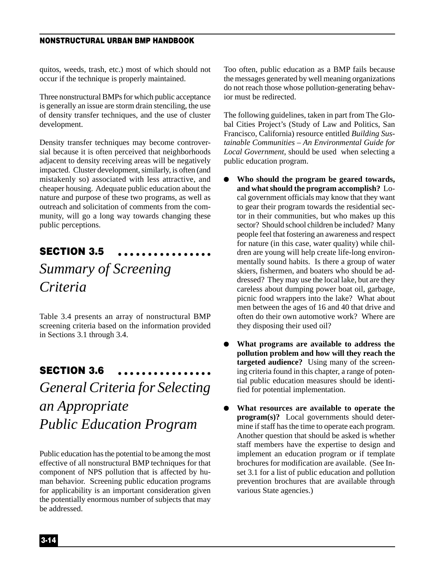#### **NONSTRUCTURAL URBAN BMP HANDBOOK**

quitos, weeds, trash, etc.) most of which should not occur if the technique is properly maintained.

Three nonstructural BMPs for which public acceptance is generally an issue are storm drain stenciling, the use of density transfer techniques, and the use of cluster development.

Density transfer techniques may become controversial because it is often perceived that neighborhoods adjacent to density receiving areas will be negatively impacted. Cluster development, similarly, is often (and mistakenly so) associated with less attractive, and cheaper housing. Adequate public education about the nature and purpose of these two programs, as well as outreach and solicitation of comments from the community, will go a long way towards changing these public perceptions.

## **SECTION 3.5**

# *Summary of Screening Criteria*

Table 3.4 presents an array of nonstructural BMP screening criteria based on the information provided in Sections 3.1 through 3.4.

## **SECTION 3.6**

# *General Criteria for Selecting an Appropriate Public Education Program*

Public education has the potential to be among the most effective of all nonstructural BMP techniques for that component of NPS pollution that is affected by human behavior. Screening public education programs for applicability is an important consideration given the potentially enormous number of subjects that may be addressed.

Too often, public education as a BMP fails because the messages generated by well meaning organizations do not reach those whose pollution-generating behavior must be redirected.

The following guidelines, taken in part from The Global Cities Project's (Study of Law and Politics, San Francisco, California) resource entitled *Building Sustainable Communities – An Environmental Guide for Local Government*, should be used when selecting a public education program.

- **Who should the program be geared towards, and what should the program accomplish?** Local government officials may know that they want to gear their program towards the residential sector in their communities, but who makes up this sector? Should school children be included? Many people feel that fostering an awareness and respect for nature (in this case, water quality) while children are young will help create life-long environmentally sound habits. Is there a group of water skiers, fishermen, and boaters who should be addressed? They may use the local lake, but are they careless about dumping power boat oil, garbage, picnic food wrappers into the lake? What about men between the ages of 16 and 40 that drive and often do their own automotive work? Where are they disposing their used oil?
- $\bullet$ **What programs are available to address the pollution problem and how will they reach the targeted audience?** Using many of the screening criteria found in this chapter, a range of potential public education measures should be identified for potential implementation.
- $\bullet$ **What resources are available to operate the program(s)?** Local governments should determine if staff has the time to operate each program. Another question that should be asked is whether staff members have the expertise to design and implement an education program or if template brochures for modification are available. (See Inset 3.1 for a list of public education and pollution prevention brochures that are available through various State agencies.)

**3-14**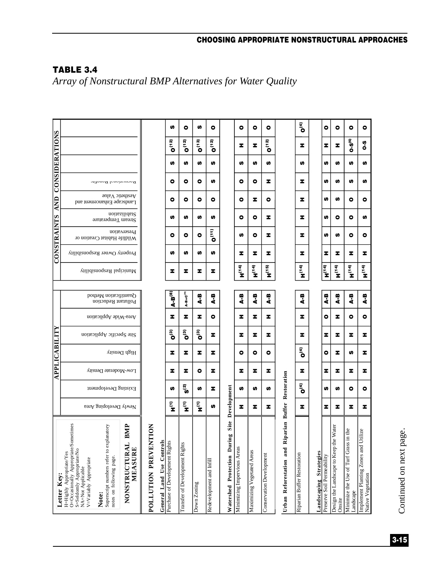## **TABLE 3.4**

*Array of Nonstructural BMP Alternatives for Water Quality*

| Letter Key:                                                                                                                                                                                                                                                                 |                                 |                           |                      | <b>APPLICABILITY</b> |                                 |                                      |                                              |                             |                               | <b>CONSTRAINTS</b>                           |                                         | <b>AND</b>                                      |                     |    | <b>CONSIDERATIONS</b> |           |
|-----------------------------------------------------------------------------------------------------------------------------------------------------------------------------------------------------------------------------------------------------------------------------|---------------------------------|---------------------------|----------------------|----------------------|---------------------------------|--------------------------------------|----------------------------------------------|-----------------------------|-------------------------------|----------------------------------------------|-----------------------------------------|-------------------------------------------------|---------------------|----|-----------------------|-----------|
| H=Highly Appropriate/Yes<br>O=Occasionally Appropriate/Sometimes<br><b>BMP</b><br>Superscript numbers refer to explanatory<br>Ŀ<br>NONSTRUCTURA<br>MEASURE<br>S=Seldomly Appropriate/No<br>NA=Not Applicable<br>notes on following page.<br>V=Variably Appropriate<br>Note: | Newly Developing Area           | Existing Development      | Low-Moderate Density | High Density         | Site Specific Application       | Application<br>notisalidad abiW-sanA | Quantification Method<br>Pollutant Reduction | Viunicipal Responsibility   | Property Owner Responsibility | Preservation<br>Wildlife Habitat Creation or | <i>fiberition</i><br>Stream Temperature | Aesthetic $V$ alue<br>Landscape Enhancement and | Perroational Render |    |                       |           |
| POLLUTION PREVENTION                                                                                                                                                                                                                                                        |                                 |                           |                      |                      |                                 |                                      |                                              |                             |                               |                                              |                                         |                                                 |                     |    |                       |           |
| General Land Use Controls<br>Purchase of Development Rights                                                                                                                                                                                                                 | $\hat{\mathbf{t}}_{\mathbf{r}}$ | n                         | I                    | I                    | $\mathbf{e}^{(3)}$              | I                                    | $ A-B^{(8)} $                                | I                           | n                             | ۰                                            | n                                       | ۰                                               | ۰                   | n  | $o^{(12)}$            | n         |
| Transfer of Development Rights                                                                                                                                                                                                                                              | ္                               | <u>୍</u> ଥ                | I                    | I                    | $\mathbf{e}^{(3)}$              | I                                    | $A - B + C^{(9)}$                            | I                           | n                             | ۰                                            | n                                       | ۰                                               | ۰                   | n  | $O^{(12)}$            | $\bullet$ |
| Down Zoning                                                                                                                                                                                                                                                                 | ع<br>∓                          | n                         | ۰                    | I                    | $\mathbf{e}_{\mathbf{0}}^{(3)}$ | I                                    | $A - B$                                      | I                           | n                             | ۰                                            | n                                       | ۰                                               | ۰                   | n  | $6^{(13)}$            | n         |
| Redevelopment and Infill                                                                                                                                                                                                                                                    | n                               | I                         | I                    | I                    | I                               | ۰                                    | $\overline{4}$                               | I                           | n                             | $\overline{\mathbf{e}}^{(1)}$                | n                                       | ۰                                               | n                   | n  | $o^{(12)}$            | ۰         |
| Site<br>ring<br>Watershed Protection Du                                                                                                                                                                                                                                     | Development                     |                           |                      |                      |                                 |                                      |                                              |                             |                               |                                              |                                         |                                                 |                     |    |                       |           |
| Minimizing Impervious Areas                                                                                                                                                                                                                                                 | I                               | n                         | I                    | ۰                    | I                               | I                                    | $\overline{a}$                               | $H^{(4)}$                   | I                             | U)                                           | ۰                                       | ۰                                               | ۰                   | n  | I                     | $\bullet$ |
| Maximizing Vegetated Areas                                                                                                                                                                                                                                                  | I                               | n                         | I                    | ۰                    | I                               | I                                    | $\overline{4}$                               | $\mathbf{H}^{(4)}$          | I                             | ۰                                            | ۰                                       | I                                               | ۰                   | n  | I                     | $\bullet$ |
| Conservation Development                                                                                                                                                                                                                                                    | I                               | n                         | I                    | ۰                    | I                               | I                                    | $\mathbf{A}$ -B                              | $\frac{6}{5}$               | I                             | I                                            | Ŧ.                                      | ۰                                               | I                   | U) | $o^{(12)}$            | $\bullet$ |
| Riparian Buffer Restoration<br>Urban Reforestation and                                                                                                                                                                                                                      |                                 |                           |                      |                      |                                 |                                      |                                              |                             |                               |                                              |                                         |                                                 |                     |    |                       |           |
| Riparian Buffer Restoration                                                                                                                                                                                                                                                 | I                               | $\mathbf{e}^{\mathbf{e}}$ | I                    | $\mathbf{e}^{(4)}$   | I                               | I                                    | $\overline{4}$                               | $H^{(1,4)}$                 | I                             | I                                            | I                                       | I                                               | I                   | n  | I                     | ته<br>ه   |
| Landscaping Strategies                                                                                                                                                                                                                                                      |                                 |                           |                      |                      |                                 |                                      |                                              |                             |                               |                                              |                                         |                                                 |                     |    |                       |           |
| Preserve Soil Permeability                                                                                                                                                                                                                                                  | I                               | n                         | I                    | ۰                    | I                               | ۰                                    | $A-B$                                        | $\frac{1}{2}$               | I                             | n                                            | n                                       | n                                               | n                   | n  | I                     | ۰         |
| the Water<br>Design the Landscape to Keep<br>Onsite                                                                                                                                                                                                                         | I                               | n                         | I                    | I                    | I                               | I                                    | $\overline{a}$                               | $H^{(1,4)}$                 | I                             | n                                            | ۰                                       | n                                               | n                   | n  | I                     | ۰         |
| Minimize the Use of Turf Grass in the<br>Landscape                                                                                                                                                                                                                          | I                               | ۰                         | I                    | n                    | I                               | $\bullet$                            | $A - B$                                      | $\tilde{f}$                 | I                             | $\bullet$                                    | ۰                                       | ۰                                               | n                   | n  | <sup>ဖွေ</sup>        | $\bullet$ |
| Utilize<br>Implement Planting Zones and<br>Native Vegetation                                                                                                                                                                                                                | I                               | ۰                         | I                    | I                    | I                               | $\bullet$                            | $A - B$                                      | $\tilde{f}^{\dagger}_{\nu}$ | I                             | ۰                                            | U)                                      | ۰                                               | n                   | U) | $\ddot{\mathbf{0}}$   | $\bullet$ |

Continued on next page. Continued on next page.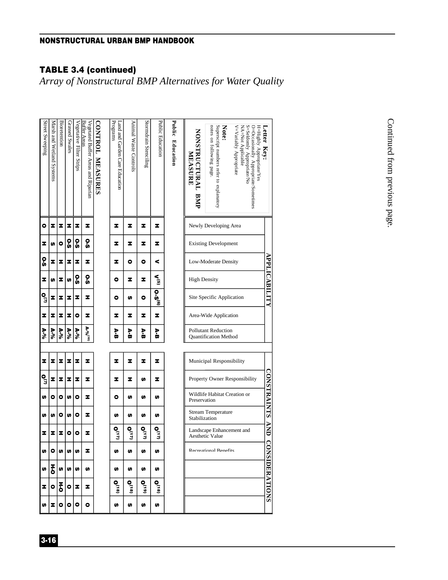## **TABLE 3.4 (continued)**

*Array of Nonstructural BMP Alternatives for Water Quality*

| Letter Key:                                                                         |                       |                             |                      |                     | APPLICABILITY             |                       |                                                            |                          |                               | <b>CONSTRAINTS</b>           |              |                                            | $\mathbf{d}\mathbf{N}$                       |                       |   | <b>ONSIDERATIONS</b> |           |
|-------------------------------------------------------------------------------------|-----------------------|-----------------------------|----------------------|---------------------|---------------------------|-----------------------|------------------------------------------------------------|--------------------------|-------------------------------|------------------------------|--------------|--------------------------------------------|----------------------------------------------|-----------------------|---|----------------------|-----------|
| H=Highly Appropriate/Yes                                                            |                       |                             |                      |                     |                           |                       |                                                            |                          |                               |                              |              |                                            |                                              |                       |   |                      |           |
| S=Seldomly Appropriate/No NA=Not Applicable<br>O=Occasionally Appropriate/Sometimes |                       |                             |                      |                     |                           |                       |                                                            |                          |                               |                              |              |                                            |                                              |                       |   |                      |           |
| V=Variably Appropriate                                                              |                       |                             |                      |                     |                           |                       |                                                            |                          |                               |                              |              |                                            |                                              |                       |   |                      |           |
| Note:                                                                               |                       |                             |                      |                     |                           |                       |                                                            |                          |                               |                              |              |                                            |                                              |                       |   |                      |           |
| Superscript numbers refer to explanatory<br>notes on following page                 |                       |                             |                      |                     |                           |                       |                                                            |                          |                               |                              |              |                                            |                                              |                       |   |                      |           |
| <b>NONSTRUCTURAL</b><br>MEASURE<br>BMP                                              | Newly Developing Area | <b>Existing Development</b> | Low-Moderate Density | <b>High Density</b> | Site Specific Application | Area-Wide Application | <b>Pollutant Reduction</b><br><b>Quantification Method</b> | Municipal Responsibility | Property Owner Responsibility | Wildlife Habitat Creation or | Preservation | <b>Stream Temperature</b><br>Stabilization | Landscape Enhancement and<br>Aesthetic Value | Recreational Renefits |   |                      |           |
| Public Education                                                                    |                       |                             |                      |                     |                           |                       |                                                            |                          |                               |                              |              |                                            |                                              |                       |   |                      |           |
| <b>Public Education</b>                                                             | I                     | I                           | <                    | $\sum_{(s)}$        | $ e^{i\Theta} $           | z                     | γ-                                                         | z                        | I                             |                              | n            | <b>S</b>                                   | $\mathbf{o}^{(17)}$                          | n                     | n | $O^{(18)}$           | n         |
| Stormdrain Stenciling                                                               | I                     | I                           | ۰                    | I                   | ۰                         | I                     | ५<br>ज                                                     | I                        | U)                            |                              | U)           | U)                                         | $\mathbf{o}^{(17)}$                          | n                     | n | $O^{(19)}$           | n         |
| Animal Waste Controls                                                               | I                     | I                           | ۰                    | z                   | U)                        | z                     | <<br>ज                                                     | I                        | I                             |                              | U)           | U)                                         | $O^{(17)}$                                   | n                     | n | $O^{(18)}$           | n         |
| Programs<br>and and Garden Care Education                                           | z                     | I                           | I                    | ۰                   | ۰                         | I                     | a-a                                                        | I                        | I                             |                              | ۰            | <b>S</b>                                   | $\mathbf{o}^{(17)}$                          | n                     | n | $O^{(18)}$           | n         |
| CONTROL MEASURES                                                                    |                       |                             |                      |                     |                           |                       |                                                            |                          |                               |                              |              |                                            |                                              |                       |   |                      |           |
| <b>Buffer Areas</b><br>Vegetated Buffer Areas and Riparian                          | I                     | ဝှ                          | I                    | ဝှ                  | Ŧ.                        | z                     | <b>A-961101</b>                                            | x                        | I                             |                              | z            | I                                          | I                                            | I                     | n | I                    | 0         |
| Vegetative Filter Strips                                                            | I                     | ဝှ                          | I                    | ပို့                | I                         | ۰                     | $A-9$                                                      | I                        | I                             |                              | ۰            | ۰                                          | 0                                            | n                     | n | z                    | $\bullet$ |
| Grassed Swales                                                                      | I                     | ဝှ                          | I                    | <b>S</b>            | I                         | I                     | $A - \infty$                                               | I                        | I                             |                              | <b>S</b>     | n                                          | ۰                                            | n                     | w | $\bullet$            | $\bullet$ |
| Bioretention                                                                        | I                     | ۰                           | I                    | I                   | I                         | I                     | A-%                                                        | I                        | I                             |                              | ۰            | 0                                          | I                                            | n                     | n | ま                    | ۰         |
| Marsh and Wetland Systems                                                           | I                     | n                           | I                    | n                   | I                         | I                     | <b>A-%</b>                                                 | I                        | I                             |                              | 0            | n                                          | I                                            | o                     | 舌 | $\bullet$            | z         |
| Street Sweeping                                                                     | 0                     | I                           | ပို့                 | I                   | o<br>G                    | I                     | <b>A-%</b>                                                 | I                        | o <sup>(7)</sup>              |                              | n            | n                                          | I                                            | n                     | n | z                    | n         |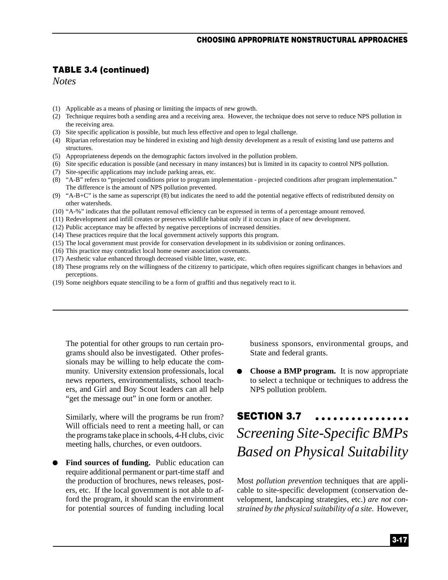#### **CHOOSING APPROPRIATE NONSTRUCTURAL APPROACHES**

### **TABLE 3.4 (continued)**

*Notes*

- (1) Applicable as a means of phasing or limiting the impacts of new growth.
- (2) Technique requires both a sending area and a receiving area. However, the technique does not serve to reduce NPS pollution in the receiving area.
- (3) Site specific application is possible, but much less effective and open to legal challenge.
- (4) Riparian reforestation may be hindered in existing and high density development as a result of existing land use patterns and structures.
- (5) Appropriateness depends on the demographic factors involved in the pollution problem.
- (6) Site specific education is possible (and necessary in many instances) but is limited in its capacity to control NPS pollution.
- (7) Site-specific applications may include parking areas, etc.
- (8) "A-B" refers to "projected conditions prior to program implementation projected conditions after program implementation." The difference is the amount of NPS pollution prevented.
- (9) "A-B+C" is the same as superscript (8) but indicates the need to add the potential negative effects of redistributed density on other watersheds.
- (10) "A-%" indicates that the pollutant removal efficiency can be expressed in terms of a percentage amount removed.
- (11) Redevelopment and infill creates or preserves wildlife habitat only if it occurs in place of new development.
- (12) Public acceptance may be affected by negative perceptions of increased densities.
- (14) These practices require that the local government actively supports this program.
- (15) The local government must provide for conservation development in its subdivision or zoning ordinances.
- (16) This practice may contradict local home owner association covenants.
- (17) Aesthetic value enhanced through decreased visible litter, waste, etc.
- (18) These programs rely on the willingness of the citizenry to participate, which often requires significant changes in behaviors and perceptions.
- (19) Some neighbors equate stenciling to be a form of graffiti and thus negatively react to it.

The potential for other groups to run certain programs should also be investigated. Other professionals may be willing to help educate the community. University extension professionals, local news reporters, environmentalists, school teachers, and Girl and Boy Scout leaders can all help "get the message out" in one form or another.

Similarly, where will the programs be run from? Will officials need to rent a meeting hall, or can the programs take place in schools, 4-H clubs, civic meeting halls, churches, or even outdoors.

**Find sources of funding.** Public education can require additional permanent or part-time staff and the production of brochures, news releases, posters, etc. If the local government is not able to afford the program, it should scan the environment for potential sources of funding including local

business sponsors, environmental groups, and State and federal grants.

**Choose a BMP program.** It is now appropriate  $\bullet$ to select a technique or techniques to address the NPS pollution problem.

# **SECTION 3.7** *Screening Site-Specific BMPs Based on Physical Suitability*

Most *pollution prevention* techniques that are applicable to site-specific development (conservation development, landscaping strategies, etc.) *are not constrained by the physical suitability of a site*. However,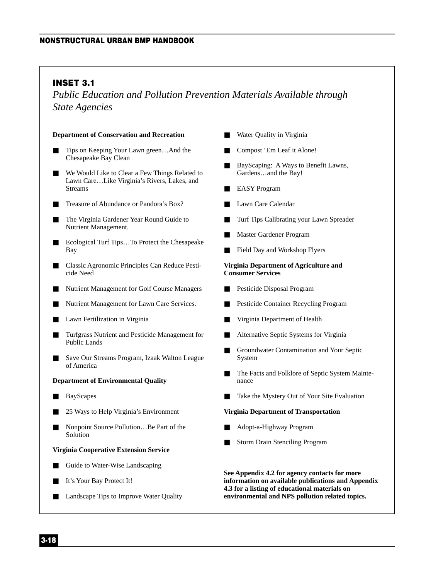### **INSET 3.1**

*Public Education and Pollution Prevention Materials Available through State Agencies*

#### **Department of Conservation and Recreation**

- Tips on Keeping Your Lawn green...And the Chesapeake Bay Clean
- We Would Like to Clear a Few Things Related to Lawn Care…Like Virginia's Rivers, Lakes, and Streams
- Treasure of Abundance or Pandora's Box?
- The Virginia Gardener Year Round Guide to Nutrient Management.
- Ecological Turf Tips...To Protect the Chesapeake Bay
- Classic Agronomic Principles Can Reduce Pesticide Need
- Nutrient Management for Golf Course Managers
- Nutrient Management for Lawn Care Services.
- Lawn Fertilization in Virginia
- Turfgrass Nutrient and Pesticide Management for Public Lands
- Save Our Streams Program, Izaak Walton League of America

#### **Department of Environmental Quality**

- **BayScapes**
- 25 Ways to Help Virginia's Environment
- Nonpoint Source Pollution...Be Part of the Solution

#### **Virginia Cooperative Extension Service**

- Guide to Water-Wise Landscaping
- It's Your Bay Protect It!
- Landscape Tips to Improve Water Quality
- Water Quality in Virginia
- Compost 'Em Leaf it Alone!
- BayScaping: A Ways to Benefit Lawns, Gardens…and the Bay!
- EASY Program
- Lawn Care Calendar
- Turf Tips Calibrating your Lawn Spreader
- Master Gardener Program
- Field Day and Workshop Flyers

#### **Virginia Department of Agriculture and Consumer Services**

- Pesticide Disposal Program
- Pesticide Container Recycling Program
- Virginia Department of Health
- Alternative Septic Systems for Virginia
- Groundwater Contamination and Your Septic System
- The Facts and Folklore of Septic System Maintenance
- Take the Mystery Out of Your Site Evaluation

#### **Virginia Department of Transportation**

- Adopt-a-Highway Program
- Storm Drain Stenciling Program

**See Appendix 4.2 for agency contacts for more information on available publications and Appendix 4.3 for a listing of educational materials on environmental and NPS pollution related topics.**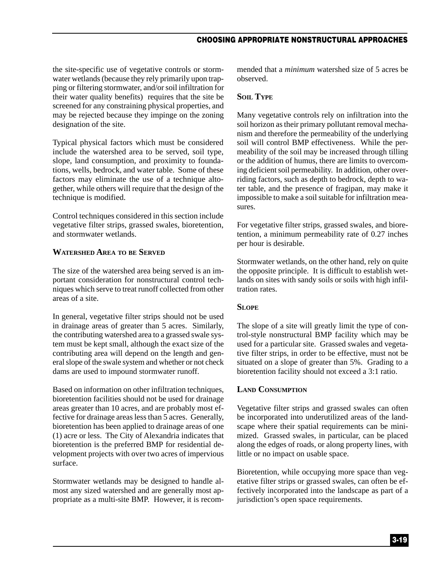#### **CHOOSING APPROPRIATE NONSTRUCTURAL APPROACHES**

the site-specific use of vegetative controls or stormwater wetlands (because they rely primarily upon trapping or filtering stormwater, and/or soil infiltration for their water quality benefits) requires that the site be screened for any constraining physical properties, and may be rejected because they impinge on the zoning designation of the site.

Typical physical factors which must be considered include the watershed area to be served, soil type, slope, land consumption, and proximity to foundations, wells, bedrock, and water table. Some of these factors may eliminate the use of a technique altogether, while others will require that the design of the technique is modified.

Control techniques considered in this section include vegetative filter strips, grassed swales, bioretention, and stormwater wetlands.

#### **WATERSHED AREA TO BE SERVED**

The size of the watershed area being served is an important consideration for nonstructural control techniques which serve to treat runoff collected from other areas of a site.

In general, vegetative filter strips should not be used in drainage areas of greater than 5 acres. Similarly, the contributing watershed area to a grassed swale system must be kept small, although the exact size of the contributing area will depend on the length and general slope of the swale system and whether or not check dams are used to impound stormwater runoff.

Based on information on other infiltration techniques, bioretention facilities should not be used for drainage areas greater than 10 acres, and are probably most effective for drainage areas less than 5 acres. Generally, bioretention has been applied to drainage areas of one (1) acre or less. The City of Alexandria indicates that bioretention is the preferred BMP for residential development projects with over two acres of impervious surface.

Stormwater wetlands may be designed to handle almost any sized watershed and are generally most appropriate as a multi-site BMP. However, it is recommended that a *minimum* watershed size of 5 acres be observed.

#### **SOIL TYPE**

Many vegetative controls rely on infiltration into the soil horizon as their primary pollutant removal mechanism and therefore the permeability of the underlying soil will control BMP effectiveness. While the permeability of the soil may be increased through tilling or the addition of humus, there are limits to overcoming deficient soil permeability. In addition, other overriding factors, such as depth to bedrock, depth to water table, and the presence of fragipan, may make it impossible to make a soil suitable for infiltration measures.

For vegetative filter strips, grassed swales, and bioretention, a minimum permeability rate of 0.27 inches per hour is desirable.

Stormwater wetlands, on the other hand, rely on quite the opposite principle. It is difficult to establish wetlands on sites with sandy soils or soils with high infiltration rates.

#### **SLOPE**

The slope of a site will greatly limit the type of control-style nonstructural BMP facility which may be used for a particular site. Grassed swales and vegetative filter strips, in order to be effective, must not be situated on a slope of greater than 5%. Grading to a bioretention facility should not exceed a 3:1 ratio.

#### **LAND CONSUMPTION**

Vegetative filter strips and grassed swales can often be incorporated into underutilized areas of the landscape where their spatial requirements can be minimized. Grassed swales, in particular, can be placed along the edges of roads, or along property lines, with little or no impact on usable space.

Bioretention, while occupying more space than vegetative filter strips or grassed swales, can often be effectively incorporated into the landscape as part of a jurisdiction's open space requirements.